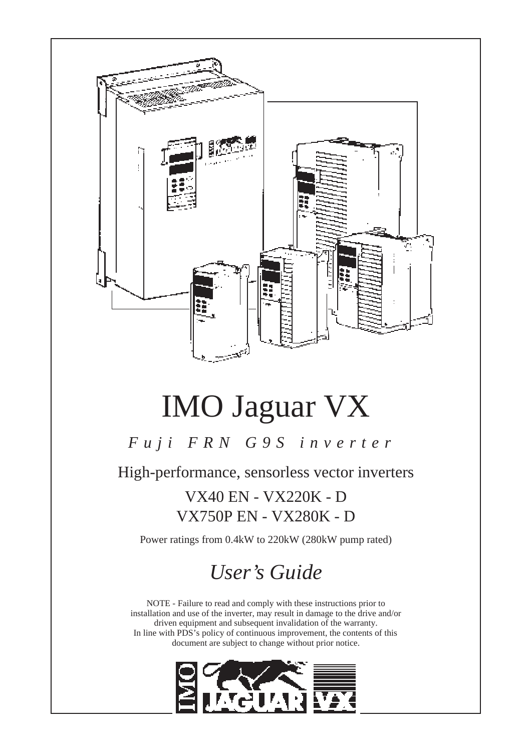

# IMO Jaguar VX

## *Fuji FRN G9S inverter*

High-performance, sensorless vector inverters

VX40 EN - VX220K - D VX750P EN - VX280K - D

Power ratings from 0.4kW to 220kW (280kW pump rated)

## *User's Guide*

NOTE - Failure to read and comply with these instructions prior to installation and use of the inverter, may result in damage to the drive and/or driven equipment and subsequent invalidation of the warranty. In line with PDS's policy of continuous improvement, the contents of this document are subject to change without prior notice.

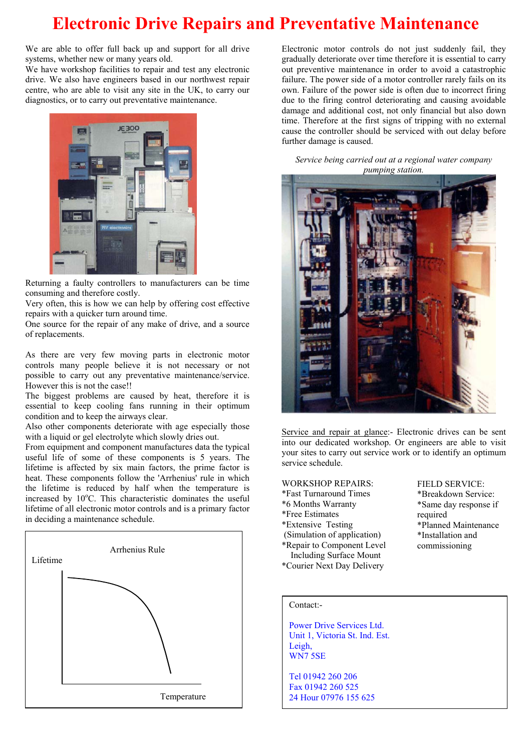## **Electronic Drive Repairs and Preventative Maintenance**

We are able to offer full back up and support for all drive systems, whether new or many years old.

We have workshop facilities to repair and test any electronic drive. We also have engineers based in our northwest repair centre, who are able to visit any site in the UK, to carry our diagnostics, or to carry out preventative maintenance.



Returning a faulty controllers to manufacturers can be time consuming and therefore costly.

Very often, this is how we can help by offering cost effective repairs with a quicker turn around time.

One source for the repair of any make of drive, and a source of replacements.

As there are very few moving parts in electronic motor controls many people believe it is not necessary or not possible to carry out any preventative maintenance/service. However this is not the case!!

The biggest problems are caused by heat, therefore it is essential to keep cooling fans running in their optimum condition and to keep the airways clear.

Also other components deteriorate with age especially those with a liquid or gel electrolyte which slowly dries out.

From equipment and component manufactures data the typical useful life of some of these components is 5 years. The lifetime is affected by six main factors, the prime factor is heat. These components follow the 'Arrhenius' rule in which the lifetime is reduced by half when the temperature is increased by 10°C. This characteristic dominates the useful lifetime of all electronic motor controls and is a primary factor in deciding a maintenance schedule.



Electronic motor controls do not just suddenly fail, they gradually deteriorate over time therefore it is essential to carry out preventive maintenance in order to avoid a catastrophic failure. The power side of a motor controller rarely fails on its own. Failure of the power side is often due to incorrect firing due to the firing control deteriorating and causing avoidable damage and additional cost, not only financial but also down time. Therefore at the first signs of tripping with no external cause the controller should be serviced with out delay before further damage is caused.

*Service being carried out at a regional water company pumping station.* 



Service and repair at glance:- Electronic drives can be sent into our dedicated workshop. Or engineers are able to visit your sites to carry out service work or to identify an optimum service schedule.

#### WORKSHOP REPAIRS:

- \*Fast Turnaround Times
- \*6 Months Warranty
- \*Free Estimates
- \*Extensive Testing
- (Simulation of application) \*Repair to Component Level
- Including Surface Mount
- 

FIELD SERVICE: \*Breakdown Service: \*Same day response if required \*Planned Maintenance \*Installation and commissioning

#### Contact:-

Power Drive Services Ltd. Unit 1, Victoria St. Ind. Est. Leigh, WN7 5SE

Tel 01942 260 206 Fax 01942 260 525 24 Hour 07976 155 625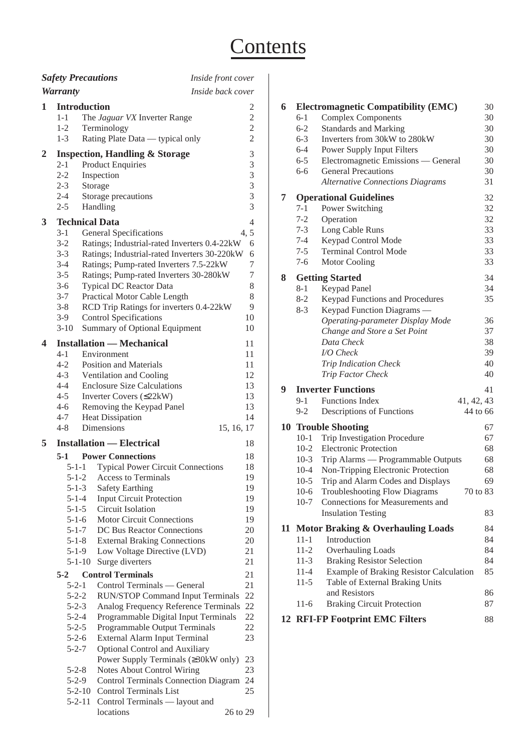## **Contents**

|   |                            | <b>Safety Precautions</b>                                               | Inside front cover |
|---|----------------------------|-------------------------------------------------------------------------|--------------------|
|   | <b>Warranty</b>            |                                                                         | Inside back cover  |
| 1 |                            | <b>Introduction</b>                                                     | 2                  |
|   | $1 - 1$                    | The Jaguar VX Inverter Range                                            | $\mathbf{2}$       |
|   | $1 - 2$                    | Terminology                                                             | $\overline{c}$     |
|   | $1 - 3$                    | Rating Plate Data — typical only                                        | $\overline{2}$     |
| 2 |                            | <b>Inspection, Handling &amp; Storage</b>                               | 3                  |
|   | $2 - 1$                    | <b>Product Enquiries</b>                                                | 3                  |
|   | $2 - 2$                    | Inspection                                                              | 3                  |
|   | $2 - 3$<br>$2 - 4$         | Storage                                                                 | 3<br>3             |
|   | $2 - 5$                    | Storage precautions<br>Handling                                         | 3                  |
| 3 |                            | <b>Technical Data</b>                                                   | 4                  |
|   | $3-1$                      | <b>General Specifications</b>                                           | 4, 5               |
|   | $3 - 2$                    | Ratings; Industrial-rated Inverters 0.4-22kW                            | 6                  |
|   | $3 - 3$                    | Ratings; Industrial-rated Inverters 30-220kW                            | 6                  |
|   | $3-4$                      | Ratings; Pump-rated Inverters 7.5-22kW                                  | 7                  |
|   | $3 - 5$                    | Ratings; Pump-rated Inverters 30-280kW                                  | 7                  |
|   | $3-6$                      | Typical DC Reactor Data                                                 | 8                  |
|   | $3 - 7$<br>$3 - 8$         | Practical Motor Cable Length<br>RCD Trip Ratings for inverters 0.4-22kW | 8<br>9             |
|   | $3-9$                      | <b>Control Specifications</b>                                           | 10                 |
|   | $3-10$                     | <b>Summary of Optional Equipment</b>                                    | 10                 |
| 4 |                            | <b>Installation — Mechanical</b>                                        | 11                 |
|   | $4 - 1$                    | Environment                                                             | 11                 |
|   | $4 - 2$                    | <b>Position and Materials</b>                                           | 11                 |
|   | $4 - 3$                    | Ventilation and Cooling                                                 | 12                 |
|   | $4 - 4$                    | <b>Enclosure Size Calculations</b>                                      | 13                 |
|   | $4 - 5$<br>$4 - 6$         | Inverter Covers $(\leq 22kW)$<br>Removing the Keypad Panel              | 13<br>13           |
|   | $4 - 7$                    | <b>Heat Dissipation</b>                                                 | 14                 |
|   | $4 - 8$                    | Dimensions                                                              | 15, 16, 17         |
| 5 |                            | <b>Installation — Electrical</b>                                        | 18                 |
|   | 5-1                        | <b>Power Connections</b>                                                | 18                 |
|   | $5 - 1 - 1$                | <b>Typical Power Circuit Connections</b>                                | 18                 |
|   | $5 - 1 - 2$                | Access to Terminals                                                     | 19                 |
|   | $5 - 1 - 3$                | <b>Safety Earthing</b>                                                  | 19                 |
|   | $5 - 1 - 4$                | <b>Input Circuit Protection</b>                                         | 19                 |
|   | $5 - 1 - 5$                | Circuit Isolation                                                       | 19                 |
|   | $5 - 1 - 6$<br>$5 - 1 - 7$ | <b>Motor Circuit Connections</b><br>DC Bus Reactor Connections          | 19<br>20           |
|   | $5 - 1 - 8$                | <b>External Braking Connections</b>                                     | 20                 |
|   | $5 - 1 - 9$                | Low Voltage Directive (LVD)                                             | 21                 |
|   | $5 - 1 - 10$               | Surge diverters                                                         | 21                 |
|   | $5-2$                      | <b>Control Terminals</b>                                                | 21                 |
|   | $5 - 2 - 1$                | Control Terminals — General                                             | 21                 |
|   | $5 - 2 - 2$                | <b>RUN/STOP Command Input Terminals</b>                                 | 22                 |
|   | $5 - 2 - 3$                | Analog Frequency Reference Terminals                                    | 22                 |
|   | $5 - 2 - 4$<br>$5 - 2 - 5$ | Programmable Digital Input Terminals<br>Programmable Output Terminals   | 22<br>22           |
|   | $5 - 2 - 6$                | External Alarm Input Terminal                                           | 23                 |
|   | $5 - 2 - 7$                | Optional Control and Auxiliary                                          |                    |
|   |                            | Power Supply Terminals (≥30kW only)                                     | 23                 |
|   | $5 - 2 - 8$                | <b>Notes About Control Wiring</b>                                       | 23                 |
|   | $5 - 2 - 9$                | <b>Control Terminals Connection Diagram</b>                             | 24                 |
|   |                            | <b>Control Terminals List</b><br>$5 - 2 - 10$                           | 25                 |
|   | $5 - 2 - 11$               | Control Terminals — layout and<br>locations                             | 26 to 29           |
|   |                            |                                                                         |                    |

| 6  |          | <b>Electromagnetic Compatibility (EMC)</b>       | 30 |
|----|----------|--------------------------------------------------|----|
|    | $6 - 1$  | <b>Complex Components</b>                        | 30 |
|    | $6 - 2$  | <b>Standards and Marking</b>                     | 30 |
|    | $6 - 3$  | Inverters from 30kW to 280kW                     | 30 |
|    | $6 - 4$  | Power Supply Input Filters                       | 30 |
|    | $6 - 5$  | Electromagnetic Emissions — General              | 30 |
|    | 6-6      | <b>General Precautions</b>                       | 30 |
|    |          | <b>Alternative Connections Diagrams</b>          | 31 |
| 7  |          | <b>Operational Guidelines</b>                    | 32 |
|    | $7-1$    | Power Switching                                  | 32 |
|    | $7 - 2$  | Operation                                        | 32 |
|    | $7 - 3$  | Long Cable Runs                                  | 33 |
|    | $7 - 4$  | Keypad Control Mode                              | 33 |
|    | $7 - 5$  | <b>Terminal Control Mode</b>                     | 33 |
|    | $7 - 6$  | <b>Motor Cooling</b>                             | 33 |
| 8  |          | <b>Getting Started</b>                           | 34 |
|    | $8 - 1$  | Keypad Panel                                     | 34 |
|    | $8-2$    | Keypad Functions and Procedures                  | 35 |
|    | $8-3$    | Keypad Function Diagrams -                       |    |
|    |          | Operating-parameter Display Mode                 | 36 |
|    |          | Change and Store a Set Point                     | 37 |
|    |          | Data Check                                       | 38 |
|    |          | <b>I/O</b> Check                                 | 39 |
|    |          | Trip Indication Check                            | 40 |
|    |          | Trip Factor Check                                | 40 |
| 9  |          | <b>Inverter Functions</b>                        | 41 |
|    | $9-1$    | <b>Functions Index</b><br>41, 42, 43             |    |
|    | $9 - 2$  | Descriptions of Functions<br>44 to 66            |    |
| 10 |          | <b>Trouble Shooting</b>                          | 67 |
|    | $10-1$   | Trip Investigation Procedure                     | 67 |
|    | $10-2$   | <b>Electronic Protection</b>                     | 68 |
|    | $10-3$   | Trip Alarms - Programmable Outputs               | 68 |
|    | $10 - 4$ | Non-Tripping Electronic Protection               | 68 |
|    | $10-5$   | Trip and Alarm Codes and Displays                | 69 |
|    | $10-6$   | <b>Troubleshooting Flow Diagrams</b><br>70 to 83 |    |
|    | $10-7$   | Connections for Measurements and                 |    |
|    |          | <b>Insulation Testing</b>                        | 83 |
|    |          | 11 Motor Braking & Overhauling Loads             | 84 |
|    | $11 - 1$ | Introduction                                     | 84 |
|    | $11 - 2$ | <b>Overhauling Loads</b>                         | 84 |
|    | $11-3$   | <b>Braking Resistor Selection</b>                | 84 |
|    | $11-4$   | <b>Example of Braking Resistor Calculation</b>   | 85 |
|    | $11-5$   | Table of External Braking Units                  |    |
|    |          | and Resistors                                    | 86 |
|    | $11-6$   | <b>Braking Circuit Protection</b>                | 87 |
|    |          | <b>12 RFI-FP Footprint EMC Filters</b>           | 88 |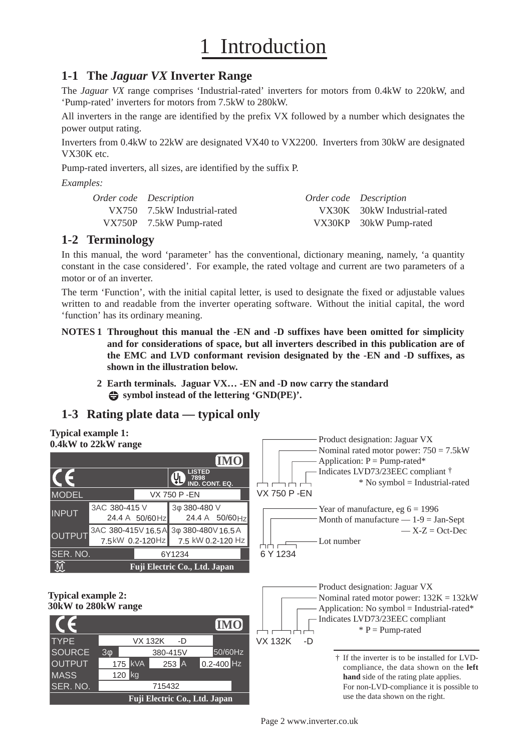## **Introduction**

### **1-1 The** *Jaguar VX* **Inverter Range**

The *Jaguar VX* range comprises 'Industrial-rated' inverters for motors from 0.4kW to 220kW, and 'Pump-rated' inverters for motors from 7.5kW to 280kW.

All inverters in the range are identified by the prefix VX followed by a number which designates the power output rating.

Inverters from 0.4kW to 22kW are designated VX40 to VX2200. Inverters from 30kW are designated VX30K etc.

Pump-rated inverters, all sizes, are identified by the suffix P.

*Examples:*

| <i>Order code Description</i> | <i>Order code Description</i> |
|-------------------------------|-------------------------------|
| VX750 7.5 kW Industrial-rated | VX30K 30kW Industrial-rated   |
| VX750P 7.5kW Pump-rated       | VX30KP 30kW Pump-rated        |

### **1-2 Terminology**

In this manual, the word 'parameter' has the conventional, dictionary meaning, namely, 'a quantity constant in the case considered'. For example, the rated voltage and current are two parameters of a motor or of an inverter.

The term 'Function', with the initial capital letter, is used to designate the fixed or adjustable values written to and readable from the inverter operating software. Without the initial capital, the word 'function' has its ordinary meaning.

- **NOTES 1 Throughout this manual the -EN and -D suffixes have been omitted for simplicity and for considerations of space, but all inverters described in this publication are of the EMC and LVD conformant revision designated by the -EN and -D suffixes, as shown in the illustration below.**
	- **2 Earth terminals. Jaguar VX… -EN and -D now carry the standard symbol instead of the lettering 'GND(PE)'.**

### **1-3 Rating plate data — typical only**

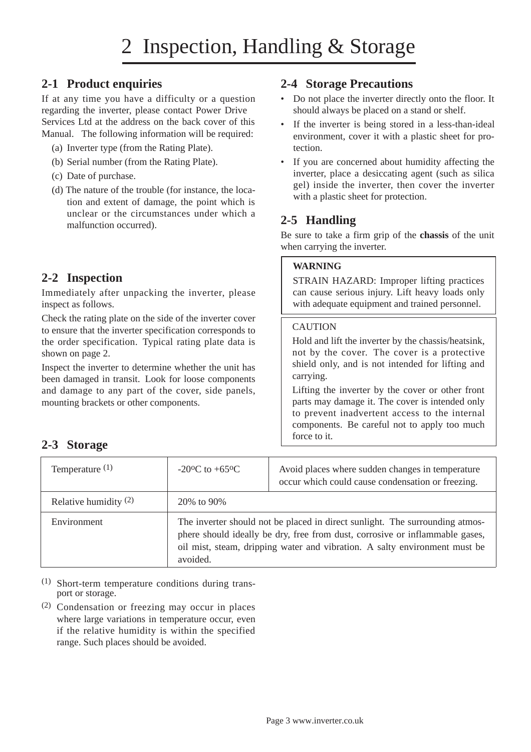### **2-1 Product enquiries**

If at any time you have a difficulty or a question regarding the inverter, please contact Power Drive Services Ltd at the address on the back cover of this Manual. The following information will be required:

- (a) Inverter type (from the Rating Plate).
- (b) Serial number (from the Rating Plate).
- (c) Date of purchase.
- (d) The nature of the trouble (for instance, the location and extent of damage, the point which is unclear or the circumstances under which a malfunction occurred).

### **2-2 Inspection**

Immediately after unpacking the inverter, please inspect as follows.

Check the rating plate on the side of the inverter cover to ensure that the inverter specification corresponds to the order specification. Typical rating plate data is shown on page 2.

Inspect the inverter to determine whether the unit has been damaged in transit. Look for loose components and damage to any part of the cover, side panels, mounting brackets or other components.

### **2-4 Storage Precautions**

- Do not place the inverter directly onto the floor. It should always be placed on a stand or shelf.
- If the inverter is being stored in a less-than-ideal environment, cover it with a plastic sheet for protection.
- If you are concerned about humidity affecting the inverter, place a desiccating agent (such as silica gel) inside the inverter, then cover the inverter with a plastic sheet for protection.

### **2-5 Handling**

Be sure to take a firm grip of the **chassis** of the unit when carrying the inverter.

### **WARNING**

STRAIN HAZARD: Improper lifting practices can cause serious injury. Lift heavy loads only with adequate equipment and trained personnel.

### CAUTION

Hold and lift the inverter by the chassis/heatsink, not by the cover. The cover is a protective shield only, and is not intended for lifting and carrying.

Lifting the inverter by the cover or other front parts may damage it. The cover is intended only to prevent inadvertent access to the internal components. Be careful not to apply too much force to it.

### **2-3 Storage**

| Temperature $(1)$       | $-20^{\circ}$ C to $+65^{\circ}$ C | Avoid places where sudden changes in temperature<br>occur which could cause condensation or freezing.                                                                                                                                      |  |  |  |  |
|-------------------------|------------------------------------|--------------------------------------------------------------------------------------------------------------------------------------------------------------------------------------------------------------------------------------------|--|--|--|--|
| Relative humidity $(2)$ | 20% to 90%                         |                                                                                                                                                                                                                                            |  |  |  |  |
| Environment             | avoided.                           | The inverter should not be placed in direct sunlight. The surrounding atmos-<br>phere should ideally be dry, free from dust, corrosive or inflammable gases,<br>oil mist, steam, dripping water and vibration. A salty environment must be |  |  |  |  |

(1) Short-term temperature conditions during transport or storage.

(2) Condensation or freezing may occur in places where large variations in temperature occur, even if the relative humidity is within the specified range. Such places should be avoided.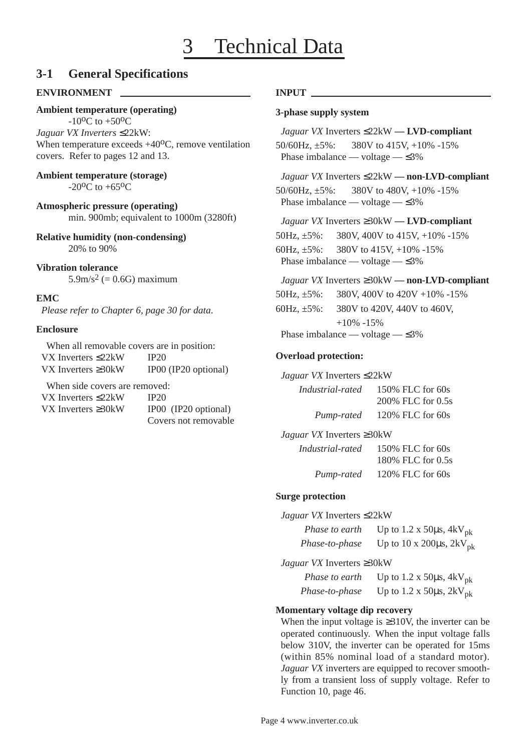### **3-1 General Specifications**

### **ENVIRONMENT**

### **Ambient temperature (operating)**

 $-10^{0}C$  to  $+50^{0}C$ *Jaguar VX Inverters* ≤22kW: When temperature exceeds  $+40^{\circ}$ C, remove ventilation covers. Refer to pages 12 and 13.

**Ambient temperature (storage)** -20<sup>o</sup>C to  $+65$ <sup>o</sup>C

**Atmospheric pressure (operating)** min. 900mb; equivalent to 1000m (3280ft)

**Relative humidity (non-condensing)** 20% to 90%

### **Vibration tolerance**

 $5.9 \text{m/s}^2$  (= 0.6G) maximum

#### **EMC**

*Please refer to Chapter 6, page 30 for data*.

### **Enclosure**

When all removable covers are in position: VX Inverters ≤22kW IP20 VX Inverters ≥30kW IP00 (IP20 optional)

When side covers are removed:

| VX Inverters $\leq$ 22kW  | IP20                |
|---------------------------|---------------------|
| VX Inverters $\geq 30$ kW | IP <sub>0</sub> (0) |
|                           | $\Gamma$            |

V<sub>0</sub> (IP20 optional) Covers not removable

#### **INPUT**

#### **3-phase supply system**

*Jaguar VX* Inverters ≤22kW **— LVD-compliant** 50/60Hz, ±5%: 380V to 415V, +10% -15% Phase imbalance — voltage —  $\leq 3\%$ 

*Jaguar VX* Inverters ≤22kW **— non-LVD-compliant** 50/60Hz, ±5%: 380V to 480V, +10% -15% Phase imbalance — voltage —  $\leq 3\%$ 

*Jaguar VX* Inverters ≥30kW **— LVD-compliant**

50Hz, ±5%: 380V, 400V to 415V, +10% -15%

60Hz, ±5%: 380V to 415V, +10% -15% Phase imbalance — voltage — ≤3%

### *Jaguar VX* Inverters ≥30kW **— non-LVD-compliant**

50Hz, ±5%: 380V, 400V to 420V +10% -15%

60Hz, ±5%: 380V to 420V, 440V to 460V,

 $+10\% -15\%$ Phase imbalance — voltage — ≤3%

### **Overload protection:**

#### *Jaguar VX* Inverters ≤22kW

*Industrial-rated* 150% FLC for 60s 200% FLC for 0.5s *Pump-rated* 120% FLC for 60s

### *Jaguar VX* Inverters ≥30kW

*Industrial-rated* 150% FLC for 60s 180% FLC for 0.5s *Pump-rated* 120% FLC for 60s

#### **Surge protection**

*Jaguar VX* Inverters ≤22kW

| Phase to earth | Up to 1.2 x 50 $\mu$ s, 4kV <sub>pk</sub> |
|----------------|-------------------------------------------|
| Phase-to-phase | Up to 10 x 200 $\mu$ s, 2kV <sub>pk</sub> |

*Jaguar VX* Inverters ≥30kW

| Phase to earth | Up to 1.2 x 50 $\mu$ s, 4kV <sub>pk</sub> |
|----------------|-------------------------------------------|
| Phase-to-phase | Up to 1.2 x 50 $\mu$ s, 2kV <sub>pk</sub> |

### **Momentary voltage dip recovery**

When the input voltage is  $\geq$ 310V, the inverter can be operated continuously. When the input voltage falls below 310V, the inverter can be operated for 15ms (within 85% nominal load of a standard motor). *Jaguar VX* inverters are equipped to recover smoothly from a transient loss of supply voltage. Refer to Function 10, page 46.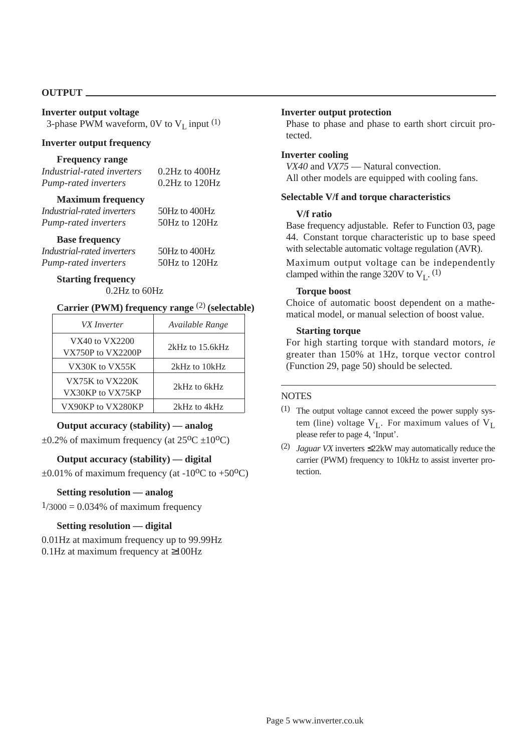#### **OUTPUT**

#### **Inverter output voltage** 3-phase PWM waveform, 0V to  $V_L$  input  $(1)$

#### **Inverter output frequency**

#### **Frequency range**

| Industrial-rated inverters | $0.2$ Hz to $400$ Hz |
|----------------------------|----------------------|
| Pump-rated inverters       | $0.2$ Hz to $120$ Hz |
|                            |                      |

### **Maximum frequency**

| Industrial-rated inverters | 50Hz to 400Hz |
|----------------------------|---------------|
| Pump-rated inverters       | 50Hz to 120Hz |

#### **Base frequency**

*Industrial-rated inverters* 50Hz to 400Hz *Pump-rated inverters* 50Hz to 120Hz

### **Starting frequency**

0.2Hz to 60Hz

#### **Carrier (PWM) frequency range** (2) **(selectable)**

| VX Inverter                         | Available Range     |
|-------------------------------------|---------------------|
| VX40 to VX2200<br>VX750P to VX2200P | $2kHz$ to $15.6kHz$ |
| VX30K to VX55K                      | 2kHz to 10kHz       |
| VX75K to VX220K<br>VX30KP to VX75KP | 2kHz to 6kHz        |
| VX90KP to VX280KP                   | 2kHz to 4kHz        |

#### **Output accuracy (stability) — analog**

 $\pm 0.2$ % of maximum frequency (at  $25^{\circ}C \pm 10^{\circ}C$ )

### **Output accuracy (stability) — digital**

 $\pm 0.01\%$  of maximum frequency (at -10<sup>o</sup>C to +50<sup>o</sup>C)

#### **Setting resolution — analog**

 $1/3000 = 0.034\%$  of maximum frequency

#### **Setting resolution — digital**

0.01Hz at maximum frequency up to 99.99Hz 0.1Hz at maximum frequency at ≥100Hz

#### **Inverter output protection**

Phase to phase and phase to earth short circuit protected.

#### **Inverter cooling**

*VX40* and *VX75* — Natural convection. All other models are equipped with cooling fans.

#### **Selectable V/f and torque characteristics**

#### **V/f ratio**

Base frequency adjustable. Refer to Function 03, page 44. Constant torque characteristic up to base speed with selectable automatic voltage regulation (AVR).

Maximum output voltage can be independently clamped within the range 320V to  $V_L$ . (1)

#### **Torque boost**

Choice of automatic boost dependent on a mathematical model, or manual selection of boost value.

#### **Starting torque**

For high starting torque with standard motors, *ie* greater than 150% at 1Hz, torque vector control (Function 29, page 50) should be selected.

#### **NOTES**

- (1) The output voltage cannot exceed the power supply system (line) voltage  $V_L$ . For maximum values of  $V_L$ please refer to page 4, 'Input'.
- (2) *Jaguar VX* inverters ≤22kW may automatically reduce the carrier (PWM) frequency to 10kHz to assist inverter protection.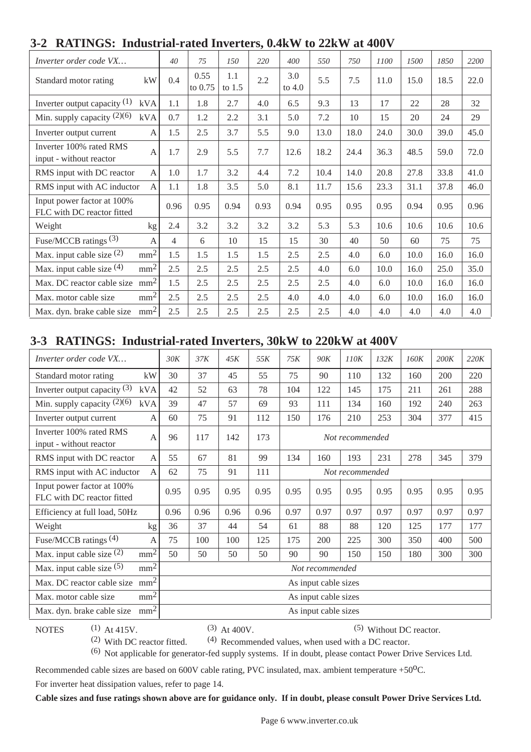| WILLINGS. MUUSU KI-LARU MYVLIVLIS, VITATT IV <i>LE</i> IATT ALTUUT |                 |                |                 |                 |      |                 |      |      |      |      |      |      |
|--------------------------------------------------------------------|-----------------|----------------|-----------------|-----------------|------|-----------------|------|------|------|------|------|------|
| Inverter order code VX                                             |                 | 40             | 75              | 150             | 220  | 400             | 550  | 750  | 1100 | 1500 | 1850 | 2200 |
| Standard motor rating                                              | kW              | 0.4            | 0.55<br>to 0.75 | 1.1<br>to $1.5$ | 2.2  | 3.0<br>to $4.0$ | 5.5  | 7.5  | 11.0 | 15.0 | 18.5 | 22.0 |
| Inverter output capacity $(1)$                                     | kVA             | 1.1            | 1.8             | 2.7             | 4.0  | 6.5             | 9.3  | 13   | 17   | 22   | 28   | 32   |
| Min. supply capacity $(2)(6)$                                      | kVA             | 0.7            | 1.2             | 2.2             | 3.1  | 5.0             | 7.2  | 10   | 15   | 20   | 24   | 29   |
| Inverter output current                                            | A               | 1.5            | 2.5             | 3.7             | 5.5  | 9.0             | 13.0 | 18.0 | 24.0 | 30.0 | 39.0 | 45.0 |
| Inverter 100% rated RMS<br>input - without reactor                 | A               | 1.7            | 2.9             | 5.5             | 7.7  | 12.6            | 18.2 | 24.4 | 36.3 | 48.5 | 59.0 | 72.0 |
| RMS input with DC reactor                                          | A               | 1.0            | 1.7             | 3.2             | 4.4  | 7.2             | 10.4 | 14.0 | 20.8 | 27.8 | 33.8 | 41.0 |
| RMS input with AC inductor                                         | $\mathsf{A}$    | 1.1            | 1.8             | 3.5             | 5.0  | 8.1             | 11.7 | 15.6 | 23.3 | 31.1 | 37.8 | 46.0 |
| Input power factor at 100%<br>FLC with DC reactor fitted           |                 | 0.96           | 0.95            | 0.94            | 0.93 | 0.94            | 0.95 | 0.95 | 0.95 | 0.94 | 0.95 | 0.96 |
| Weight                                                             | kg              | 2.4            | 3.2             | 3.2             | 3.2  | 3.2             | 5.3  | 5.3  | 10.6 | 10.6 | 10.6 | 10.6 |
| Fuse/MCCB ratings $(3)$                                            | A               | $\overline{4}$ | 6               | 10              | 15   | 15              | 30   | 40   | 50   | 60   | 75   | 75   |
| Max. input cable size $(2)$                                        | mm <sup>2</sup> | 1.5            | 1.5             | 1.5             | 1.5  | 2.5             | 2.5  | 4.0  | 6.0  | 10.0 | 16.0 | 16.0 |
| Max. input cable size $(4)$                                        | mm <sup>2</sup> | 2.5            | 2.5             | 2.5             | 2.5  | 2.5             | 4.0  | 6.0  | 10.0 | 16.0 | 25.0 | 35.0 |
| Max. DC reactor cable size mm <sup>2</sup>                         |                 | 1.5            | 2.5             | 2.5             | 2.5  | 2.5             | 2.5  | 4.0  | 6.0  | 10.0 | 16.0 | 16.0 |
| Max. motor cable size                                              | mm <sup>2</sup> | 2.5            | 2.5             | 2.5             | 2.5  | 4.0             | 4.0  | 4.0  | 6.0  | 10.0 | 16.0 | 16.0 |
| Max. dyn. brake cable size                                         | mm <sup>2</sup> | 2.5            | 2.5             | 2.5             | 2.5  | 2.5             | 2.5  | 4.0  | 4.0  | 4.0  | 4.0  | 4.0  |

### **3-2 RATINGS: Industrial-rated Inverters, 0.4kW to 22kW at 400V**

### **3-3 RATINGS: Industrial-rated Inverters, 30kW to 220kW at 400V**

| Inverter order code VX                                   |                 | 30K  | 37K  | 45K  | 55K  | 75K             | <b>90K</b>           | 110K            | 132K | 160K | 200K | 220K |
|----------------------------------------------------------|-----------------|------|------|------|------|-----------------|----------------------|-----------------|------|------|------|------|
| Standard motor rating                                    | kW              | 30   | 37   | 45   | 55   | 75              | 90                   | 110             | 132  | 160  | 200  | 220  |
| Inverter output capacity $(3)$                           | kVA             | 42   | 52   | 63   | 78   | 104             | 122                  | 145             | 175  | 211  | 261  | 288  |
| Min. supply capacity $(2)(6)$                            | kVA             | 39   | 47   | 57   | 69   | 93              | 111                  | 134             | 160  | 192  | 240  | 263  |
| Inverter output current                                  | A               | 60   | 75   | 91   | 112  | 150             | 176                  | 210             | 253  | 304  | 377  | 415  |
| Inverter 100% rated RMS<br>input - without reactor       | $\mathbf{A}$    | 96   | 117  | 142  | 173  |                 |                      | Not recommended |      |      |      |      |
| RMS input with DC reactor                                | A               | 55   | 67   | 81   | 99   | 134             | 160                  | 193             | 231  | 278  | 345  | 379  |
| RMS input with AC inductor                               | A               | 62   | 75   | 91   | 111  | Not recommended |                      |                 |      |      |      |      |
| Input power factor at 100%<br>FLC with DC reactor fitted |                 | 0.95 | 0.95 | 0.95 | 0.95 | 0.95            | 0.95                 | 0.95            | 0.95 | 0.95 | 0.95 | 0.95 |
| Efficiency at full load, 50Hz                            |                 | 0.96 | 0.96 | 0.96 | 0.96 | 0.97            | 0.97                 | 0.97            | 0.97 | 0.97 | 0.97 | 0.97 |
| Weight                                                   | kg              | 36   | 37   | 44   | 54   | 61              | 88                   | 88              | 120  | 125  | 177  | 177  |
| Fuse/MCCB ratings (4)                                    | $\overline{A}$  | 75   | 100  | 100  | 125  | 175             | 200                  | 225             | 300  | 350  | 400  | 500  |
| Max. input cable size $(2)$                              | mm <sup>2</sup> | 50   | 50   | 50   | 50   | 90              | 90                   | 150             | 150  | 180  | 300  | 300  |
| Max. input cable size $(5)$                              | mm <sup>2</sup> |      |      |      |      |                 | Not recommended      |                 |      |      |      |      |
| Max. DC reactor cable size                               | mm <sup>2</sup> |      |      |      |      |                 | As input cable sizes |                 |      |      |      |      |
| Max. motor cable size                                    | mm <sup>2</sup> |      |      |      |      |                 | As input cable sizes |                 |      |      |      |      |
| Max. dyn. brake cable size                               | mm <sup>2</sup> |      |      |      |      |                 | As input cable sizes |                 |      |      |      |      |

NOTES  $(1)$  At 415V.  $(3)$  At 400V.  $(5)$  Without DC reactor.

(2) With DC reactor fitted.  $(4)$  Recommended values, when used with a DC reactor.

(6) Not applicable for generator-fed supply systems. If in doubt, please contact Power Drive Services Ltd.

Recommended cable sizes are based on 600V cable rating, PVC insulated, max. ambient temperature +50<sup>o</sup>C.

For inverter heat dissipation values, refer to page 14.

**Cable sizes and fuse ratings shown above are for guidance only. If in doubt, please consult Power Drive Services Ltd.**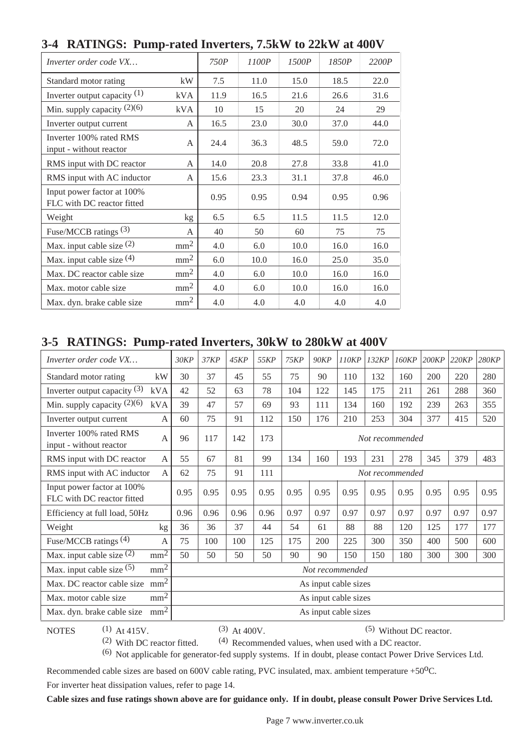| л.<br>Inverter order code VX                             |                 | 750P | 1100P | 1500P | 1850P | 2200P |
|----------------------------------------------------------|-----------------|------|-------|-------|-------|-------|
| Standard motor rating                                    | kW              | 7.5  | 11.0  | 15.0  | 18.5  | 22.0  |
| Inverter output capacity $(1)$                           | kVA             | 11.9 | 16.5  | 21.6  | 26.6  | 31.6  |
| Min. supply capacity $(2)(6)$                            | kVA             | 10   | 15    | 20    | 24    | 29    |
| Inverter output current                                  | A               | 16.5 | 23.0  | 30.0  | 37.0  | 44.0  |
| Inverter 100% rated RMS<br>input - without reactor       | A               | 24.4 | 36.3  | 48.5  | 59.0  | 72.0  |
| RMS input with DC reactor                                | A               | 14.0 | 20.8  | 27.8  | 33.8  | 41.0  |
| RMS input with AC inductor                               | A               | 15.6 | 23.3  | 31.1  | 37.8  | 46.0  |
| Input power factor at 100%<br>FLC with DC reactor fitted |                 | 0.95 | 0.95  | 0.94  | 0.95  | 0.96  |
| Weight                                                   | kg              | 6.5  | 6.5   | 11.5  | 11.5  | 12.0  |
| Fuse/MCCB ratings $(3)$                                  | A               | 40   | 50    | 60    | 75    | 75    |
| Max. input cable size $(2)$                              | mm <sup>2</sup> | 4.0  | 6.0   | 10.0  | 16.0  | 16.0  |
| Max. input cable size $(4)$                              | mm <sup>2</sup> | 6.0  | 10.0  | 16.0  | 25.0  | 35.0  |
| Max. DC reactor cable size                               | $\mathbf{m}^2$  | 4.0  | 6.0   | 10.0  | 16.0  | 16.0  |
| Max. motor cable size.                                   | $\mathbf{m}^2$  | 4.0  | 6.0   | 10.0  | 16.0  | 16.0  |
| Max. dyn. brake cable size                               | mm <sup>2</sup> | 4.0  | 4.0   | 4.0   | 4.0   | 4.0   |

### **3-4 RATINGS: Pump-rated Inverters, 7.5kW to 22kW at 400V**

### **3-5 RATINGS: Pump-rated Inverters, 30kW to 280kW at 400V**

| Inverter order code VX                                   |                                               | 30KP                                                                 | 37KP                                                            | 45KP                          | 55KP | 75KP | <b>90KP</b> | 110KP                | 132KP | 160KP | 200KP | 220KP | 280KP |
|----------------------------------------------------------|-----------------------------------------------|----------------------------------------------------------------------|-----------------------------------------------------------------|-------------------------------|------|------|-------------|----------------------|-------|-------|-------|-------|-------|
| Standard motor rating                                    | kW                                            | 30                                                                   | 37                                                              | 45                            | 55   | 75   | 90          | 110                  | 132   | 160   | 200   | 220   | 280   |
| Inverter output capacity $(3)$                           | <b>kVA</b>                                    | 42                                                                   | 52                                                              | 63                            | 78   | 104  | 122         | 145                  | 175   | 211   | 261   | 288   | 360   |
| Min. supply capacity $(2)(6)$                            | kVA                                           | 39                                                                   | 47                                                              | 57                            | 69   | 93   | 111         | 134                  | 160   | 192   | 239   | 263   | 355   |
| Inverter output current                                  | $\overline{A}$                                | 60                                                                   | 75                                                              | 91                            | 112  | 150  | 176         | 210                  | 253   | 304   | 377   | 415   | 520   |
| Inverter 100% rated RMS<br>input - without reactor       | $\mathbf{A}$                                  | 96                                                                   | 117                                                             | 142<br>173<br>Not recommended |      |      |             |                      |       |       |       |       |       |
| RMS input with DC reactor                                | $\mathsf{A}$                                  | 55                                                                   | 379<br>160<br>193<br>345<br>67<br>81<br>99<br>134<br>231<br>278 |                               |      |      |             |                      | 483   |       |       |       |       |
| RMS input with AC inductor                               | 75<br>62<br>91<br>111<br>A<br>Not recommended |                                                                      |                                                                 |                               |      |      |             |                      |       |       |       |       |       |
| Input power factor at 100%<br>FLC with DC reactor fitted |                                               | 0.95<br>0.95<br>0.95<br>0.95<br>0.95<br>0.95<br>0.95<br>0.95<br>0.95 |                                                                 |                               |      |      | 0.95        | 0.95                 | 0.95  |       |       |       |       |
| Efficiency at full load, 50Hz                            |                                               | 0.96                                                                 | 0.96                                                            | 0.96                          | 0.96 | 0.97 | 0.97        | 0.97                 | 0.97  | 0.97  | 0.97  | 0.97  | 0.97  |
| Weight                                                   | kg                                            | 36                                                                   | 36                                                              | 37                            | 44   | 54   | 61          | 88                   | 88    | 120   | 125   | 177   | 177   |
| Fuse/MCCB ratings $(4)$                                  | $\mathbf{A}$                                  | 75                                                                   | 100                                                             | 100                           | 125  | 175  | 200         | 225                  | 300   | 350   | 400   | 500   | 600   |
| Max. input cable size $(2)$                              | $\overline{\text{mm}^2}$                      | 50                                                                   | 50                                                              | 50                            | 50   | 90   | 90          | 150                  | 150   | 180   | 300   | 300   | 300   |
| Max. input cable size $(5)$                              | mm <sup>2</sup>                               |                                                                      |                                                                 |                               |      |      |             | Not recommended      |       |       |       |       |       |
| Max. DC reactor cable size                               | mm <sup>2</sup>                               | As input cable sizes                                                 |                                                                 |                               |      |      |             |                      |       |       |       |       |       |
| Max. motor cable size                                    | mm <sup>2</sup>                               |                                                                      | As input cable sizes                                            |                               |      |      |             |                      |       |       |       |       |       |
| Max. dyn. brake cable size                               | mm <sup>2</sup>                               |                                                                      |                                                                 |                               |      |      |             | As input cable sizes |       |       |       |       |       |

NOTES  $(1)$  At 415V.  $(3)$  At 400V.  $(5)$  Without DC reactor.

(2) With DC reactor fitted.  $(4)$  Recommended values, when used with a DC reactor.

(6) Not applicable for generator-fed supply systems. If in doubt, please contact Power Drive Services Ltd.

Recommended cable sizes are based on 600V cable rating, PVC insulated, max. ambient temperature +50<sup>o</sup>C.

For inverter heat dissipation values, refer to page 14.

**Cable sizes and fuse ratings shown above are for guidance only. If in doubt, please consult Power Drive Services Ltd.**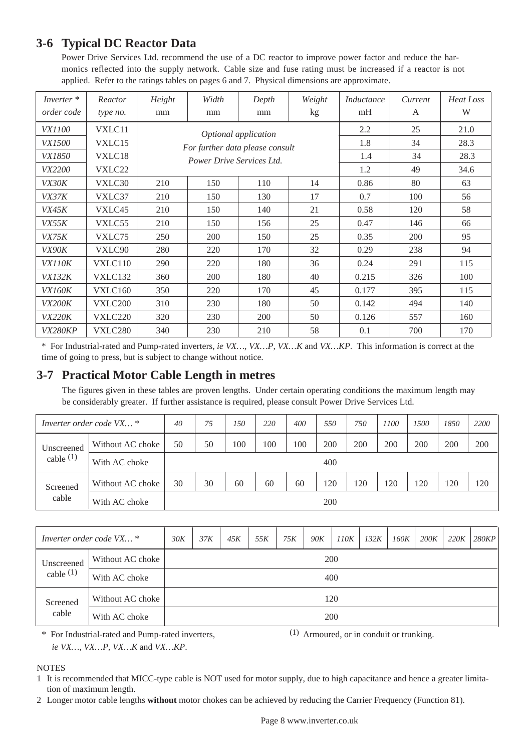### **3-6 Typical DC Reactor Data**

Power Drive Services Ltd. recommend the use of a DC reactor to improve power factor and reduce the harmonics reflected into the supply network. Cable size and fuse rating must be increased if a reactor is not applied. Refer to the ratings tables on pages 6 and 7. Physical dimensions are approximate.

| Inverter <sup>*</sup><br>order code | Reactor<br>type no. | Height<br>mm | Width<br>mm               | Depth<br>mm                     | Weight<br>kg | Inductance<br>mH | Current<br>A | Heat Loss<br>W |
|-------------------------------------|---------------------|--------------|---------------------------|---------------------------------|--------------|------------------|--------------|----------------|
| <i>VX1100</i>                       | VXLC11              |              |                           | Optional application            |              | 2.2              | 25           | 21.0           |
| <i>VX1500</i>                       | VXLC15              |              |                           | For further data please consult |              | 1.8              | 34           | 28.3           |
| <i>VX1850</i>                       | VXLC18              |              | Power Drive Services Ltd. |                                 |              | 1.4              | 34           | 28.3           |
| VX2200                              | VXLC22              |              |                           |                                 |              | 1.2              | 49           | 34.6           |
| VX30K                               | VXLC30              | 210          | 150                       | 110                             | 14           | 0.86             | 80           | 63             |
| VX37K                               | VXLC37              | 210          | 150                       | 130                             | 17           | 0.7              | 100          | 56             |
| VX45K                               | VXLC45              | 210          | 150                       | 140                             | 21           | 0.58             | 120          | 58             |
| VX55K                               | VXLC55              | 210          | 150                       | 156                             | 25           | 0.47             | 146          | 66             |
| VX75K                               | VXLC75              | 250          | 200                       | 150                             | 25           | 0.35             | 200          | 95             |
| VX90K                               | VXLC90              | 280          | 220                       | 170                             | 32           | 0.29             | 238          | 94             |
| VX110K                              | VXLC110             | 290          | 220                       | 180                             | 36           | 0.24             | 291          | 115            |
| <i>VX132K</i>                       | VXLC132             | 360          | 200                       | 180                             | 40           | 0.215            | 326          | 100            |
| <i>VX160K</i>                       | VXLC160             | 350          | 220                       | 170                             | 45           | 0.177            | 395          | 115            |
| <b>VX200K</b>                       | VXLC200             | 310          | 230                       | 180                             | 50           | 0.142            | 494          | 140            |
| <b>VX220K</b>                       | VXLC220             | 320          | 230                       | 200                             | 50           | 0.126            | 557          | 160            |
| VX280KP                             | VXLC280             | 340          | 230                       | 210                             | 58           | 0.1              | 700          | 170            |

\* For Industrial-rated and Pump-rated inverters, *ie VX…, VX…P, VX…K* and *VX…KP*. This information is correct at the time of going to press, but is subject to change without notice.

### **3-7 Practical Motor Cable Length in metres**

The figures given in these tables are proven lengths. Under certain operating conditions the maximum length may be considerably greater. If further assistance is required, please consult Power Drive Services Ltd.

| Inverter order code VX *  |                  | 40 | 75 | 150 | 220 | 400 | 550 | 750 | 1100 | <i>1500</i> | 1850 | 2200 |
|---------------------------|------------------|----|----|-----|-----|-----|-----|-----|------|-------------|------|------|
| Unscreened<br>cable $(1)$ | Without AC choke | 50 | 50 | 100 | 100 | 100 | 200 | 200 | 200  | 200         | 200  | 200  |
|                           | With AC choke    |    |    |     |     |     | 400 |     |      |             |      |      |
| Screened                  | Without AC choke | 30 | 30 | 60  | 60  | 60  | 120 | 120 | 120  | 120         | 120  | 120  |
| cable                     | With AC choke    |    |    |     |     |     | 200 |     |      |             |      |      |

| Inverter order code VX * | 30K              | 37K | 45K | 55K | 75K | 90K | 110K | 132K | 160K | 200K | 220K | 280KP |  |  |
|--------------------------|------------------|-----|-----|-----|-----|-----|------|------|------|------|------|-------|--|--|
| Unscreened               | Without AC choke |     | 200 |     |     |     |      |      |      |      |      |       |  |  |
| cable $(1)$              | With AC choke    |     | 400 |     |     |     |      |      |      |      |      |       |  |  |
| Screened                 | Without AC choke |     | 120 |     |     |     |      |      |      |      |      |       |  |  |
| cable                    | With AC choke    |     |     |     |     |     |      | 200  |      |      |      |       |  |  |

\* For Industrial-rated and Pump-rated inverters,  $(1)$  Armoured, or in conduit or trunking. *ie VX…, VX…P, VX…K* and *VX…KP*.

#### **NOTES**

1 It is recommended that MICC-type cable is NOT used for motor supply, due to high capacitance and hence a greater limitation of maximum length.

2 Longer motor cable lengths **without** motor chokes can be achieved by reducing the Carrier Frequency (Function 81).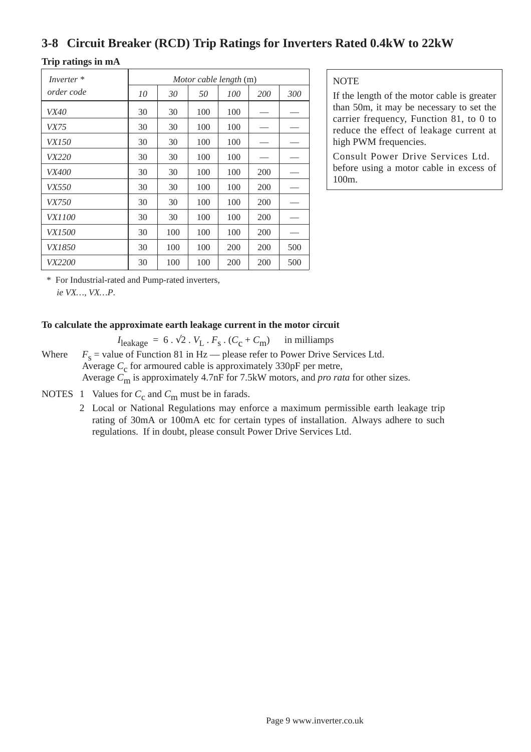### **3-8 Circuit Breaker (RCD) Trip Ratings for Inverters Rated 0.4kW to 22kW**

### **Trip ratings in mA**

| Inverter <sup>*</sup> | Motor cable length (m) |     |     |     |            |     |  |  |  |  |
|-----------------------|------------------------|-----|-----|-----|------------|-----|--|--|--|--|
| order code            | 10                     | 30  | 50  | 100 | <i>200</i> | 300 |  |  |  |  |
| <i>VX40</i>           | 30                     | 30  | 100 | 100 |            |     |  |  |  |  |
| <i>VX75</i>           | 30                     | 30  | 100 | 100 |            |     |  |  |  |  |
| <i>VX150</i>          | 30                     | 30  | 100 | 100 |            |     |  |  |  |  |
| <i>VX220</i>          | 30                     | 30  | 100 | 100 |            |     |  |  |  |  |
| <i>VX400</i>          | 30                     | 30  | 100 | 100 | 200        |     |  |  |  |  |
| <i>VX550</i>          | 30                     | 30  | 100 | 100 | 200        |     |  |  |  |  |
| <i>VX750</i>          | 30                     | 30  | 100 | 100 | 200        |     |  |  |  |  |
| <i>VX1100</i>         | 30                     | 30  | 100 | 100 | 200        |     |  |  |  |  |
| <i>VX1500</i>         | 30                     | 100 | 100 | 100 | 200        |     |  |  |  |  |
| <i>VX1850</i>         | 30                     | 100 | 100 | 200 | 200        | 500 |  |  |  |  |
| <i>VX2200</i>         | 30                     | 100 | 100 | 200 | 200        | 500 |  |  |  |  |

**NOTE** 

If the length of the motor cable is greater than 50m, it may be necessary to set the carrier frequency, Function 81, to 0 to reduce the effect of leakage current at high PWM frequencies.

Consult Power Drive Services Ltd. before using a motor cable in excess of 100m.

\* For Industrial-rated and Pump-rated inverters,

*ie VX…, VX…P*.

### **To calculate the approximate earth leakage current in the motor circuit**

 $I_{\text{leakage}} = 6 \cdot \sqrt{2} \cdot V_L \cdot F_S \cdot (C_C + C_m)$  in milliamps

Where  $F_s$  = value of Function 81 in Hz — please refer to Power Drive Services Ltd. Average *C*<sub>c</sub> for armoured cable is approximately 330pF per metre, Average *C*m is approximately 4.7nF for 7.5kW motors, and *pro rata* for other sizes.

NOTES 1 Values for  $C_c$  and  $C_m$  must be in farads.

2 Local or National Regulations may enforce a maximum permissible earth leakage trip rating of 30mA or 100mA etc for certain types of installation. Always adhere to such regulations. If in doubt, please consult Power Drive Services Ltd.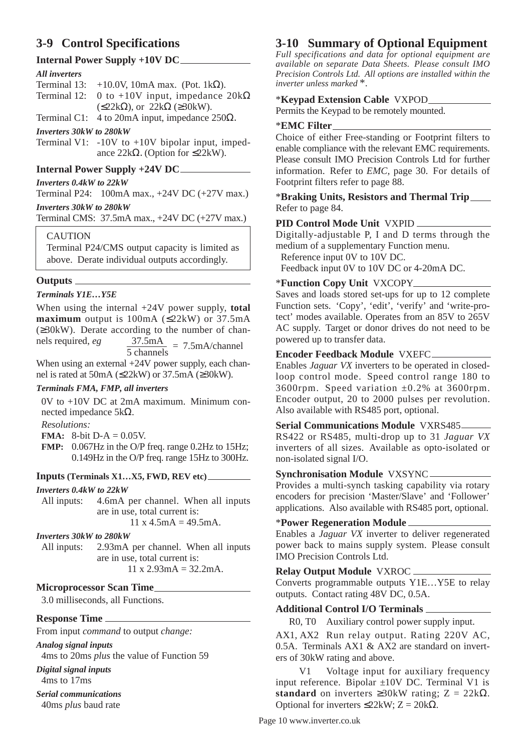### **3-9 Control Specifications**

### **Internal Power Supply +10V DC**

### *All inverters*

Terminal 13: +10.0V, 10mA max. (Pot. 1 $k\Omega$ ). Terminal 12: 0 to +10V input, impedance  $20k\Omega$  $(\leq 22k\Omega)$ , or  $2\overline{2}k\Omega$  ( $\geq 30kW$ ).

Terminal C1: 4 to 20mA input, impedance  $250\Omega$ .

### *Inverters 30kW to 280kW*

Terminal V1:  $-10V$  to  $+10V$  bipolar input, impedance 22k $\Omega$ . (Option for ≤22kW).

### **Internal Power Supply +24V DC**

### *Inverters 0.4kW to 22kW*

Terminal P24: 100mA max., +24V DC (+27V max.)

### *Inverters 30kW to 280kW*

Terminal CMS: 37.5mA max., +24V DC (+27V max.)

### CAUTION

Terminal P24/CMS output capacity is limited as above. Derate individual outputs accordingly.

### **Outputs**

### *Terminals Y1E…Y5E*

When using the internal +24V power supply, **total maximum** output is  $100mA$  ( $\leq 22kW$ ) or  $37.5mA$ (≥30kW). Derate according to the number of channels required,  $eg$   $\frac{37.5 \text{ mA}}{5 \text{ channels}} = 7.5 \text{ mA/channel}$ 

When using an external  $+24V$  power supply, each channel is rated at 50mA (≤22kW) or 37.5mA (≥30kW).

### *Terminals FMA, FMP, all inverters*

0V to +10V DC at 2mA maximum. Minimum connected impedance 5kΩ.

*Resolutions:*

#### **FMA:** 8-bit D-A = 0.05V.

**FMP:** 0.067Hz in the O/P freq. range 0.2Hz to 15Hz; 0.149Hz in the O/P freq. range 15Hz to 300Hz.

### **Inputs (Terminals X1…X5, FWD, REV etc)**

#### *Inverters 0.4kW to 22kW*

All inputs: 4.6mA per channel. When all inputs are in use, total current is:  $11 \times 4.5 \text{ mA} = 49.5 \text{ mA}$ .

#### *Inverters 30kW to 280kW*

All inputs: 2.93mA per channel. When all inputs are in use, total current is:  $11 x 2.93 mA = 32.2 mA.$ 

### **Microprocessor Scan Time**

3.0 milliseconds, all Functions.

#### **Response Time**

From input *command* to output *change:*

*Analog signal inputs*

4ms to 20ms *plus* the value of Function 59

*Digital signal inputs* 4ms to 17ms

*Serial communications* 40ms *plus* baud rate

### **3-10 Summary of Optional Equipment**

*Full specifications and data for optional equipment are available on separate Data Sheets. Please consult IMO Precision Controls Ltd. All options are installed within the inverter unless marked* \*.

### \***Keypad Extension Cable** VXPOD

Permits the Keypad to be remotely mounted.

### \***EMC Filter**

Choice of either Free-standing or Footprint filters to enable compliance with the relevant EMC requirements. Please consult IMO Precision Controls Ltd for further information. Refer to *EMC,* page 30. For details of Footprint filters refer to page 88.

### \***Braking Units, Resistors and Thermal Trip** Refer to page 84.

### **PID Control Mode Unit** VXPID

Digitally-adjustable P, I and D terms through the medium of a supplementary Function menu.

Reference input 0V to 10V DC.

Feedback input 0V to 10V DC or 4-20mA DC.

### \***Function Copy Unit** VXCOPY

Saves and loads stored set-ups for up to 12 complete Function sets. 'Copy', 'edit', 'verify' and 'write-protect' modes available. Operates from an 85V to 265V AC supply. Target or donor drives do not need to be powered up to transfer data.

### **Encoder Feedback Module** VXEFC

Enables *Jaguar VX* inverters to be operated in closedloop control mode. Speed control range 180 to 3600rpm. Speed variation  $\pm 0.2$ % at 3600rpm. Encoder output, 20 to 2000 pulses per revolution. Also available with RS485 port, optional.

### **Serial Communications Module** VXRS485

RS422 or RS485, multi-drop up to 31 *Jaguar VX* inverters of all sizes. Available as opto-isolated or non-isolated signal I/O.

### **Synchronisation Module** VXSYNC

Provides a multi-synch tasking capability via rotary encoders for precision 'Master/Slave' and 'Follower' applications. Also available with RS485 port, optional.

### \***Power Regeneration Module**

Enables a *Jaguar VX* inverter to deliver regenerated power back to mains supply system. Please consult IMO Precision Controls Ltd.

### **Relay Output Module** VXROC

Converts programmable outputs Y1E…Y5E to relay outputs. Contact rating 48V DC, 0.5A.

### **Additional Control I/O Terminals**

R0, T0 Auxiliary control power supply input.

AX1, AX2 Run relay output. Rating 220V AC, 0.5A. Terminals AX1 & AX2 are standard on inverters of 30kW rating and above.

V1 Voltage input for auxiliary frequency input reference. Bipolar ±10V DC. Terminal V1 is **standard** on inverters  $\geq 30$ kW rating; Z = 22kΩ. Optional for inverters ≤22kW; Z = 20kΩ.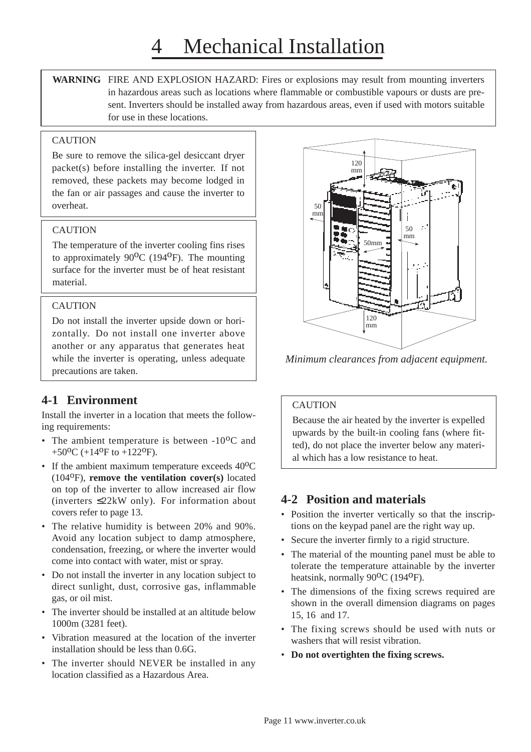**WARNING** FIRE AND EXPLOSION HAZARD: Fires or explosions may result from mounting inverters in hazardous areas such as locations where flammable or combustible vapours or dusts are present. Inverters should be installed away from hazardous areas, even if used with motors suitable for use in these locations.

### **CAUTION**

Be sure to remove the silica-gel desiccant dryer packet(s) before installing the inverter. If not removed, these packets may become lodged in the fan or air passages and cause the inverter to overheat.

### **CAUTION**

The temperature of the inverter cooling fins rises to approximately  $90^{\circ}$ C (194<sup>o</sup>F). The mounting surface for the inverter must be of heat resistant material.

### **CAUTION**

Do not install the inverter upside down or horizontally. Do not install one inverter above another or any apparatus that generates heat while the inverter is operating, unless adequate precautions are taken.

### **4-1 Environment**

Install the inverter in a location that meets the following requirements:

- The ambient temperature is between  $-10^{o}$ C and +50<sup>o</sup>C (+14<sup>o</sup>F to +122<sup>o</sup>F).
- If the ambient maximum temperature exceeds 40 °C (104oF), **remove the ventilation cover(s)** located on top of the inverter to allow increased air flow (inverters  $\leq$ 22kW only). For information about covers refer to page 13.
- The relative humidity is between 20% and 90%. Avoid any location subject to damp atmosphere, condensation, freezing, or where the inverter would come into contact with water, mist or spray.
- Do not install the inverter in any location subject to direct sunlight, dust, corrosive gas, inflammable gas, or oil mist.
- The inverter should be installed at an altitude below 1000m (3281 feet).
- Vibration measured at the location of the inverter installation should be less than 0.6G.
- The inverter should NEVER be installed in any location classified as a Hazardous Area.



*Minimum clearances from adjacent equipment.*

### CAUTION

Because the air heated by the inverter is expelled upwards by the built-in cooling fans (where fitted), do not place the inverter below any material which has a low resistance to heat.

### **4-2 Position and materials**

- Position the inverter vertically so that the inscriptions on the keypad panel are the right way up.
- Secure the inverter firmly to a rigid structure.
- The material of the mounting panel must be able to tolerate the temperature attainable by the inverter heatsink, normally  $90^{\circ}$ C (194<sup>o</sup>F).
- The dimensions of the fixing screws required are shown in the overall dimension diagrams on pages 15, 16 and 17.
- The fixing screws should be used with nuts or washers that will resist vibration.
- **Do not overtighten the fixing screws.**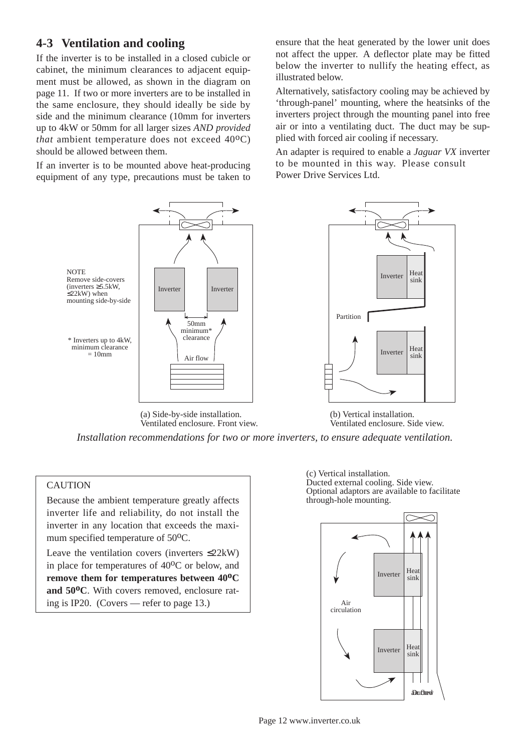### **4-3 Ventilation and cooling**

If the inverter is to be installed in a closed cubicle or cabinet, the minimum clearances to adjacent equipment must be allowed, as shown in the diagram on page 11. If two or more inverters are to be installed in the same enclosure, they should ideally be side by side and the minimum clearance (10mm for inverters up to 4kW or 50mm for all larger sizes *AND provided that* ambient temperature does not exceed  $40^{\circ}$ C) should be allowed between them.

If an inverter is to be mounted above heat-producing equipment of any type, precautions must be taken to ensure that the heat generated by the lower unit does not affect the upper. A deflector plate may be fitted below the inverter to nullify the heating effect, as illustrated below.

Alternatively, satisfactory cooling may be achieved by 'through-panel' mounting, where the heatsinks of the inverters project through the mounting panel into free air or into a ventilating duct. The duct may be supplied with forced air cooling if necessary.

An adapter is required to enable a *Jaguar VX* inverter to be mounted in this way. Please consult Power Drive Services Ltd.



(a) Side-by-side installation. Ventilated enclosure. Front view. (b) Vertical installation. Ventilated enclosure. Side view.

*Installation recommendations for two or more inverters, to ensure adequate ventilation.*

### **CAUTION**

Because the ambient temperature greatly affects inverter life and reliability, do not install the inverter in any location that exceeds the maximum specified temperature of 50<sup>o</sup>C.

Leave the ventilation covers (inverters  $\leq 22kW$ ) in place for temperatures of  $40^{\circ}$ C or below, and **remove them for temperatures between 40oC** and 50<sup>o</sup>C. With covers removed, enclosure rating is IP20. (Covers — refer to page 13.)

(c) Vertical installation. Ducted external cooling. Side view. Optional adaptors are available to facilitate through-hole mounting.

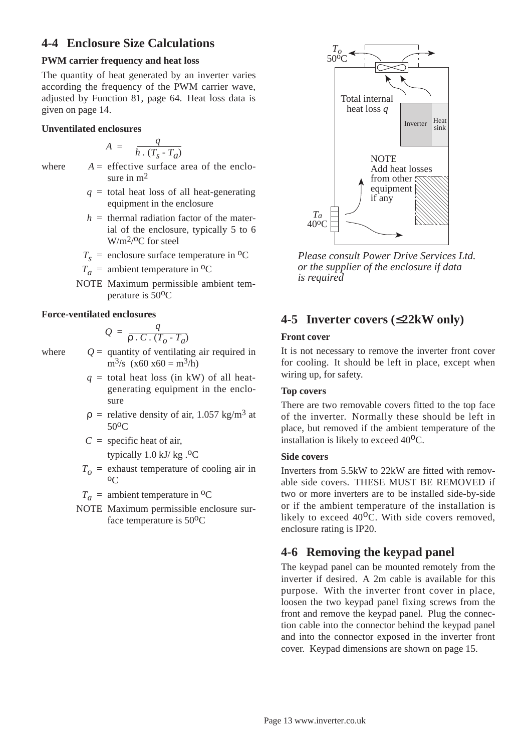### **4-4 Enclosure Size Calculations**

### **PWM carrier frequency and heat loss**

The quantity of heat generated by an inverter varies according the frequency of the PWM carrier wave, adjusted by Function 81, page 64. Heat loss data is given on page 14.

### **Unventilated enclosures**

$$
A = \frac{q}{h \cdot (T_s - T_a)}
$$

- where  $A =$  effective surface area of the enclosure in  $m<sup>2</sup>$ 
	- $q =$  total heat loss of all heat-generating equipment in the enclosure
	- $h =$  thermal radiation factor of the material of the enclosure, typically 5 to 6 W/m<sup>2</sup>/<sup>o</sup>C for steel
	- $T<sub>s</sub>$  = enclosure surface temperature in <sup>o</sup>C
	- $T_a$  = ambient temperature in <sup>o</sup>C
	- NOTE Maximum permissible ambient temperature is 50oC

#### **Force-ventilated enclosures**

$$
Q = \frac{q}{\rho \cdot C \cdot (T_o - T_a)}
$$

where  $Q =$  quantity of ventilating air required in  $m^3$ /s (x60 x60 =  $m^3$ /h)

- $q =$  total heat loss (in kW) of all heatgenerating equipment in the enclosure
- $p =$  relative density of air, 1.057 kg/m<sup>3</sup> at 50oC
- $C =$  specific heat of air,

typically  $1.0$  kJ/ kg $.$ <sup>o</sup>C

- $T<sub>o</sub>$  = exhaust temperature of cooling air in  $0<sup>C</sup>$
- $T_a$  = ambient temperature in <sup>o</sup>C
- NOTE Maximum permissible enclosure surface temperature is  $50^{\circ}$ C



*Please consult Power Drive Services Ltd. or the supplier of the enclosure if data is required*

### **4-5 Inverter covers (**≤**22kW only)**

#### **Front cover**

It is not necessary to remove the inverter front cover for cooling. It should be left in place, except when wiring up, for safety.

### **Top covers**

There are two removable covers fitted to the top face of the inverter. Normally these should be left in place, but removed if the ambient temperature of the installation is likely to exceed  $40^{\circ}$ C.

#### **Side covers**

Inverters from 5.5kW to 22kW are fitted with removable side covers. THESE MUST BE REMOVED if two or more inverters are to be installed side-by-side or if the ambient temperature of the installation is likely to exceed  $40^{\circ}$ C. With side covers removed, enclosure rating is IP20.

### **4-6 Removing the keypad panel**

The keypad panel can be mounted remotely from the inverter if desired. A 2m cable is available for this purpose. With the inverter front cover in place, loosen the two keypad panel fixing screws from the front and remove the keypad panel. Plug the connection cable into the connector behind the keypad panel and into the connector exposed in the inverter front cover. Keypad dimensions are shown on page 15.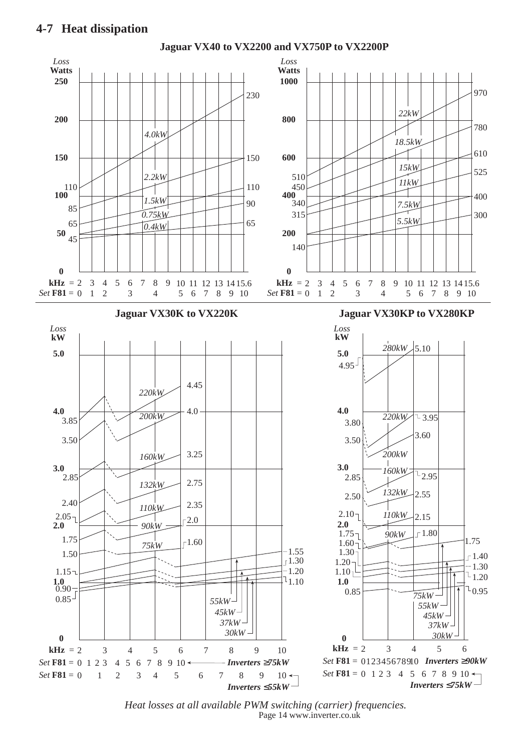

Page 14 www.inverter.co.uk *Heat losses at all available PWM switching (carrier) frequencies.*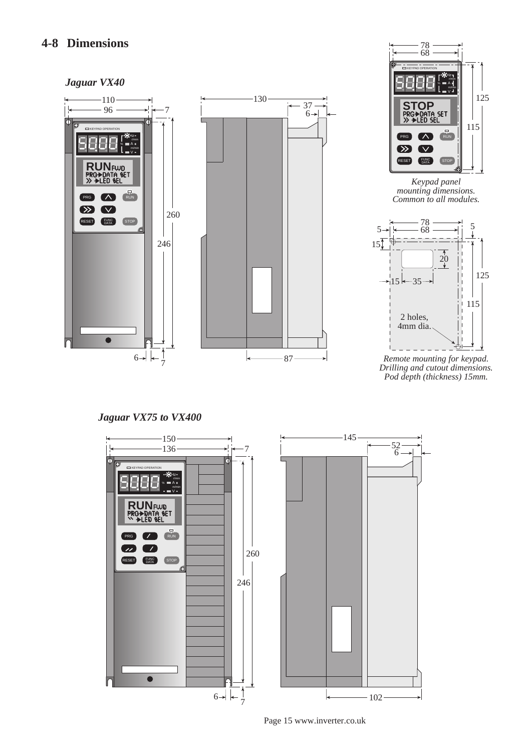### **4-8 Dimensions**

### *Jaguar VX40*





*Keypad panel mounting dimensions. Common to all modules.*



*Remote mounting for keypad. Drilling and cutout dimensions. Pod depth (thickness) 15mm.*

*Jaguar VX75 to VX400*



Page 15 www.inverter.co.uk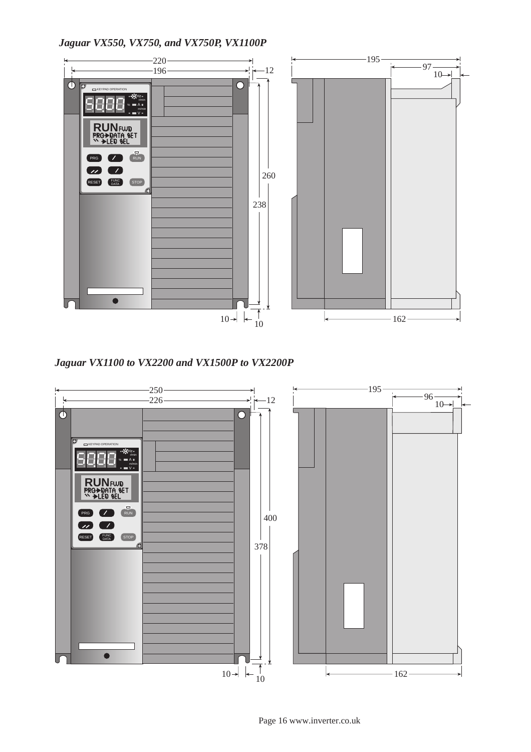*Jaguar VX550, VX750, and VX750P, VX1100P*



*Jaguar VX1100 to VX2200 and VX1500P to VX2200P*



Page 16 www.inverter.co.uk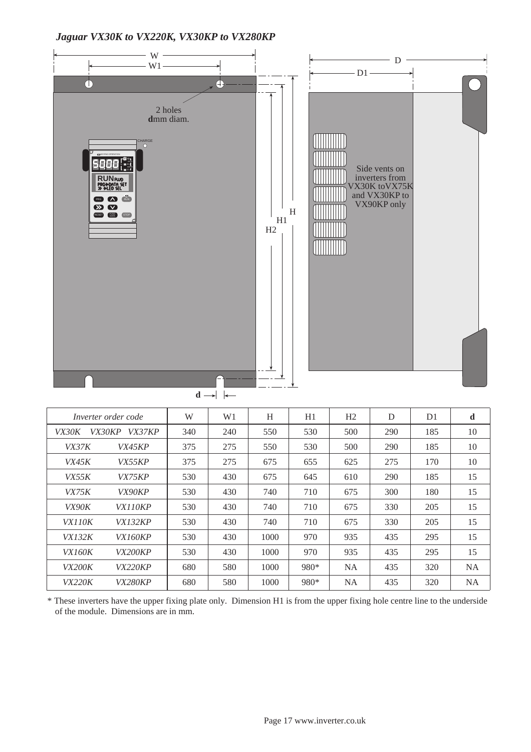### *Jaguar VX30K to VX220K, VX30KP to VX280KP*



|               | Inverter order code | W   | W1  | H    | H1   | H2        | D   | D <sub>1</sub> | d         |
|---------------|---------------------|-----|-----|------|------|-----------|-----|----------------|-----------|
| <i>VX30K</i>  | VX30KP<br>VX37KP    | 340 | 240 | 550  | 530  | 500       | 290 | 185            | 10        |
| <i>VX37K</i>  | <i>VX45KP</i>       | 375 | 275 | 550  | 530  | 500       | 290 | 185            | 10        |
| VX45K         | <i>VX55KP</i>       | 375 | 275 | 675  | 655  | 625       | 275 | 170            | 10        |
| VX55K         | <i>VX75KP</i>       | 530 | 430 | 675  | 645  | 610       | 290 | 185            | 15        |
| VX75K         | <i>VX90KP</i>       | 530 | 430 | 740  | 710  | 675       | 300 | 180            | 15        |
| <i>VX90K</i>  | <i>VX110KP</i>      | 530 | 430 | 740  | 710  | 675       | 330 | 205            | 15        |
| VX110K        | <i>VX132KP</i>      | 530 | 430 | 740  | 710  | 675       | 330 | 205            | 15        |
| <i>VX132K</i> | <i>VX160KP</i>      | 530 | 430 | 1000 | 970  | 935       | 435 | 295            | 15        |
| <i>VX160K</i> | <b>VX200KP</b>      | 530 | 430 | 1000 | 970  | 935       | 435 | 295            | 15        |
| <i>VX200K</i> | <i>VX220KP</i>      | 680 | 580 | 1000 | 980* | <b>NA</b> | 435 | 320            | <b>NA</b> |
| <i>VX220K</i> | <i>VX280KP</i>      | 680 | 580 | 1000 | 980* | <b>NA</b> | 435 | 320            | <b>NA</b> |

\* These inverters have the upper fixing plate only. Dimension H1 is from the upper fixing hole centre line to the underside of the module. Dimensions are in mm.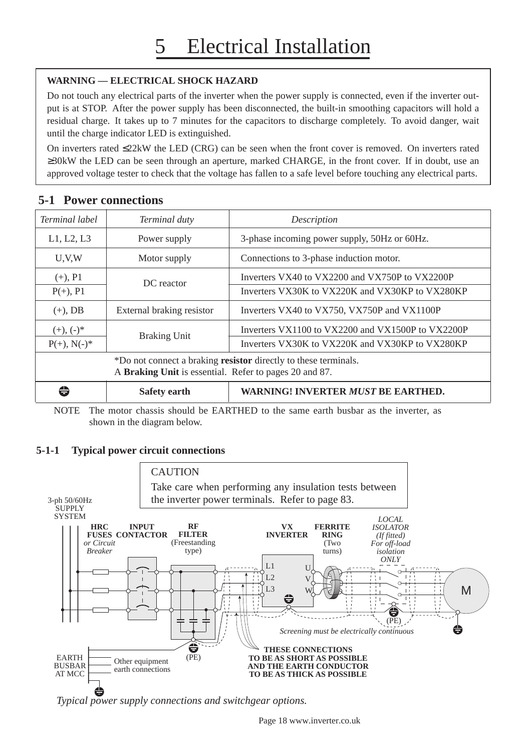### **WARNING — ELECTRICAL SHOCK HAZARD**

Do not touch any electrical parts of the inverter when the power supply is connected, even if the inverter output is at STOP. After the power supply has been disconnected, the built-in smoothing capacitors will hold a residual charge. It takes up to 7 minutes for the capacitors to discharge completely. To avoid danger, wait until the charge indicator LED is extinguished.

On inverters rated ≤22kW the LED (CRG) can be seen when the front cover is removed. On inverters rated ≥30kW the LED can be seen through an aperture, marked CHARGE, in the front cover. If in doubt, use an approved voltage tester to check that the voltage has fallen to a safe level before touching any electrical parts.

### **5-1 Power connections**

| Terminal label | Terminal duty                                          | Description                                                            |
|----------------|--------------------------------------------------------|------------------------------------------------------------------------|
| L1, L2, L3     | Power supply                                           | 3-phase incoming power supply, 50Hz or 60Hz.                           |
| U.V.W          | Motor supply                                           | Connections to 3-phase induction motor.                                |
| $(+), P1$      | DC reactor                                             | Inverters VX40 to VX2200 and VX750P to VX2200P                         |
| $P(+), P1$     |                                                        | Inverters VX30K to VX220K and VX30KP to VX280KP                        |
| $(+)$ , DB     | External braking resistor                              | Inverters VX40 to VX750, VX750P and VX1100P                            |
| $(+), (-)^*$   |                                                        | Inverters VX1100 to VX2200 and VX1500P to VX2200P                      |
| $P(+), N(-)^*$ | <b>Braking Unit</b>                                    | Inverters VX30K to VX220K and VX30KP to VX280KP                        |
|                | A Braking Unit is essential. Refer to pages 20 and 87. | *Do not connect a braking <b>resistor</b> directly to these terminals. |
| ⇔              | <b>Safety earth</b>                                    | <b>WARNING! INVERTER MUST BE EARTHED.</b>                              |

NOTE The motor chassis should be EARTHED to the same earth busbar as the inverter, as shown in the diagram below.

### **5-1-1 Typical power circuit connections**



*Typical power supply connections and switchgear options.*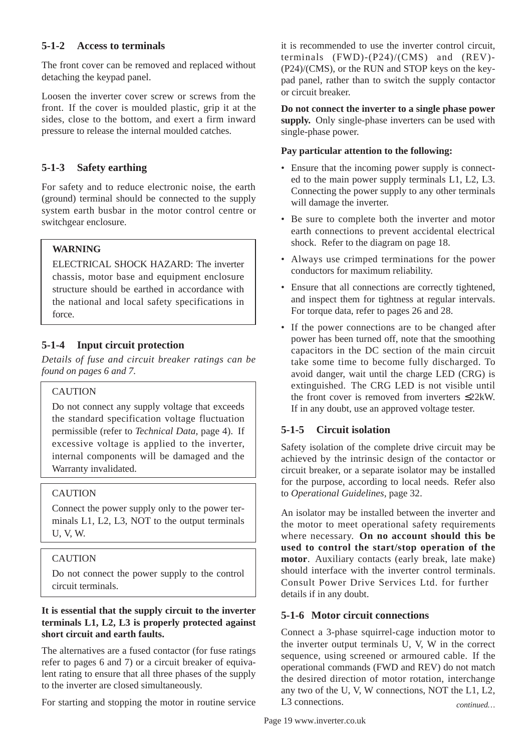### **5-1-2 Access to terminals**

The front cover can be removed and replaced without detaching the keypad panel.

Loosen the inverter cover screw or screws from the front. If the cover is moulded plastic, grip it at the sides, close to the bottom, and exert a firm inward pressure to release the internal moulded catches.

### **5-1-3 Safety earthing**

For safety and to reduce electronic noise, the earth (ground) terminal should be connected to the supply system earth busbar in the motor control centre or switchgear enclosure.

### **WARNING**

ELECTRICAL SHOCK HAZARD: The inverter chassis, motor base and equipment enclosure structure should be earthed in accordance with the national and local safety specifications in force.

### **5-1-4 Input circuit protection**

*Details of fuse and circuit breaker ratings can be found on pages 6 and 7.*

### CAUTION

Do not connect any supply voltage that exceeds the standard specification voltage fluctuation permissible (refer to *Technical Data,* page 4). If excessive voltage is applied to the inverter, internal components will be damaged and the Warranty invalidated.

### **CAUTION**

Connect the power supply only to the power terminals L1, L2, L3, NOT to the output terminals U, V, W.

### CAUTION

Do not connect the power supply to the control circuit terminals.

### **It is essential that the supply circuit to the inverter terminals L1, L2, L3 is properly protected against short circuit and earth faults.**

The alternatives are a fused contactor (for fuse ratings refer to pages 6 and 7) or a circuit breaker of equivalent rating to ensure that all three phases of the supply to the inverter are closed simultaneously.

For starting and stopping the motor in routine service

it is recommended to use the inverter control circuit, terminals (FWD)-(P24)/(CMS) and (REV)- (P24)/(CMS), or the RUN and STOP keys on the keypad panel, rather than to switch the supply contactor or circuit breaker.

**Do not connect the inverter to a single phase power supply.** Only single-phase inverters can be used with single-phase power.

### **Pay particular attention to the following:**

- Ensure that the incoming power supply is connected to the main power supply terminals L1, L2, L3. Connecting the power supply to any other terminals will damage the inverter.
- Be sure to complete both the inverter and motor earth connections to prevent accidental electrical shock. Refer to the diagram on page 18.
- Always use crimped terminations for the power conductors for maximum reliability.
- Ensure that all connections are correctly tightened, and inspect them for tightness at regular intervals. For torque data, refer to pages 26 and 28.
- If the power connections are to be changed after power has been turned off, note that the smoothing capacitors in the DC section of the main circuit take some time to become fully discharged. To avoid danger, wait until the charge LED (CRG) is extinguished. The CRG LED is not visible until the front cover is removed from inverters ≤22kW. If in any doubt, use an approved voltage tester.

### **5-1-5 Circuit isolation**

Safety isolation of the complete drive circuit may be achieved by the intrinsic design of the contactor or circuit breaker, or a separate isolator may be installed for the purpose, according to local needs. Refer also to *Operational Guidelines,* page 32.

An isolator may be installed between the inverter and the motor to meet operational safety requirements where necessary. **On no account should this be used to control the start/stop operation of the motor**. Auxiliary contacts (early break, late make) should interface with the inverter control terminals. Consult Power Drive Services Ltd. for further details if in any doubt.

### **5-1-6 Motor circuit connections**

Connect a 3-phase squirrel-cage induction motor to the inverter output terminals U, V, W in the correct sequence, using screened or armoured cable. If the operational commands (FWD and REV) do not match the desired direction of motor rotation, interchange any two of the U, V, W connections, NOT the L1, L2, L3 connections. *continued…*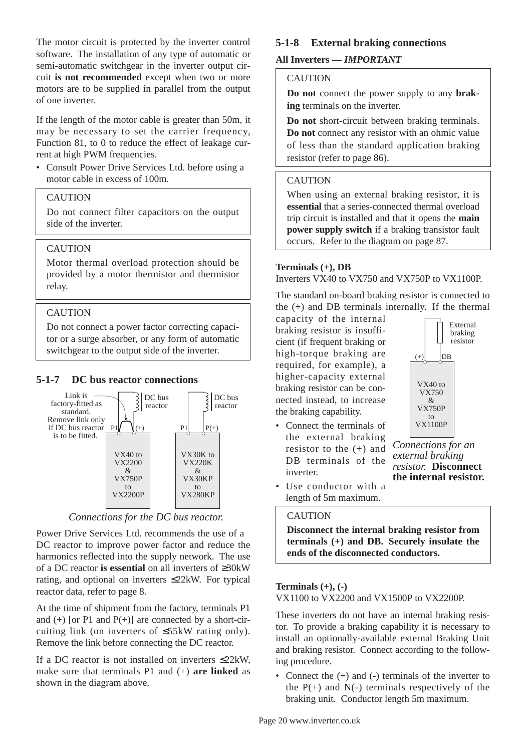The motor circuit is protected by the inverter control software. The installation of any type of automatic or semi-automatic switchgear in the inverter output circuit **is not recommended** except when two or more motors are to be supplied in parallel from the output of one inverter.

If the length of the motor cable is greater than 50m, it may be necessary to set the carrier frequency, Function 81, to 0 to reduce the effect of leakage current at high PWM frequencies.

• Consult Power Drive Services Ltd. before using a motor cable in excess of 100m.

### CAUTION

Do not connect filter capacitors on the output side of the inverter.

### **CAUTION**

Motor thermal overload protection should be provided by a motor thermistor and thermistor relay.

### CAUTION

Do not connect a power factor correcting capacitor or a surge absorber, or any form of automatic switchgear to the output side of the inverter.

### **5-1-7 DC bus reactor connections**



*Connections for the DC bus reactor.*

Power Drive Services Ltd. recommends the use of a DC reactor to improve power factor and reduce the harmonics reflected into the supply network. The use of a DC reactor **is essential** on all inverters of ≥30kW rating, and optional on inverters ≤22kW. For typical reactor data, refer to page 8.

At the time of shipment from the factory, terminals P1 and  $(+)$  [or P1 and  $P(+)$ ] are connected by a short-circuiting link (on inverters of ≤55kW rating only). Remove the link before connecting the DC reactor.

If a DC reactor is not installed on inverters ≤22kW, make sure that terminals P1 and (+) **are linked** as shown in the diagram above.

### **5-1-8 External braking connections**

### **All Inverters —** *IMPORTANT*

#### **CAUTION**

**Do not** connect the power supply to any **braking** terminals on the inverter.

**Do not** short-circuit between braking terminals. **Do not** connect any resistor with an ohmic value of less than the standard application braking resistor (refer to page 86).

#### **CAUTION**

When using an external braking resistor, it is **essential** that a series-connected thermal overload trip circuit is installed and that it opens the **main power supply switch** if a braking transistor fault occurs. Refer to the diagram on page 87.

#### **Terminals (+), DB**

#### Inverters VX40 to VX750 and VX750P to VX1100P.

The standard on-board braking resistor is connected to the (+) and DB terminals internally. If the thermal

capacity of the internal braking resistor is insufficient (if frequent braking or high-torque braking are required, for example), a higher-capacity external braking resistor can be connected instead, to increase the braking capability.

• Connect the terminals of the external braking resistor to the  $(+)$  and DB terminals of the inverter.



*Connections for an external braking resistor.* **Disconnect the internal resistor.**

• Use conductor with a length of 5m maximum.

### CAUTION

**Disconnect the internal braking resistor from terminals (+) and DB. Securely insulate the ends of the disconnected conductors.**

#### **Terminals (+), (-)**

VX1100 to VX2200 and VX1500P to VX2200P.

These inverters do not have an internal braking resistor. To provide a braking capability it is necessary to install an optionally-available external Braking Unit and braking resistor. Connect according to the following procedure.

• Connect the  $(+)$  and  $(-)$  terminals of the inverter to the  $P(+)$  and  $N(-)$  terminals respectively of the braking unit. Conductor length 5m maximum.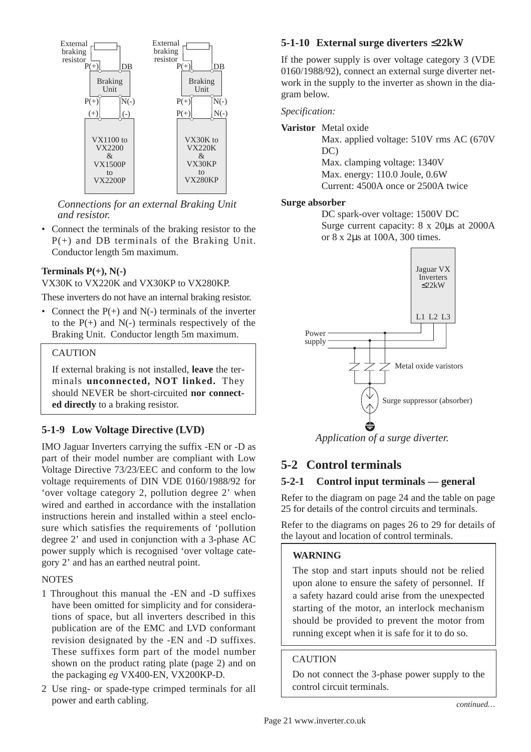

*Connections for an external Braking Unit and resistor.*

• Connect the terminals of the braking resistor to the P(+) and DB terminals of the Braking Unit. Conductor length 5m maximum.

### **Terminals P(+), N(-)**

VX30K to VX220K and VX30KP to VX280KP.

These inverters do not have an internal braking resistor.

• Connect the  $P(+)$  and  $N(-)$  terminals of the inverter to the  $P(+)$  and  $N(-)$  terminals respectively of the Braking Unit. Conductor length 5m maximum.

#### CAUTION

If external braking is not installed, **leave** the terminals **unconnected, NOT linked.** They should NEVER be short-circuited **nor connected directly** to a braking resistor.

### **5-1-9 Low Voltage Directive (LVD)**

IMO Jaguar Inverters carrying the suffix -EN or -D as part of their model number are compliant with Low Voltage Directive 73/23/EEC and conform to the low voltage requirements of DIN VDE 0160/1988/92 for 'over voltage category 2, pollution degree 2' when wired and earthed in accordance with the installation instructions herein and installed within a steel enclosure which satisfies the requirements of 'pollution degree 2' and used in conjunction with a 3-phase AC power supply which is recognised 'over voltage category 2' and has an earthed neutral point.

#### **NOTES**

- 1 Throughout this manual the -EN and -D suffixes have been omitted for simplicity and for considerations of space, but all inverters described in this publication are of the EMC and LVD conformant revision designated by the -EN and -D suffixes. These suffixes form part of the model number shown on the product rating plate (page 2) and on the packaging *eg* VX400-EN, VX200KP-D.
- 2 Use ring- or spade-type crimped terminals for all power and earth cabling.

### **5-1-10 External surge diverters** ≤**22kW**

If the power supply is over voltage category 3 (VDE 0160/1988/92), connect an external surge diverter network in the supply to the inverter as shown in the diagram below.

*Specification:*

**Varistor** Metal oxide

Max. applied voltage: 510V rms AC (670V DC) Max. clamping voltage: 1340V Max. energy: 110.0 Joule, 0.6W Current: 4500A once or 2500A twice

#### **Surge absorber**

DC spark-over voltage: 1500V DC Surge current capacity: 8 x 20µs at 2000A or 8 x 2µs at 100A, 300 times.



*Application of a surge diverter.*

### **5-2 Control terminals**

### **5-2-1 Control input terminals — general**

Refer to the diagram on page 24 and the table on page 25 for details of the control circuits and terminals.

Refer to the diagrams on pages 26 to 29 for details of the layout and location of control terminals.

#### **WARNING**

The stop and start inputs should not be relied upon alone to ensure the safety of personnel. If a safety hazard could arise from the unexpected starting of the motor, an interlock mechanism should be provided to prevent the motor from running except when it is safe for it to do so.

### **CAUTION**

Do not connect the 3-phase power supply to the control circuit terminals.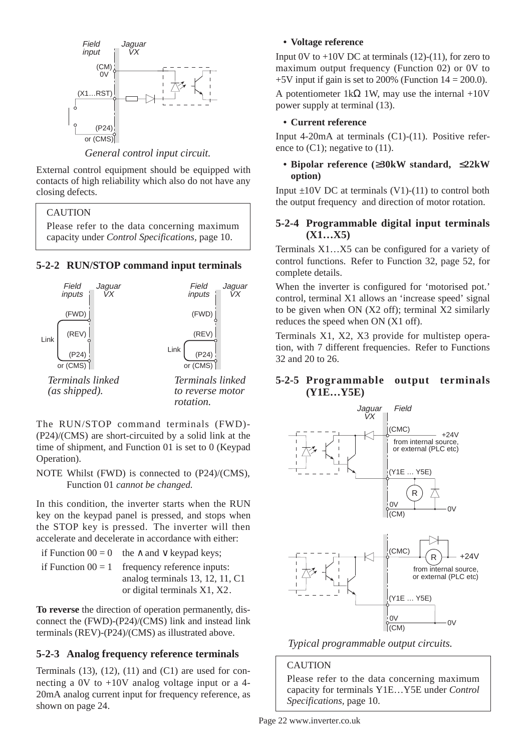

*General control input circuit.*

External control equipment should be equipped with contacts of high reliability which also do not have any closing defects.

### **CAUTION**

Please refer to the data concerning maximum capacity under *Control Specifications,* page 10.

### **5-2-2 RUN/STOP command input terminals**



The RUN/STOP command terminals (FWD)- (P24)/(CMS) are short-circuited by a solid link at the time of shipment, and Function 01 is set to 0 (Keypad Operation).

NOTE Whilst (FWD) is connected to (P24)/(CMS), Function 01 *cannot be changed.*

In this condition, the inverter starts when the RUN key on the keypad panel is pressed, and stops when the STOP key is pressed. The inverter will then accelerate and decelerate in accordance with either:

if Function  $00 = 0$  the ∧ and ∨ keypad keys: if Function  $00 = 1$  frequency reference inputs: analog terminals 13, 12, 11, C1 or digital terminals X1, X2.

**To reverse** the direction of operation permanently, disconnect the (FWD)-(P24)/(CMS) link and instead link terminals (REV)-(P24)/(CMS) as illustrated above.

### **5-2-3 Analog frequency reference terminals**

Terminals  $(13)$ ,  $(12)$ ,  $(11)$  and  $(C1)$  are used for connecting a 0V to +10V analog voltage input or a 4- 20mA analog current input for frequency reference, as shown on page 24.

### **• Voltage reference**

Input 0V to  $+10V$  DC at terminals (12)-(11), for zero to maximum output frequency (Function 02) or 0V to  $+5V$  input if gain is set to 200% (Function  $14 = 200.0$ ).

A potentiometer 1kΩ 1W, may use the internal +10V power supply at terminal (13).

### **• Current reference**

Input 4-20mA at terminals (C1)-(11). Positive reference to  $(C1)$ ; negative to  $(11)$ .

### **• Bipolar reference (**≥**30kW standard,** ≤**22kW option)**

Input  $\pm 10V$  DC at terminals (V1)-(11) to control both the output frequency and direction of motor rotation.

### **5-2-4 Programmable digital input terminals (X1…X5)**

Terminals X1…X5 can be configured for a variety of control functions. Refer to Function 32, page 52, for complete details.

When the inverter is configured for 'motorised pot.' control, terminal X1 allows an 'increase speed' signal to be given when ON (X2 off); terminal X2 similarly reduces the speed when ON (X1 off).

Terminals X1, X2, X3 provide for multistep operation, with 7 different frequencies. Refer to Functions 32 and 20 to 26.

### **5-2-5 Programmable output terminals (Y1E…Y5E)**





### **CAUTION**

Please refer to the data concerning maximum capacity for terminals Y1E…Y5E under *Control Specifications,* page 10.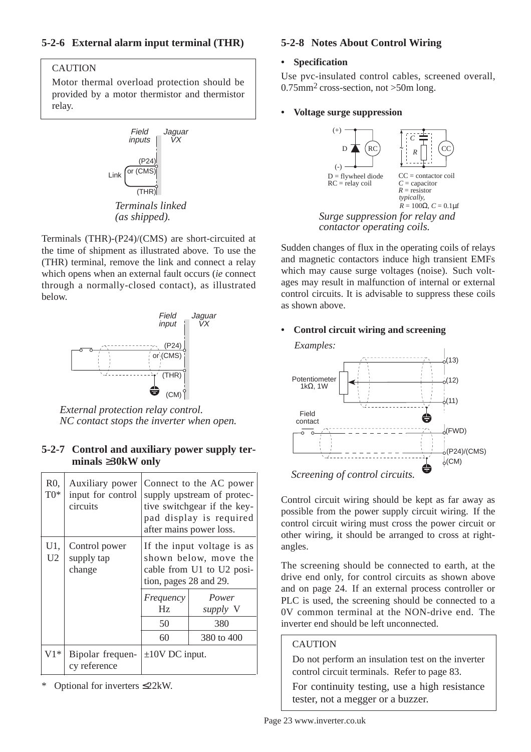### **5-2-6 External alarm input terminal (THR)**

### **CAUTION**

Motor thermal overload protection should be provided by a motor thermistor and thermistor relay.



*(as shipped).*

Terminals (THR)-(P24)/(CMS) are short-circuited at the time of shipment as illustrated above. To use the (THR) terminal, remove the link and connect a relay which opens when an external fault occurs (*ie* connect through a normally-closed contact), as illustrated below.



*External protection relay control. NC contact stops the inverter when open.*

### **5-2-7 Control and auxiliary power supply terminals** ≥**30kW only**

| $R0$ ,<br>$T0*$ | Auxiliary power<br>input for control<br>circuits |                                                                                                            | Connect to the AC power<br>supply upstream of protec-<br>tive switchgear if the key-<br>pad display is required<br>after mains power loss. |  |  |  |  |
|-----------------|--------------------------------------------------|------------------------------------------------------------------------------------------------------------|--------------------------------------------------------------------------------------------------------------------------------------------|--|--|--|--|
| U1,<br>U2       | Control power<br>supply tap<br>change            | If the input voltage is as<br>shown below, move the<br>cable from U1 to U2 posi-<br>tion, pages 28 and 29. |                                                                                                                                            |  |  |  |  |
|                 |                                                  | Frequency<br>Power<br>Hz<br>supply V<br>50<br>380<br>60<br>380 to 400                                      |                                                                                                                                            |  |  |  |  |
| $V1*$           | Bipolar frequen-<br>cy reference                 | $\pm 10V$ DC input.                                                                                        |                                                                                                                                            |  |  |  |  |

Optional for inverters ≤22kW.

### **5-2-8 Notes About Control Wiring**

### **• Specification**

Use pvc-insulated control cables, screened overall, 0.75mm2 cross-section, not >50m long.

### **• Voltage surge suppression**



Sudden changes of flux in the operating coils of relays and magnetic contactors induce high transient EMFs which may cause surge voltages (noise). Such voltages may result in malfunction of internal or external control circuits. It is advisable to suppress these coils as shown above.

### **• Control circuit wiring and screening**



Control circuit wiring should be kept as far away as possible from the power supply circuit wiring. If the control circuit wiring must cross the power circuit or other wiring, it should be arranged to cross at rightangles.

The screening should be connected to earth, at the drive end only, for control circuits as shown above and on page 24. If an external process controller or PLC is used, the screening should be connected to a 0V common terminal at the NON-drive end. The inverter end should be left unconnected.

### CAUTION

Do not perform an insulation test on the inverter control circuit terminals. Refer to page 83.

For continuity testing, use a high resistance tester, not a megger or a buzzer.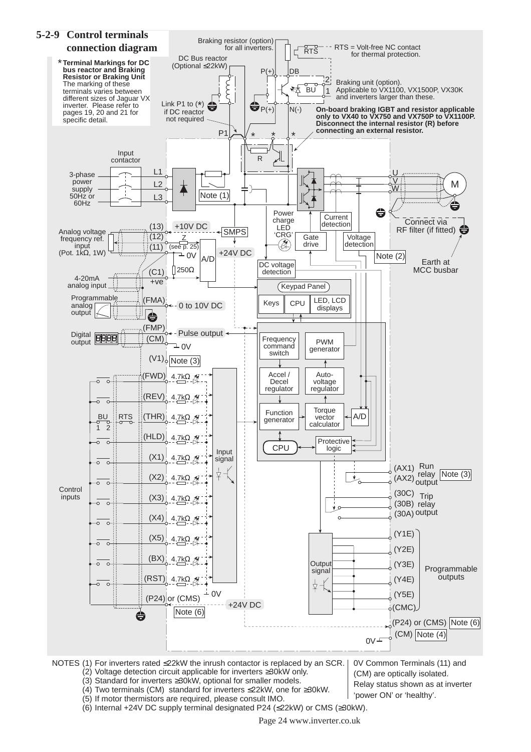

(5) If motor thermistors are required, please consult IMO. (6) Internal +24V DC supply terminal designated P24 (≤22kW) or CMS (≥30kW).

Page 24 www.inverter.co.uk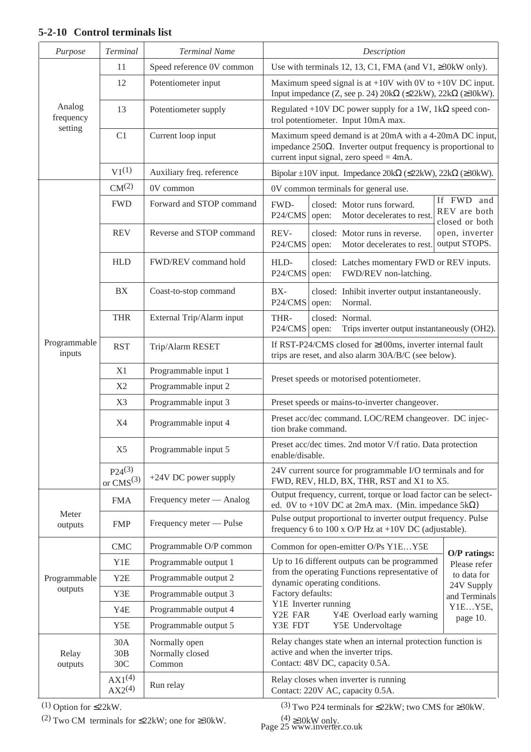### **5-2-10 Control terminals list**

| Purpose                              | Terminal                      | <b>Terminal Name</b>                       | Description                                                                                                                                                                  |  |  |  |  |  |  |  |
|--------------------------------------|-------------------------------|--------------------------------------------|------------------------------------------------------------------------------------------------------------------------------------------------------------------------------|--|--|--|--|--|--|--|
|                                      | 11                            | Speed reference 0V common                  | Use with terminals 12, 13, C1, FMA (and V1, $\geq$ 30kW only).                                                                                                               |  |  |  |  |  |  |  |
|                                      | 12                            | Potentiometer input                        | Maximum speed signal is at $+10V$ with 0V to $+10V$ DC input.<br>Input impedance (Z, see p. 24) $20k\Omega$ ( $\leq$ 22kW), $22k\Omega$ ( $\geq$ 30kW).                      |  |  |  |  |  |  |  |
| Analog<br>frequency                  | 13                            | Potentiometer supply                       | Regulated +10V DC power supply for a 1W, 1k $\Omega$ speed con-<br>trol potentiometer. Input 10mA max.                                                                       |  |  |  |  |  |  |  |
| setting                              | C1                            | Current loop input                         | Maximum speed demand is at 20mA with a 4-20mA DC input,<br>impedance $250\Omega$ . Inverter output frequency is proportional to<br>current input signal, zero speed $=$ 4mA. |  |  |  |  |  |  |  |
|                                      | $V1^{(1)}$                    | Auxiliary freq. reference                  | Bipolar $\pm 10V$ input. Impedance 20k $\Omega$ ( $\leq$ 22kW), 22k $\Omega$ ( $\geq$ 30kW).                                                                                 |  |  |  |  |  |  |  |
|                                      | CM <sup>(2)</sup>             | 0V common                                  | 0V common terminals for general use.                                                                                                                                         |  |  |  |  |  |  |  |
|                                      | <b>FWD</b>                    | Forward and STOP command                   | If FWD and<br>FWD-<br>closed: Motor runs forward.<br>REV are both<br>P24/CMS<br>Motor decelerates to rest.<br>open:<br>closed or both                                        |  |  |  |  |  |  |  |
|                                      | <b>REV</b>                    | Reverse and STOP command                   | open, inverter<br>REV-<br>closed: Motor runs in reverse.<br>output STOPS.<br>P24/CMS<br>Motor decelerates to rest.<br>open:                                                  |  |  |  |  |  |  |  |
|                                      | <b>HLD</b>                    | FWD/REV command hold                       | HLD-<br>closed: Latches momentary FWD or REV inputs.<br>P24/CMS<br>FWD/REV non-latching.<br>open:                                                                            |  |  |  |  |  |  |  |
|                                      | <b>BX</b>                     | Coast-to-stop command                      | $BX -$<br>closed: Inhibit inverter output instantaneously.<br>P24/CMS<br>Normal.<br>open:                                                                                    |  |  |  |  |  |  |  |
|                                      | <b>THR</b>                    | External Trip/Alarm input                  | THR-<br>closed: Normal.<br>P24/CMS<br>Trips inverter output instantaneously (OH2).<br>open:                                                                                  |  |  |  |  |  |  |  |
| Programmable<br><b>RST</b><br>inputs |                               | Trip/Alarm RESET                           | If RST-P24/CMS closed for $\geq$ 100ms, inverter internal fault<br>trips are reset, and also alarm 30A/B/C (see below).                                                      |  |  |  |  |  |  |  |
|                                      | X1                            | Programmable input 1                       | Preset speeds or motorised potentiometer.                                                                                                                                    |  |  |  |  |  |  |  |
|                                      | X2                            | Programmable input 2                       |                                                                                                                                                                              |  |  |  |  |  |  |  |
|                                      | X3                            | Programmable input 3                       | Preset speeds or mains-to-inverter changeover.                                                                                                                               |  |  |  |  |  |  |  |
|                                      | X4                            | Programmable input 4                       | Preset acc/dec command. LOC/REM changeover. DC injec-<br>tion brake command.                                                                                                 |  |  |  |  |  |  |  |
|                                      | X <sub>5</sub>                | Programmable input 5                       | Preset acc/dec times. 2nd motor V/f ratio. Data protection<br>enable/disable.                                                                                                |  |  |  |  |  |  |  |
|                                      | $P24^{(3)}$<br>or $CMS^{(3)}$ | +24V DC power supply                       | 24V current source for programmable I/O terminals and for<br>FWD, REV, HLD, BX, THR, RST and X1 to X5.                                                                       |  |  |  |  |  |  |  |
|                                      | <b>FMA</b>                    | Frequency meter — Analog                   | Output frequency, current, torque or load factor can be select-<br>ed. 0V to +10V DC at 2mA max. (Min. impedance $5k\Omega$ )                                                |  |  |  |  |  |  |  |
| Meter<br>outputs                     | <b>FMP</b>                    | Frequency meter — Pulse                    | Pulse output proportional to inverter output frequency. Pulse<br>frequency 6 to 100 x O/P Hz at +10V DC (adjustable).                                                        |  |  |  |  |  |  |  |
|                                      | <b>CMC</b>                    | Programmable O/P common                    | Common for open-emitter O/Ps Y1EY5E                                                                                                                                          |  |  |  |  |  |  |  |
|                                      | Y1E                           | Programmable output 1                      | $O/P$ ratings:<br>Up to 16 different outputs can be programmed<br>Please refer                                                                                               |  |  |  |  |  |  |  |
| Programmable                         | Y <sub>2</sub> E              | Programmable output 2                      | from the operating Functions representative of<br>to data for<br>dynamic operating conditions.                                                                               |  |  |  |  |  |  |  |
| outputs                              | Y3E                           | Programmable output 3                      | 24V Supply<br>Factory defaults:<br>and Terminals                                                                                                                             |  |  |  |  |  |  |  |
|                                      | Y4E                           | Programmable output 4                      | Y1E Inverter running<br>Y1EY5E,<br>Y2E FAR<br>Y4E Overload early warning                                                                                                     |  |  |  |  |  |  |  |
|                                      | Y5E                           | Programmable output 5                      | page 10.<br>Y3E FDT<br>Y5E Undervoltage                                                                                                                                      |  |  |  |  |  |  |  |
| Relay<br>outputs                     | 30A<br>30B<br>30C             | Normally open<br>Normally closed<br>Common | Relay changes state when an internal protection function is<br>active and when the inverter trips.<br>Contact: 48V DC, capacity 0.5A.                                        |  |  |  |  |  |  |  |
|                                      | $AX1^{(4)}$<br>$AX2^{(4)}$    | Run relay                                  | Relay closes when inverter is running<br>Contact: 220V AC, capacity 0.5A.                                                                                                    |  |  |  |  |  |  |  |

(1) Option for ≤22kW.

(2) Two CM terminals for  $\leq$ 22kW; one for  $\geq$ 30kW.

(3) Two P24 terminals for ≤22kW; two CMS for ≥30kW.

 $(4) \geq 30$ kW only.<br>Page 25 www.inverter.co.uk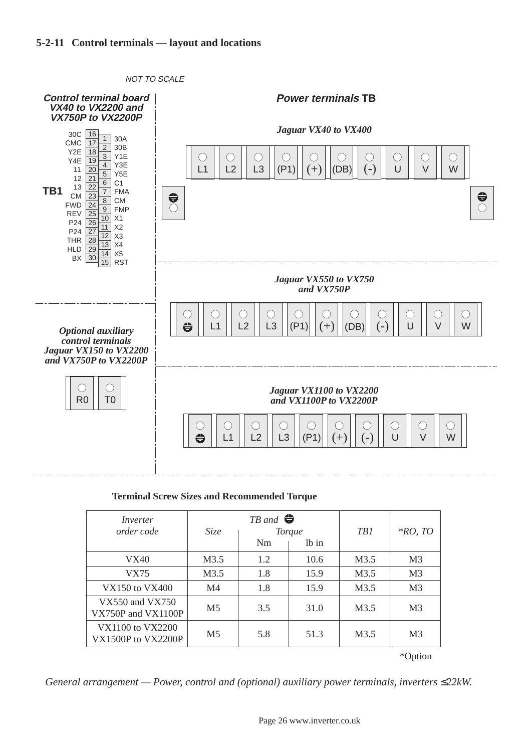### **5-2-11 Control terminals — layout and locations**



#### **Terminal Screw Sizes and Recommended Torque**

| <i>Size</i>    | Nm  | lb in | TB1                                   | $*RO$ , TO     |
|----------------|-----|-------|---------------------------------------|----------------|
| M3.5           | 1.2 | 10.6  | M3.5                                  | M <sub>3</sub> |
| M3.5           | 1.8 | 15.9  | M3.5                                  | M <sub>3</sub> |
| M <sub>4</sub> | 1.8 | 15.9  | M3.5                                  | M <sub>3</sub> |
| M <sub>5</sub> | 3.5 | 31.0  | M3.5                                  | M <sub>3</sub> |
| M <sub>5</sub> | 5.8 | 51.3  | M3.5                                  | M <sub>3</sub> |
|                |     |       | $TB$ and $\bigoplus$<br><b>Torque</b> |                |

\*Option

*General arrangement — Power, control and (optional) auxiliary power terminals, inverters* ≤22kW.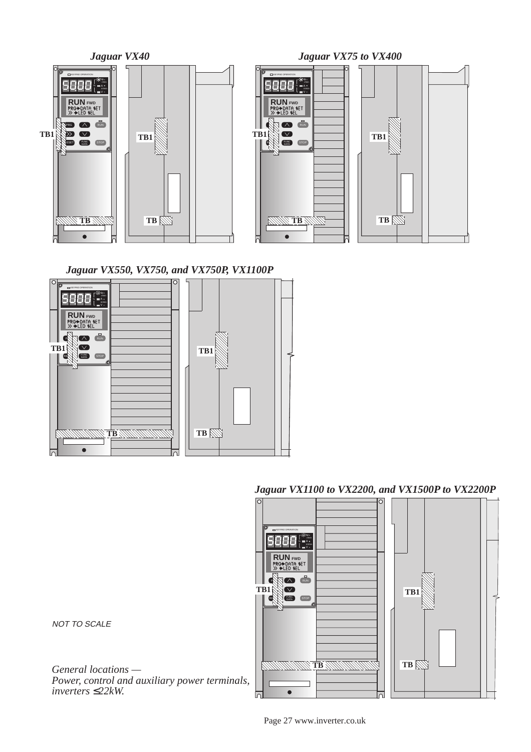



### *Jaguar VX1100 to VX2200, and VX1500P to VX2200P*



NOT TO SCALE

*General locations — Power, control and auxiliary power terminals, inverters* ≤*22kW.*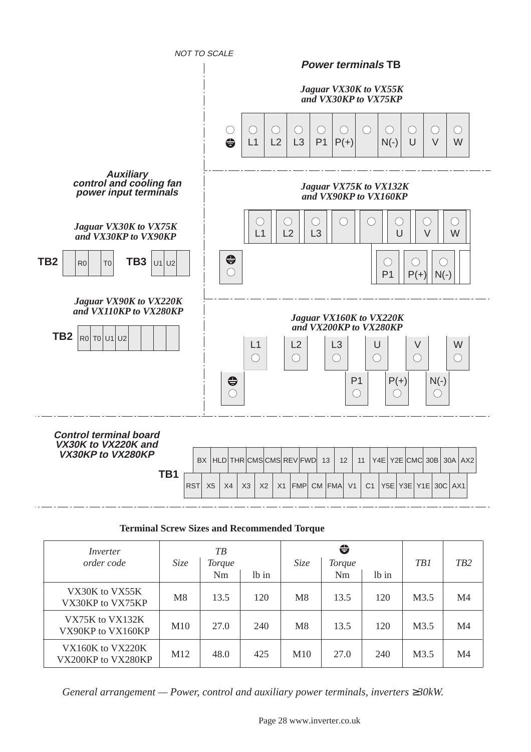

#### **Terminal Screw Sizes and Recommended Torque**

| Inverter                               |                 | T B           |       |             | $\bigoplus$   |       |      |                  |
|----------------------------------------|-----------------|---------------|-------|-------------|---------------|-------|------|------------------|
| order code                             | Size            | <i>Torque</i> |       | <i>Size</i> | <b>Torque</b> |       | TB1  | T <sub>B</sub> 2 |
|                                        |                 | Nm            | lb in |             | Nm            | lb in |      |                  |
| VX30K to VX55K<br>VX30KP to VX75KP     | M8              | 13.5          | 120   | M8          | 13.5          | 120   | M3.5 | M4               |
| VX75K to VX132K<br>VX90KP to VX160KP   | M <sub>10</sub> | 27.0          | 240   | M8          | 13.5          | 120   | M3.5 | M4               |
| VX160K to VX220K<br>VX200KP to VX280KP | M <sub>12</sub> | 48.0          | 425   | M10         | 27.0          | 240   | M3.5 | M4               |

*General arrangement — Power, control and auxiliary power terminals, inverters ≥30kW.*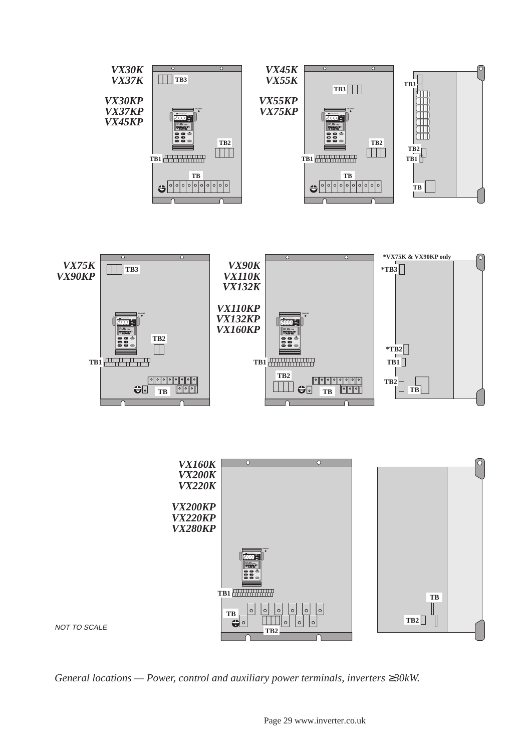

*General locations — Power, control and auxiliary power terminals, inverters ≥30kW.*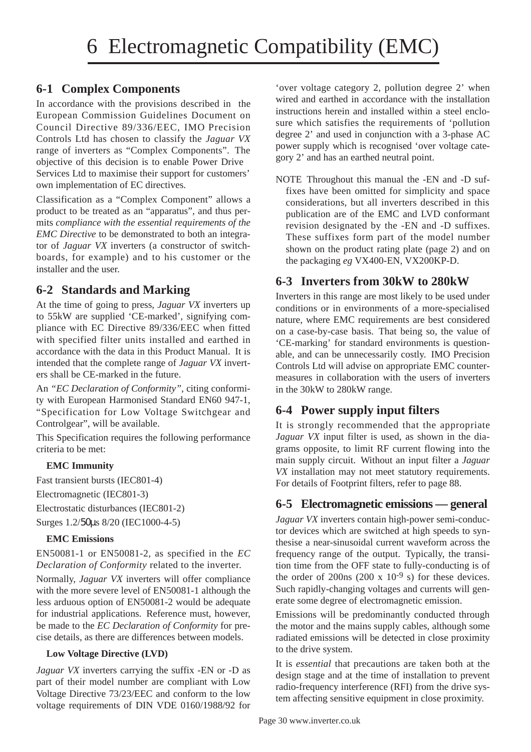### **6-1 Complex Components**

In accordance with the provisions described in the European Commission Guidelines Document on Council Directive 89/336/EEC, IMO Precision Controls Ltd has chosen to classify the *Jaguar VX* range of inverters as "Complex Components". The objective of this decision is to enable Power Drive Services Ltd to maximise their support for customers' own implementation of EC directives.

Classification as a "Complex Component" allows a product to be treated as an "apparatus", and thus permits *compliance with the essential requirements of the EMC Directive* to be demonstrated to both an integrator of *Jaguar VX* inverters (a constructor of switchboards, for example) and to his customer or the installer and the user.

### **6-2 Standards and Marking**

At the time of going to press, *Jaguar VX* inverters up to 55kW are supplied 'CE-marked', signifying compliance with EC Directive 89/336/EEC when fitted with specified filter units installed and earthed in accordance with the data in this Product Manual. It is intended that the complete range of *Jaguar VX* inverters shall be CE-marked in the future.

An *"EC Declaration of Conformity",* citing conformity with European Harmonised Standard EN60 947-1, "Specification for Low Voltage Switchgear and Controlgear", will be available.

This Specification requires the following performance criteria to be met:

### **EMC Immunity**

Fast transient bursts (IEC801-4) Electromagnetic (IEC801-3) Electrostatic disturbances (IEC801-2) Surges 1.2/50µs 8/20 (IEC1000-4-5)

### **EMC Emissions**

EN50081-1 or EN50081-2, as specified in the *EC Declaration of Conformity* related to the inverter.

Normally, *Jaguar VX* inverters will offer compliance with the more severe level of EN50081-1 although the less arduous option of EN50081-2 would be adequate for industrial applications. Reference must, however, be made to the *EC Declaration of Conformity* for precise details, as there are differences between models.

### **Low Voltage Directive (LVD)**

*Jaguar VX* inverters carrying the suffix -EN or -D as part of their model number are compliant with Low Voltage Directive 73/23/EEC and conform to the low voltage requirements of DIN VDE 0160/1988/92 for

'over voltage category 2, pollution degree 2' when wired and earthed in accordance with the installation instructions herein and installed within a steel enclosure which satisfies the requirements of 'pollution degree 2' and used in conjunction with a 3-phase AC power supply which is recognised 'over voltage category 2' and has an earthed neutral point.

NOTE Throughout this manual the -EN and -D suffixes have been omitted for simplicity and space considerations, but all inverters described in this publication are of the EMC and LVD conformant revision designated by the -EN and -D suffixes. These suffixes form part of the model number shown on the product rating plate (page 2) and on the packaging *eg* VX400-EN, VX200KP-D.

### **6-3 Inverters from 30kW to 280kW**

Inverters in this range are most likely to be used under conditions or in environments of a more-specialised nature, where EMC requirements are best considered on a case-by-case basis. That being so, the value of 'CE-marking' for standard environments is questionable, and can be unnecessarily costly. IMO Precision Controls Ltd will advise on appropriate EMC countermeasures in collaboration with the users of inverters in the 30kW to 280kW range.

### **6-4 Power supply input filters**

It is strongly recommended that the appropriate *Jaguar VX* input filter is used, as shown in the diagrams opposite, to limit RF current flowing into the main supply circuit. Without an input filter a *Jaguar VX* installation may not meet statutory requirements. For details of Footprint filters, refer to page 88.

### **6-5 Electromagnetic emissions — general**

*Jaguar VX* inverters contain high-power semi-conductor devices which are switched at high speeds to synthesise a near-sinusoidal current waveform across the frequency range of the output. Typically, the transition time from the OFF state to fully-conducting is of the order of 200ns (200 x  $10^{-9}$  s) for these devices. Such rapidly-changing voltages and currents will generate some degree of electromagnetic emission.

Emissions will be predominantly conducted through the motor and the mains supply cables, although some radiated emissions will be detected in close proximity to the drive system.

It is *essential* that precautions are taken both at the design stage and at the time of installation to prevent radio-frequency interference (RFI) from the drive system affecting sensitive equipment in close proximity.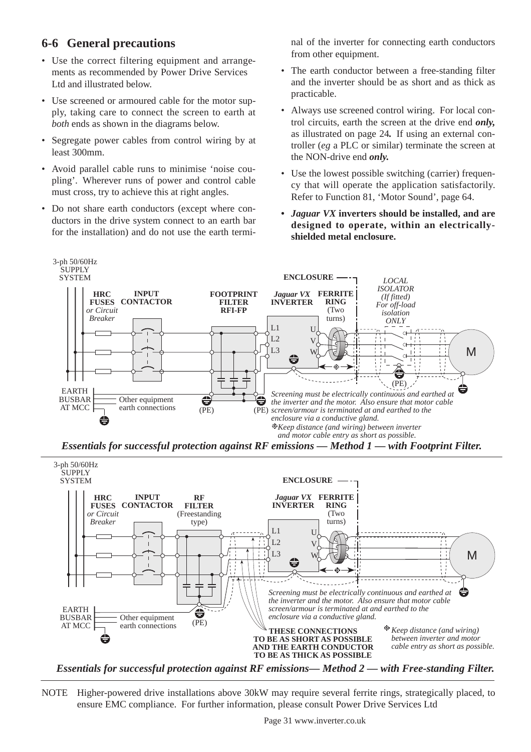### **6-6 General precautions**

- Use the correct filtering equipment and arrangements as recommended by Power Drive Services Ltd and illustrated below.
- Use screened or armoured cable for the motor supply, taking care to connect the screen to earth at *both* ends as shown in the diagrams below.
- Segregate power cables from control wiring by at least 300mm.
- Avoid parallel cable runs to minimise 'noise coupling'. Wherever runs of power and control cable must cross, try to achieve this at right angles.
- Do not share earth conductors (except where conductors in the drive system connect to an earth bar for the installation) and do not use the earth termi-

nal of the inverter for connecting earth conductors from other equipment.

- The earth conductor between a free-standing filter and the inverter should be as short and as thick as practicable.
- Always use screened control wiring. For local control circuits, earth the screen at the drive end *only,* as illustrated on page 24*.* If using an external controller (*eg* a PLC or similar) terminate the screen at the NON-drive end *only.*
- Use the lowest possible switching (carrier) frequency that will operate the application satisfactorily. Refer to Function 81, 'Motor Sound', page 64.
- **•** *Jaguar VX* **inverters should be installed, and are designed to operate, within an electricallyshielded metal enclosure.**



*Essentials for successful protection against RF emissions — Method 1 — with Footprint Filter.*



*Essentials for successful protection against RF emissions— Method 2 — with Free-standing Filter.*

NOTE Higher-powered drive installations above 30kW may require several ferrite rings, strategically placed, to ensure EMC compliance. For further information, please consult Power Drive Services Ltd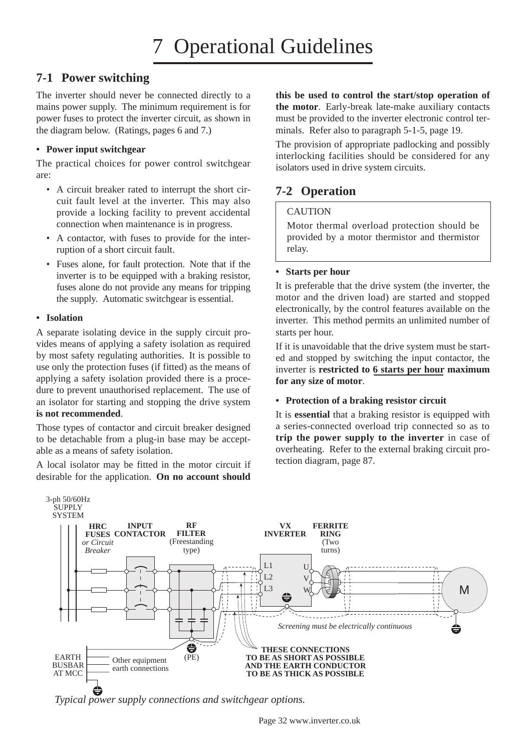### **7-1 Power switching**

The inverter should never be connected directly to a mains power supply. The minimum requirement is for power fuses to protect the inverter circuit, as shown in the diagram below. (Ratings, pages 6 and 7.)

### **• Power input switchgear**

The practical choices for power control switchgear are:

- A circuit breaker rated to interrupt the short circuit fault level at the inverter. This may also provide a locking facility to prevent accidental connection when maintenance is in progress.
- A contactor, with fuses to provide for the interruption of a short circuit fault.
- Fuses alone, for fault protection. Note that if the inverter is to be equipped with a braking resistor, fuses alone do not provide any means for tripping the supply. Automatic switchgear is essential.

### **• Isolation**

A separate isolating device in the supply circuit provides means of applying a safety isolation as required by most safety regulating authorities. It is possible to use only the protection fuses (if fitted) as the means of applying a safety isolation provided there is a procedure to prevent unauthorised replacement. The use of an isolator for starting and stopping the drive system **is not recommended**.

Those types of contactor and circuit breaker designed to be detachable from a plug-in base may be acceptable as a means of safety isolation.

A local isolator may be fitted in the motor circuit if desirable for the application. **On no account should**

**this be used to control the start/stop operation of the motor**. Early-break late-make auxiliary contacts must be provided to the inverter electronic control terminals. Refer also to paragraph 5-1-5, page 19.

The provision of appropriate padlocking and possibly interlocking facilities should be considered for any isolators used in drive system circuits.

### **7-2 Operation**

### **CAUTION**

Motor thermal overload protection should be provided by a motor thermistor and thermistor relay.

#### **• Starts per hour**

It is preferable that the drive system (the inverter, the motor and the driven load) are started and stopped electronically, by the control features available on the inverter. This method permits an unlimited number of starts per hour.

If it is unavoidable that the drive system must be started and stopped by switching the input contactor, the inverter is **restricted to 6 starts per hour maximum for any size of motor**.

#### **• Protection of a braking resistor circuit**

It is **essential** that a braking resistor is equipped with a series-connected overload trip connected so as to **trip the power supply to the inverter** in case of overheating. Refer to the external braking circuit protection diagram, page 87.



*Typical power supply connections and switchgear options.*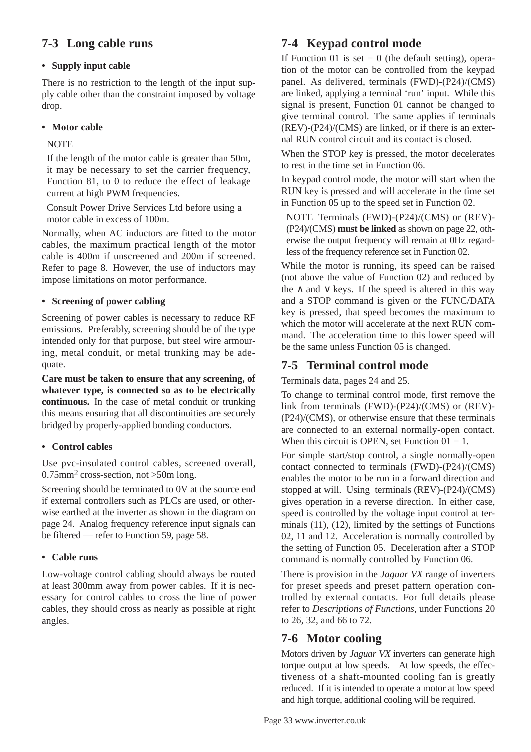### **7-3 Long cable runs**

### **• Supply input cable**

There is no restriction to the length of the input supply cable other than the constraint imposed by voltage drop.

### **• Motor cable**

### **NOTE**

If the length of the motor cable is greater than 50m, it may be necessary to set the carrier frequency, Function 81, to 0 to reduce the effect of leakage current at high PWM frequencies.

Consult Power Drive Services Ltd before using a motor cable in excess of 100m.

Normally, when AC inductors are fitted to the motor cables, the maximum practical length of the motor cable is 400m if unscreened and 200m if screened. Refer to page 8. However, the use of inductors may impose limitations on motor performance.

### **• Screening of power cabling**

Screening of power cables is necessary to reduce RF emissions. Preferably, screening should be of the type intended only for that purpose, but steel wire armouring, metal conduit, or metal trunking may be adequate.

**Care must be taken to ensure that any screening, of whatever type, is connected so as to be electrically continuous.** In the case of metal conduit or trunking this means ensuring that all discontinuities are securely bridged by properly-applied bonding conductors.

### **• Control cables**

Use pvc-insulated control cables, screened overall,  $0.75$ mm<sup>2</sup> cross-section, not >50m long.

Screening should be terminated to 0V at the source end if external controllers such as PLCs are used, or otherwise earthed at the inverter as shown in the diagram on page 24. Analog frequency reference input signals can be filtered — refer to Function 59, page 58.

### **• Cable runs**

Low-voltage control cabling should always be routed at least 300mm away from power cables. If it is necessary for control cables to cross the line of power cables, they should cross as nearly as possible at right angles.

### **7-4 Keypad control mode**

If Function 01 is set  $= 0$  (the default setting), operation of the motor can be controlled from the keypad panel. As delivered, terminals (FWD)-(P24)/(CMS) are linked, applying a terminal 'run' input. While this signal is present, Function 01 cannot be changed to give terminal control. The same applies if terminals (REV)-(P24)/(CMS) are linked, or if there is an external RUN control circuit and its contact is closed.

When the STOP key is pressed, the motor decelerates to rest in the time set in Function 06.

In keypad control mode, the motor will start when the RUN key is pressed and will accelerate in the time set in Function 05 up to the speed set in Function 02.

NOTE Terminals (FWD)-(P24)/(CMS) or (REV)- (P24)/(CMS) **must be linked** as shown on page 22, otherwise the output frequency will remain at 0Hz regardless of the frequency reference set in Function 02.

While the motor is running, its speed can be raised (not above the value of Function 02) and reduced by the  $\land$  and  $\lor$  keys. If the speed is altered in this way and a STOP command is given or the FUNC/DATA key is pressed, that speed becomes the maximum to which the motor will accelerate at the next RUN command. The acceleration time to this lower speed will be the same unless Function 05 is changed.

### **7-5 Terminal control mode**

Terminals data, pages 24 and 25.

To change to terminal control mode, first remove the link from terminals (FWD)-(P24)/(CMS) or (REV)- (P24)/(CMS), or otherwise ensure that these terminals are connected to an external normally-open contact. When this circuit is OPEN, set Function  $01 = 1$ .

For simple start/stop control, a single normally-open contact connected to terminals (FWD)-(P24)/(CMS) enables the motor to be run in a forward direction and stopped at will. Using terminals (REV)-(P24)/(CMS) gives operation in a reverse direction. In either case, speed is controlled by the voltage input control at terminals (11), (12), limited by the settings of Functions 02, 11 and 12. Acceleration is normally controlled by the setting of Function 05. Deceleration after a STOP command is normally controlled by Function 06.

There is provision in the *Jaguar VX* range of inverters for preset speeds and preset pattern operation controlled by external contacts. For full details please refer to *Descriptions of Functions,* under Functions 20 to 26, 32, and 66 to 72.

### **7-6 Motor cooling**

Motors driven by *Jaguar VX* inverters can generate high torque output at low speeds. At low speeds, the effectiveness of a shaft-mounted cooling fan is greatly reduced. If it is intended to operate a motor at low speed and high torque, additional cooling will be required.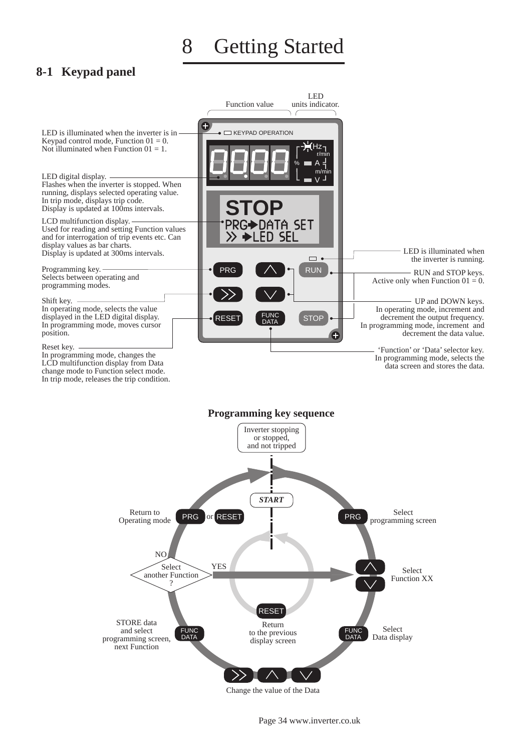8 Getting Started

### **8-1 Keypad panel**

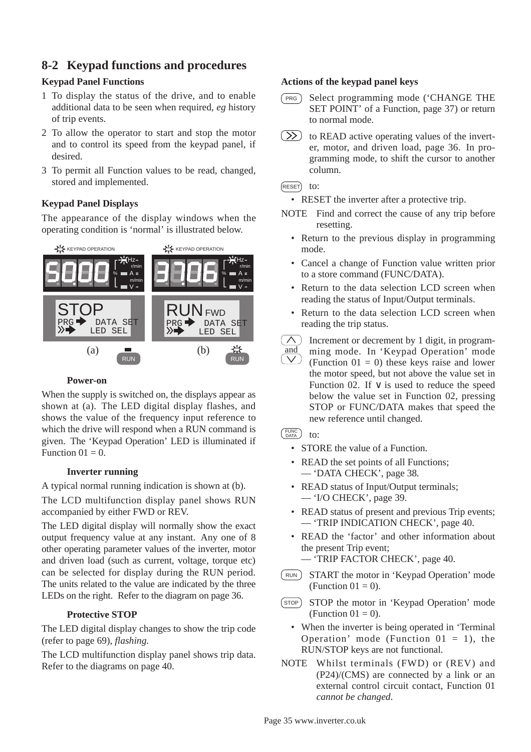# **8-2 Keypad functions and procedures**

## **Keypad Panel Functions**

- 1 To display the status of the drive, and to enable additional data to be seen when required, *eg* history of trip events.
- 2 To allow the operator to start and stop the motor and to control its speed from the keypad panel, if desired.
- 3 To permit all Function values to be read, changed, stored and implemented.

## **Keypad Panel Displays**

The appearance of the display windows when the operating condition is 'normal' is illustrated below.



### **Power-on**

When the supply is switched on, the displays appear as shown at (a). The LED digital display flashes, and shows the value of the frequency input reference to which the drive will respond when a RUN command is given. The 'Keypad Operation' LED is illuminated if Function  $01 = 0$ .

### **Inverter running**

A typical normal running indication is shown at (b).

The LCD multifunction display panel shows RUN accompanied by either FWD or REV.

The LED digital display will normally show the exact output frequency value at any instant. Any one of 8 other operating parameter values of the inverter, motor and driven load (such as current, voltage, torque etc) can be selected for display during the RUN period. The units related to the value are indicated by the three LEDs on the right. Refer to the diagram on page 36.

### **Protective STOP**

The LED digital display changes to show the trip code (refer to page 69), *flashing.*

The LCD multifunction display panel shows trip data. Refer to the diagrams on page 40.

### **Actions of the keypad panel keys**

- Select programming mode ('CHANGE THE SET POINT' of a Function, page 37) or return to normal mode.  $(PRG)$
- $(\infty)$ to READ active operating values of the inverter, motor, and driven load, page 36. In programming mode, to shift the cursor to another column.

### $F$ ESET $)$  to:

- RESET the inverter after a protective trip.
- NOTE Find and correct the cause of any trip before resetting.
	- Return to the previous display in programming mode.
	- Cancel a change of Function value written prior to a store command (FUNC/DATA).
	- Return to the data selection LCD screen when reading the status of Input/Output terminals.
	- Return to the data selection LCD screen when reading the trip status.
	- $\wedge$  ) Increment or decrement by 1 digit, in program- $\frac{and}{\sqrt{ }}$ ming mode. In 'Keypad Operation' mode (Function  $01 = 0$ ) these keys raise and lower the motor speed, but not above the value set in Function 02. If  $\vee$  is used to reduce the speed

below the value set in Function 02, pressing STOP or FUNC/DATA makes that speed the new reference until changed.

### <sub>DATA</sub>) to:

- STORE the value of a Function.
- READ the set points of all Functions; — 'DATA CHECK', page 38*.*
- READ status of Input/Output terminals; — 'I/O CHECK', page 39.
- READ status of present and previous Trip events; — 'TRIP INDICATION CHECK', page 40.
- READ the 'factor' and other information about the present Trip event;
	- 'TRIP FACTOR CHECK', page 40.
- START the motor in 'Keypad Operation' mode (Function  $01 = 0$ ). RUN
- STOP the motor in 'Keypad Operation' mode (Function  $01 = 0$ ). **STOP** 
	- When the inverter is being operated in 'Terminal Operation' mode (Function  $01 = 1$ ), the RUN/STOP keys are not functional.
- NOTE Whilst terminals (FWD) or (REV) and (P24)/(CMS) are connected by a link or an external control circuit contact, Function 01 *cannot be changed*.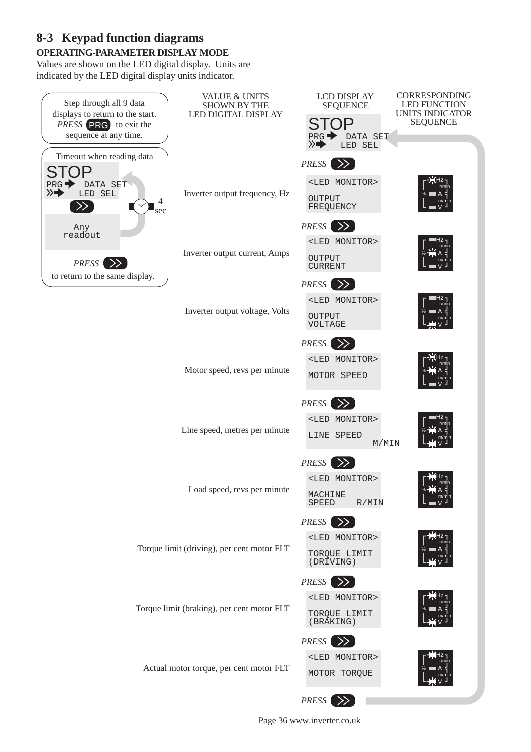# **OPERATING-PARAMETER DISPLAY MODE 8-3 Keypad function diagrams**

Values are shown on the LED digital display. Units are indicated by the LED digital display units indicator.



Page 36 www.inverter.co.uk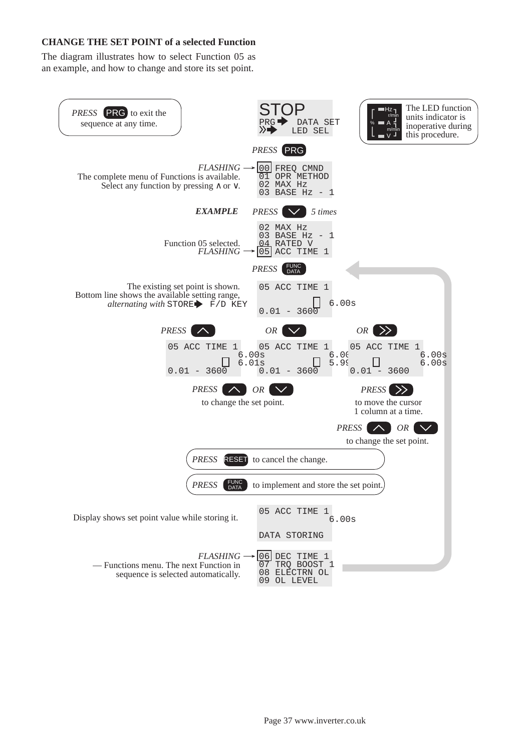#### **CHANGE THE SET POINT of a selected Function**

The diagram illustrates how to select Function 05 as an example, and how to change and store its set point.

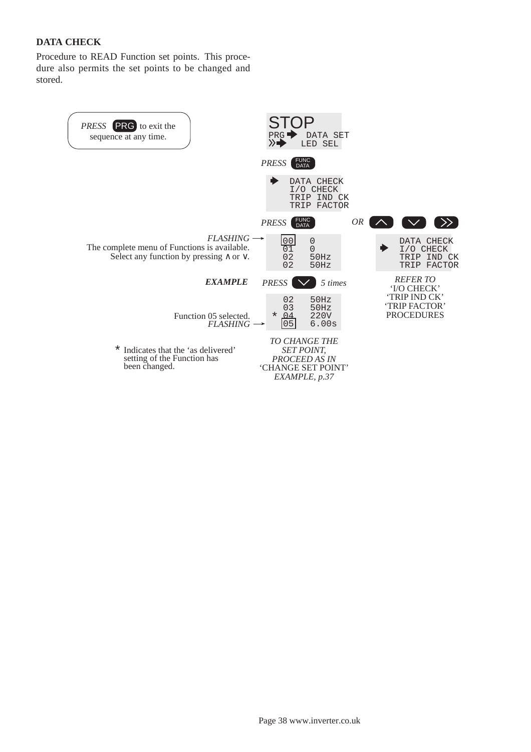## **DATA CHECK**

Procedure to READ Function set points. This procedure also permits the set points to be changed and stored.

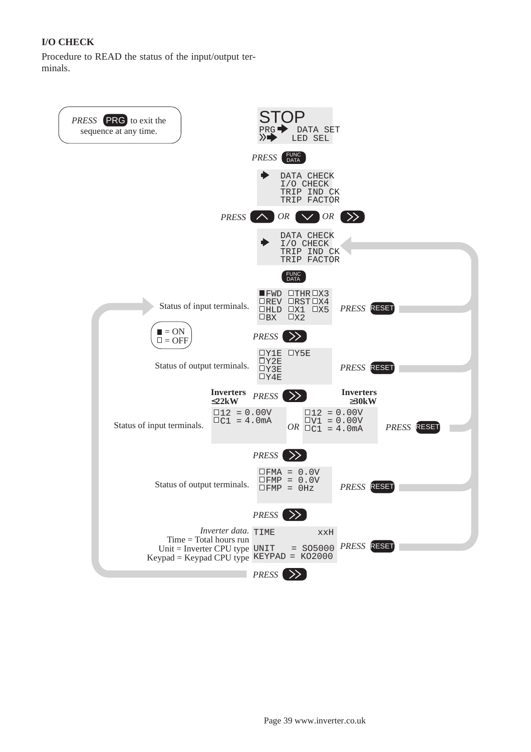# **I/O CHECK**

Procedure to READ the status of the input/output terminals.

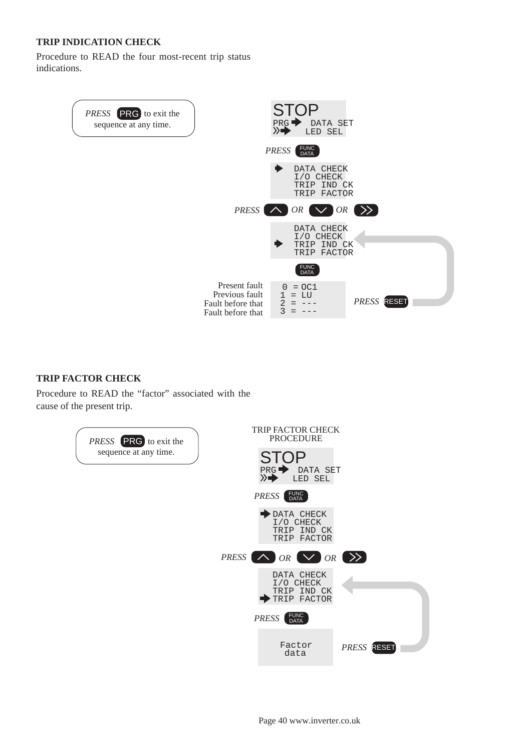### **TRIP INDICATION CHECK**

Procedure to READ the four most-recent trip status indications.



### **TRIP FACTOR CHECK**

Procedure to READ the "factor" associated with the cause of the present trip.

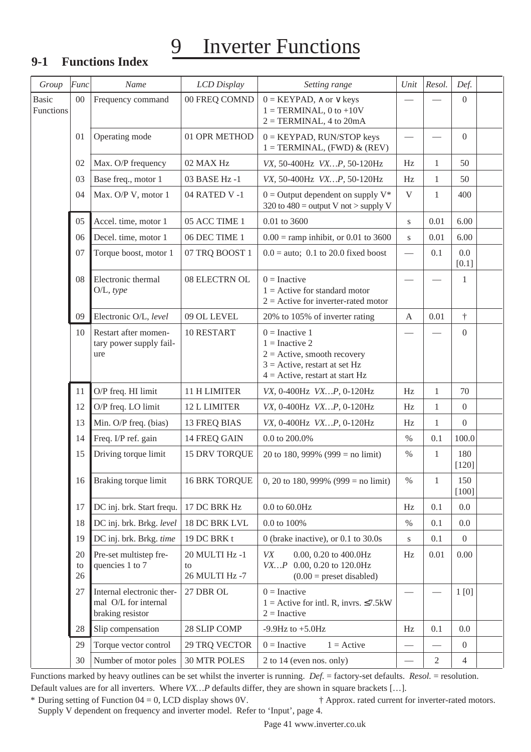# 9 Inverter Functions

# **9-1 Functions Index**

| Group                     | Func           | Name                                                                  | LCD Display                            | Setting range                                                                                                                                 | Unit                            | Resol.                   | Def.             |
|---------------------------|----------------|-----------------------------------------------------------------------|----------------------------------------|-----------------------------------------------------------------------------------------------------------------------------------------------|---------------------------------|--------------------------|------------------|
| <b>Basic</b><br>Functions | $00\,$         | Frequency command                                                     | 00 FREQ COMND                          | $0 = KEYPAD, \land or \lor keys$<br>$1 = TERMINAL$ , 0 to +10V<br>$2 = TERMINAL$ , 4 to $20mA$                                                |                                 |                          | $\boldsymbol{0}$ |
|                           | 01             | Operating mode                                                        | 01 OPR METHOD                          | $0 =$ KEYPAD, RUN/STOP keys<br>$1 = TERMINAL$ , (FWD) & (REV)                                                                                 |                                 |                          | $\overline{0}$   |
|                           | 02             | Max. O/P frequency                                                    | 02 MAX Hz                              | VX, 50-400Hz VXP, 50-120Hz                                                                                                                    | Hz                              | 1                        | 50               |
|                           | 03             | Base freq., motor 1                                                   | 03 BASE Hz -1                          | VX, 50-400Hz VXP, 50-120Hz                                                                                                                    | Hz                              | $\mathbf{1}$             | 50               |
|                           | 04             | Max. O/P V, motor 1                                                   | 04 RATED V -1                          | $0 =$ Output dependent on supply $V^*$<br>320 to $480$ = output V not > supply V                                                              | V                               | $\mathbf{1}$             | 400              |
|                           | 05             | Accel. time, motor 1                                                  | 05 ACC TIME 1                          | 0.01 to 3600                                                                                                                                  | S                               | 0.01                     | 6.00             |
|                           | 06             | Decel. time, motor 1                                                  | 06 DEC TIME 1                          | $0.00 =$ ramp inhibit, or 0.01 to 3600                                                                                                        | S                               | 0.01                     | 6.00             |
|                           | 07             | Torque boost, motor 1                                                 | 07 TRQ BOOST 1                         | $0.0 =$ auto; 0.1 to 20.0 fixed boost                                                                                                         |                                 | 0.1                      | 0.0<br>$[0.1]$   |
|                           | 08             | Electronic thermal<br>$O/L$ , type                                    | 08 ELECTRN OL                          | $0 = Inactive$<br>$1 =$ Active for standard motor<br>$2$ = Active for inverter-rated motor                                                    |                                 |                          | 1                |
|                           | 09             | Electronic O/L, level                                                 | 09 OL LEVEL                            | 20% to 105% of inverter rating                                                                                                                | $\mathbf{A}$                    | 0.01                     | $\dagger$        |
|                           | 10             | Restart after momen-<br>tary power supply fail-<br>ure                | 10 RESTART                             | $0 =$ Inactive 1<br>$1 =$ Inactive 2<br>$2 =$ Active, smooth recovery<br>$3$ = Active, restart at set Hz<br>$4 =$ Active, restart at start Hz |                                 |                          | $\boldsymbol{0}$ |
|                           | 11             | O/P freq. HI limit                                                    | 11 H LIMITER                           | VX, 0-400Hz VXP, 0-120Hz                                                                                                                      | Hz                              | $\mathbf{1}$             | 70               |
|                           | 12             | O/P freq. LO limit                                                    | 12 L LIMITER                           | VX, 0-400Hz VXP, 0-120Hz                                                                                                                      | Hz                              | $\mathbf{1}$             | $\boldsymbol{0}$ |
|                           | 13             | Min. O/P freq. (bias)                                                 | <b>13 FREQ BIAS</b>                    | VX, 0-400Hz VXP, 0-120Hz                                                                                                                      | Hz                              | $\mathbf{1}$             | $\overline{0}$   |
|                           | 14             | Freq. I/P ref. gain                                                   | 14 FREQ GAIN                           | $0.0$ to $200.0\%$                                                                                                                            | $\%$                            | 0.1                      | 100.0            |
|                           | 15             | Driving torque limit                                                  | 15 DRV TORQUE                          | 20 to 180, 999% (999 = no limit)                                                                                                              | $\%$                            | $\mathbf{1}$             | 180<br>$[120]$   |
|                           | 16             | Braking torque limit                                                  | <b>16 BRK TORQUE</b>                   | 0, 20 to 180, 999% (999 = no limit)                                                                                                           | $\%$                            | $\mathbf{1}$             | 150<br>$[100]$   |
|                           | 17             | DC inj. brk. Start frequ.                                             | 17 DC BRK Hz                           | $0.0$ to $60.0 \rm{Hz}$                                                                                                                       | Hz                              | 0.1                      | 0.0              |
|                           | 18             | DC inj. brk. Brkg. level                                              | 18 DC BRK LVL                          | 0.0 to 100%                                                                                                                                   | $\%$                            | 0.1                      | 0.0              |
|                           | 19             | DC inj. brk. Brkg. time                                               | 19 DC BRK t                            | 0 (brake inactive), or $0.1$ to $30.0s$                                                                                                       | $\bf S$                         | 0.1                      | $\boldsymbol{0}$ |
|                           | 20<br>to<br>26 | Pre-set multistep fre-<br>quencies 1 to 7                             | 20 MULTI Hz -1<br>to<br>26 MULTI Hz -7 | VX<br>0.00, 0.20 to 400.0Hz<br>VXP 0.00, 0.20 to 120.0Hz<br>$(0.00)$ = preset disabled)                                                       | Hz                              | 0.01                     | 0.00             |
|                           | 27             | Internal electronic ther-<br>mal O/L for internal<br>braking resistor | 27 DBR OL                              | $0 = Inactive$<br>$1 =$ Active for intl. R, invrs. $\leq 7.5$ kW<br>$2 = Inactive$                                                            |                                 |                          | 1[0]             |
|                           | 28             | Slip compensation                                                     | 28 SLIP COMP                           | -9.9Hz to $+5.0$ Hz                                                                                                                           | Hz                              | 0.1                      | 0.0              |
|                           | 29             | Torque vector control                                                 | 29 TRQ VECTOR                          | $0 = Inactive$<br>$1 =$ Active                                                                                                                |                                 | $\overline{\phantom{0}}$ | $\overline{0}$   |
|                           | 30             | Number of motor poles                                                 | <b>30 MTR POLES</b>                    | 2 to 14 (even nos. only)                                                                                                                      | $\overbrace{\qquad \qquad }^{}$ | $\mathbf{2}$             | $\overline{4}$   |

Functions marked by heavy outlines can be set whilst the inverter is running. *Def.* = factory-set defaults. *Resol.* = resolution. Default values are for all inverters. Where *VX…P* defaults differ, they are shown in square brackets […].

\* During setting of Function 04 = 0, LCD display shows 0V. † Approx. rated current for inverter-rated motors. Supply V dependent on frequency and inverter model. Refer to 'Input', page 4.

Page 41 www.inverter.co.uk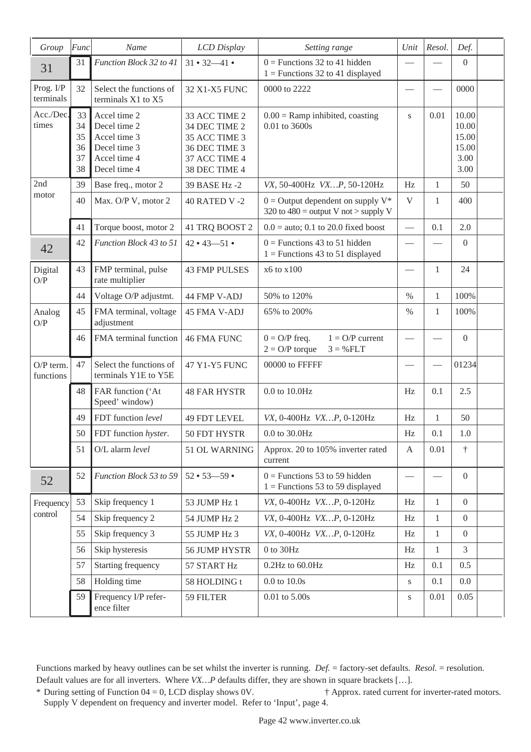| Group                    | Func                             | Name                                                                                         | LCD Display                                                                                        | Setting range                                                                    | Unit                     | Resol.       | Def.                                             |
|--------------------------|----------------------------------|----------------------------------------------------------------------------------------------|----------------------------------------------------------------------------------------------------|----------------------------------------------------------------------------------|--------------------------|--------------|--------------------------------------------------|
| 31                       | 31                               | Function Block 32 to 41                                                                      | $31 \cdot 32 - 41 \cdot$                                                                           | $0$ = Functions 32 to 41 hidden<br>$1 =$ Functions 32 to 41 displayed            |                          |              | $\boldsymbol{0}$                                 |
| Prog. I/P<br>terminals   | 32                               | Select the functions of<br>terminals X1 to X5                                                | 32 X1-X5 FUNC                                                                                      | 0000 to 2222                                                                     |                          |              | 0000                                             |
| Acc./Dec.<br>times       | 33<br>34<br>35<br>36<br>37<br>38 | Accel time 2<br>Decel time 2<br>Accel time 3<br>Decel time 3<br>Accel time 4<br>Decel time 4 | 33 ACC TIME 2<br>34 DEC TIME 2<br>35 ACC TIME 3<br>36 DEC TIME 3<br>37 ACC TIME 4<br>38 DEC TIME 4 | $0.00$ = Ramp inhibited, coasting<br>0.01 to 3600s                               | S                        | 0.01         | 10.00<br>10.00<br>15.00<br>15.00<br>3.00<br>3.00 |
| 2nd                      | 39                               | Base freq., motor 2                                                                          | 39 BASE Hz -2                                                                                      | VX, 50-400Hz VXP, 50-120Hz                                                       | Hz                       | $\mathbf{1}$ | 50                                               |
| motor                    | 40                               | Max. O/P V, motor 2                                                                          | <b>40 RATED V -2</b>                                                                               | $0 =$ Output dependent on supply $V^*$<br>320 to $480 =$ output V not > supply V | V                        | $\mathbf{1}$ | 400                                              |
|                          | 41                               | Torque boost, motor 2                                                                        | 41 TRQ BOOST 2                                                                                     | $0.0 =$ auto; 0.1 to 20.0 fixed boost                                            | $\overline{\phantom{0}}$ | 0.1          | 2.0                                              |
| 42                       | 42                               | Function Block 43 to 51                                                                      | $42 \cdot 43 - 51 \cdot$                                                                           | $0$ = Functions 43 to 51 hidden<br>$1 =$ Functions 43 to 51 displayed            |                          |              | $\boldsymbol{0}$                                 |
| Digital<br>O/P           | 43                               | FMP terminal, pulse<br>rate multiplier                                                       | <b>43 FMP PULSES</b>                                                                               | x6 to x100                                                                       |                          | $\mathbf{1}$ | 24                                               |
|                          | 44                               | Voltage O/P adjustmt.                                                                        | 44 FMP V-ADJ                                                                                       | 50% to 120%                                                                      | $\%$                     | $\mathbf{1}$ | 100%                                             |
| Analog<br>O/P            | 45                               | FMA terminal, voltage<br>adjustment                                                          | 45 FMA V-ADJ                                                                                       | 65% to 200%                                                                      | $\%$                     | $\mathbf{1}$ | 100%                                             |
|                          | 46                               | FMA terminal function                                                                        | <b>46 FMA FUNC</b>                                                                                 | $1 = O/P$ current<br>$0 = O/P$ freq.<br>$2 = O/P$ torque<br>$3 = \% FLT$         | $\overline{\phantom{0}}$ |              | $\boldsymbol{0}$                                 |
| $O/P$ term.<br>functions | 47                               | Select the functions of<br>terminals Y1E to Y5E                                              | 47 Y1-Y5 FUNC                                                                                      | 00000 to FFFFF                                                                   |                          |              | 01234                                            |
|                          | 48                               | FAR function ('At<br>Speed' window)                                                          | <b>48 FAR HYSTR</b>                                                                                | 0.0 to 10.0Hz                                                                    | Hz                       | 0.1          | 2.5                                              |
|                          | 49                               | FDT function level                                                                           | <b>49 FDT LEVEL</b>                                                                                | VX, 0-400Hz VXP, 0-120Hz                                                         | Hz                       | $\mathbf{1}$ | 50                                               |
|                          | 50                               | FDT function hyster.                                                                         | 50 FDT HYSTR                                                                                       | 0.0 to 30.0Hz                                                                    | Hz                       | 0.1          | 1.0                                              |
|                          | 51                               | O/L alarm level                                                                              | 51 OL WARNING                                                                                      | Approx. 20 to 105% inverter rated<br>current                                     | A                        | 0.01         | $\dagger$                                        |
| 52                       | 52                               | Function Block 53 to 59                                                                      | $52 \cdot 53 - 59 \cdot$                                                                           | $0$ = Functions 53 to 59 hidden<br>$1 =$ Functions 53 to 59 displayed            |                          |              | $\boldsymbol{0}$                                 |
| Frequency                | 53                               | Skip frequency 1                                                                             | 53 JUMP Hz 1                                                                                       | VX, 0-400Hz VXP, 0-120Hz                                                         | Hz                       | 1            | $\overline{0}$                                   |
| control                  | 54                               | Skip frequency 2                                                                             | 54 JUMP Hz 2                                                                                       | VX, 0-400Hz VXP, 0-120Hz                                                         | Hz                       | 1            | $\overline{0}$                                   |
|                          | 55                               | Skip frequency 3                                                                             | 55 JUMP Hz 3                                                                                       | VX, 0-400Hz VXP, 0-120Hz                                                         | Hz                       | $\mathbf{1}$ | $\overline{0}$                                   |
|                          | 56                               | Skip hysteresis                                                                              | 56 JUMP HYSTR                                                                                      | $0$ to $30$ Hz                                                                   | Hz                       | $\mathbf{1}$ | 3                                                |
|                          | 57                               | Starting frequency                                                                           | 57 START Hz                                                                                        | $0.2$ Hz to $60.0$ Hz                                                            | Hz                       | 0.1          | 0.5                                              |
|                          | 58                               | Holding time                                                                                 | 58 HOLDING t                                                                                       | $0.0$ to $10.0\mathrm{s}$                                                        | $\bf S$                  | 0.1          | 0.0                                              |
|                          | 59                               | Frequency I/P refer-<br>ence filter                                                          | 59 FILTER                                                                                          | $0.01$ to $5.00\mathrm{s}$                                                       | S                        | 0.01         | 0.05                                             |

Functions marked by heavy outlines can be set whilst the inverter is running. *Def.* = factory-set defaults. *Resol.* = resolution. Default values are for all inverters. Where *VX…P* defaults differ, they are shown in square brackets […].

\* During setting of Function 04 = 0, LCD display shows 0V. † Approx. rated current for inverter-rated motors. Supply V dependent on frequency and inverter model. Refer to 'Input', page 4.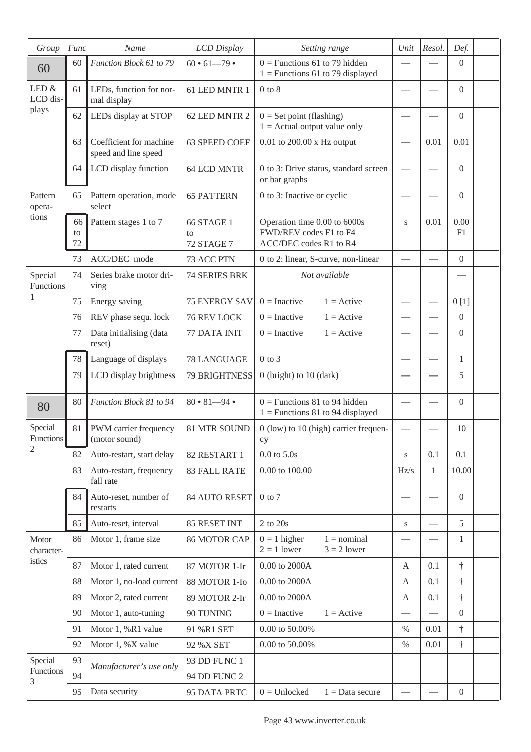| Group                | Func           | Name                                            | LCD Display                    | Setting range                                                                    | Unit            | Resol.                   | Def.             |  |
|----------------------|----------------|-------------------------------------------------|--------------------------------|----------------------------------------------------------------------------------|-----------------|--------------------------|------------------|--|
| 60                   | 60             | Function Block 61 to 79                         | $60 \cdot 61 - 79 \cdot$       | $0$ = Functions 61 to 79 hidden<br>$1 =$ Functions 61 to 79 displayed            |                 |                          | $\overline{0}$   |  |
| LED &<br>LCD dis-    | 61             | LEDs, function for nor-<br>mal display          | 61 LED MNTR 1                  | $0$ to $8$                                                                       |                 |                          | $\overline{0}$   |  |
| plays                | 62             | LEDs display at STOP                            | 62 LED MNTR 2                  | $0 = Set point (flashing)$<br>$1 =$ Actual output value only                     |                 |                          | $\overline{0}$   |  |
|                      | 63             | Coefficient for machine<br>speed and line speed | 63 SPEED COEF                  | $0.01$ to $200.00$ x Hz output                                                   |                 | 0.01                     | 0.01             |  |
|                      | 64             | LCD display function                            | 64 LCD MNTR                    | 0 to 3: Drive status, standard screen<br>or bar graphs                           |                 |                          | $\overline{0}$   |  |
| Pattern<br>opera-    | 65             | Pattern operation, mode<br>select               | <b>65 PATTERN</b>              | 0 to 3: Inactive or cyclic                                                       |                 |                          | $\overline{0}$   |  |
| tions                | 66<br>to<br>72 | Pattern stages 1 to 7                           | 66 STAGE 1<br>to<br>72 STAGE 7 | Operation time 0.00 to 6000s<br>FWD/REV codes F1 to F4<br>ACC/DEC codes R1 to R4 | S               | 0.01                     | 0.00<br>F1       |  |
|                      | 73             | ACC/DEC mode                                    | 73 ACC PTN                     | 0 to 2: linear, S-curve, non-linear                                              |                 |                          | $\overline{0}$   |  |
| Special<br>Functions | 74             | Series brake motor dri-<br>ving                 | 74 SERIES BRK                  | Not available                                                                    |                 |                          |                  |  |
| 1                    | 75             | Energy saving                                   | <b>75 ENERGY SAV</b>           | $0 = Inactive$<br>$1 =$ Active                                                   | $\qquad \qquad$ | $\overline{\phantom{0}}$ | 0[1]             |  |
|                      | 76             | REV phase sequ. lock                            | 76 REV LOCK                    | $0 = Inactive$<br>$1 =$ Active                                                   |                 |                          | $\overline{0}$   |  |
|                      | 77             | Data initialising (data<br>reset)               | 77 DATA INIT                   | $0 = Inactive$<br>$1 =$ Active                                                   |                 |                          | $\overline{0}$   |  |
|                      | 78             | Language of displays                            | 78 LANGUAGE                    | $0$ to $3$                                                                       |                 | $\overline{\phantom{0}}$ | $\mathbf{1}$     |  |
|                      | 79             | LCD display brightness                          | 79 BRIGHTNESS                  | $0$ (bright) to $10$ (dark)                                                      |                 |                          | 5                |  |
| 80                   | 80             | Function Block 81 to 94                         | $80 \cdot 81 - 94 \cdot$       | $0$ = Functions 81 to 94 hidden<br>$1$ = Functions 81 to 94 displayed            |                 |                          | $\overline{0}$   |  |
| Special<br>Functions | 81             | PWM carrier frequency<br>(motor sound)          | 81 MTR SOUND                   | 0 (low) to 10 (high) carrier frequen-<br>су                                      |                 |                          | 10               |  |
| $\overline{c}$       | 82             | Auto-restart, start delay                       | 82 RESTART 1                   | $0.0$ to $5.0s$                                                                  | S               | 0.1                      | 0.1              |  |
|                      | 83             | Auto-restart, frequency<br>fall rate            | <b>83 FALL RATE</b>            | 0.00 to 100.00                                                                   | Hz/s            | $\mathbf{1}$             | 10.00            |  |
|                      | 84             | Auto-reset, number of<br>restarts               | 84 AUTO RESET                  | $0$ to $7$                                                                       |                 |                          | $\mathbf{0}$     |  |
|                      | 85             | Auto-reset, interval                            | 85 RESET INT                   | $2$ to $20\mathrm{s}$                                                            | S               |                          | 5                |  |
| Motor<br>character-  | 86             | Motor 1, frame size                             | <b>86 MOTOR CAP</b>            | $0 = 1$ higher<br>$1 =$ nominal<br>$2 = 1$ lower<br>$3 = 2$ lower                |                 |                          | 1                |  |
| istics               | 87             | Motor 1, rated current                          | 87 MOTOR 1-Ir                  | $0.00$ to $2000\mbox{\AA}$                                                       | A               | 0.1                      | $^\dagger$       |  |
|                      | 88             | Motor 1, no-load current                        | 88 MOTOR 1-Io                  | 0.00 to 2000A                                                                    | A               | 0.1                      | $^\dagger$       |  |
|                      | 89             | Motor 2, rated current                          | 89 MOTOR 2-Ir                  | $0.00$ to $2000\mbox{\AA}$                                                       | A               | 0.1                      | $^\dagger$       |  |
|                      | 90             | Motor 1, auto-tuning                            | 90 TUNING                      | $0 = Inactive$<br>$1 =$ Active                                                   |                 | $\overline{\phantom{0}}$ | $\boldsymbol{0}$ |  |
|                      | 91             | Motor 1, %R1 value                              | 91 %R1 SET                     | 0.00 to 50.00%                                                                   | $\%$            | 0.01                     | $\dagger$        |  |
|                      | 92             | Motor 1, %X value                               | 92 % X SET                     | 0.00 to 50.00%                                                                   | $\%$            | 0.01                     | $^\dagger$       |  |
| Special              | 93             | Manufacturer's use only                         | 93 DD FUNC 1                   |                                                                                  |                 |                          |                  |  |
| Functions<br>3       | 94             |                                                 | <b>94 DD FUNC 2</b>            |                                                                                  |                 |                          |                  |  |
|                      | 95             | Data security                                   | 95 DATA PRTC                   | $0 =$ Unlocked<br>$1 = Data$ secure                                              |                 |                          | $\boldsymbol{0}$ |  |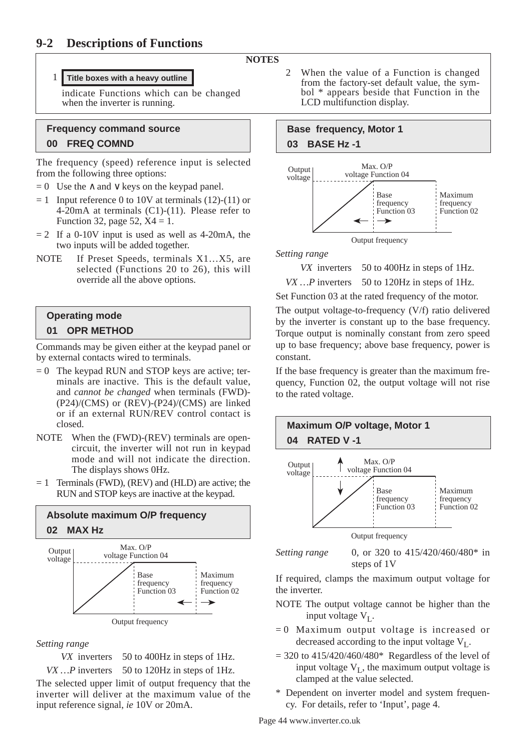### **NOTES**

### 1 **Title boxes with a heavy outline**

indicate Functions which can be changed when the inverter is running.

# **Frequency command source 00 FREQ COMND**

The frequency (speed) reference input is selected from the following three options:

- $= 0$  Use the ∧ and ∨ keys on the keypad panel.
- $= 1$  Input reference 0 to 10V at terminals (12)-(11) or 4-20mA at terminals (C1)-(11). Please refer to Function 32, page 52,  $X4 = 1$ .
- $= 2$  If a 0-10V input is used as well as 4-20mA, the two inputs will be added together.
- NOTE If Preset Speeds, terminals X1...X5, are selected (Functions 20 to 26), this will override all the above options.

# **Operating mode 01 OPR METHOD**

Commands may be given either at the keypad panel or by external contacts wired to terminals.

- $= 0$  The keypad RUN and STOP keys are active; terminals are inactive. This is the default value, and *cannot be changed* when terminals (FWD)-  $(P24)/(CMS)$  or  $(REV)-(P24)/(CMS)$  are linked or if an external RUN/REV control contact is closed.
- NOTE When the (FWD)-(REV) terminals are opencircuit, the inverter will not run in keypad mode and will not indicate the direction. The displays shows 0Hz.
- $= 1$  Terminals (FWD), (REV) and (HLD) are active; the RUN and STOP keys are inactive at the keypad.



*Setting range* 

*VX* inverters 50 to 400Hz in steps of 1Hz.

*VX ...* P inverters 50 to 120Hz in steps of 1Hz.

The selected upper limit of output frequency that the inverter will deliver at the maximum value of the input reference signal, *ie* 10V or 20mA.

2 When the value of a Function is changed from the factory-set default value, the symbol \* appears beside that Function in the LCD multifunction display.

# **Base frequency, Motor 1 03 BASE Hz -1**



*Setting range* 

*VX* inverters 50 to 400Hz in steps of 1Hz.

*VX ...* P inverters 50 to 120Hz in steps of 1Hz.

Set Function 03 at the rated frequency of the motor. The output voltage-to-frequency (V/f) ratio delivered by the inverter is constant up to the base frequency. Torque output is nominally constant from zero speed up to base frequency; above base frequency, power is constant.

If the base frequency is greater than the maximum frequency, Function 02, the output voltage will not rise to the rated voltage.



steps of 1V

If required, clamps the maximum output voltage for the inverter.

- NOTE The output voltage cannot be higher than the input voltage  $V_I$ .
- = 0 Maximum output voltage is increased or decreased according to the input voltage  $V<sub>L</sub>$ .
- $= 320$  to 415/420/460/480\* Regardless of the level of input voltage  $V_I$ , the maximum output voltage is clamped at the value selected.
- \* Dependent on inverter model and system frequency. For details, refer to 'Input', page 4.

Page 44 www.inverter.co.uk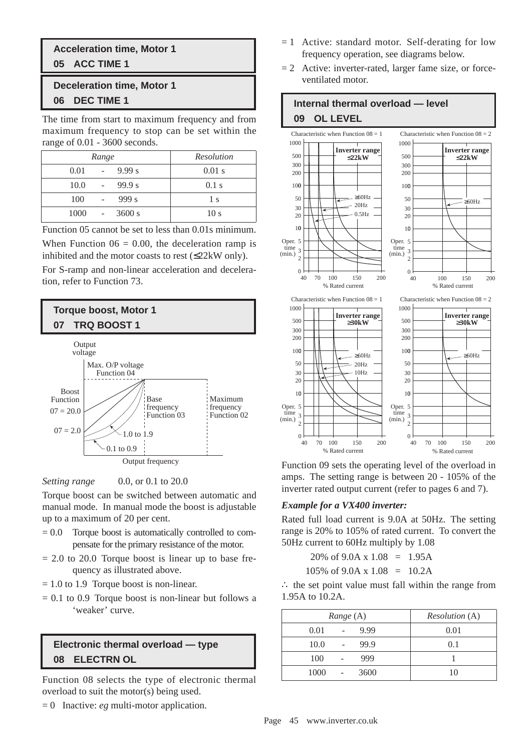# **Acceleration time, Motor 1 05 ACC TIME 1**

# **Deceleration time, Motor 1 06 DEC TIME 1**

The time from start to maximum frequency and from maximum frequency to stop can be set within the range of 0.01 - 3600 seconds.

| Range          | Resolution      |
|----------------|-----------------|
| 9.99 s<br>0.01 | $0.01$ s        |
| 99.9 s<br>10.0 | $0.1$ s         |
| 999 s<br>100   | 1 s             |
| 1000<br>3600 s | 10 <sub>s</sub> |

Function 05 cannot be set to less than 0.01s minimum. When Function  $06 = 0.00$ , the deceleration ramp is inhibited and the motor coasts to rest (≤22kW only).

For S-ramp and non-linear acceleration and deceleration, refer to Function 73.





Torque boost can be switched between automatic and manual mode. In manual mode the boost is adjustable up to a maximum of 20 per cent.

- $= 0.0$  Torque boost is automatically controlled to compensate for the primary resistance of the motor.
- $= 2.0$  to 20.0 Torque boost is linear up to base frequency as illustrated above.
- $= 1.0$  to 1.9 Torque boost is non-linear.
- $= 0.1$  to 0.9 Torque boost is non-linear but follows a 'weaker' curve.

# **Electronic thermal overload — type 08 ELECTRN OL**

Function 08 selects the type of electronic thermal overload to suit the motor(s) being used.

= 0 Inactive: *eg* multi-motor application.

- $= 1$  Active: standard motor. Self-derating for low frequency operation, see diagrams below.
- $= 2$  Active: inverter-rated, larger fame size, or forceventilated motor.



Function 09 sets the operating level of the overload in amps. The setting range is between 20 - 105% of the inverter rated output current (refer to pages 6 and 7).

### *Example for a VX400 inverter:*

Rated full load current is 9.0A at 50Hz. The setting range is 20% to 105% of rated current. To convert the 50Hz current to 60Hz multiply by 1.08

$$
20\% \text{ of } 9.0 \text{A x } 1.08 = 1.95 \text{A}
$$

 $105\%$  of 9.0A x  $1.08 = 10.2$ A

∴ the set point value must fall within the range from 1.95A to 10.2A.

| Range (A)    | <i>Resolution</i> (A) |
|--------------|-----------------------|
| 9.99<br>0.01 | 0.01                  |
| 99.9<br>10.0 | 0.1                   |
| 999<br>100   |                       |
| 1000<br>3600 | 10                    |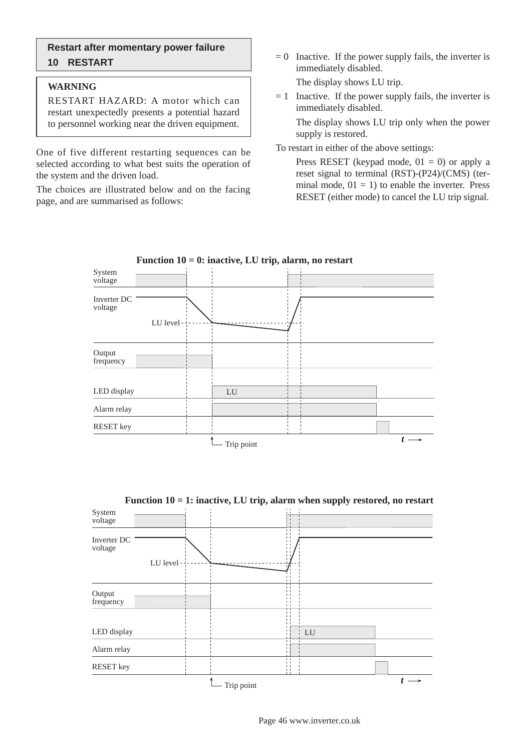### **Restart after momentary power failure 10 RESTART**

#### **WARNING**

RESTART HAZARD: A motor which can restart unexpectedly presents a potential hazard to personnel working near the driven equipment.

One of five different restarting sequences can be selected according to what best suits the operation of the system and the driven load.

The choices are illustrated below and on the facing page, and are summarised as follows:

 $= 0$  Inactive. If the power supply fails, the inverter is immediately disabled.

The display shows LU trip.

 $= 1$  Inactive. If the power supply fails, the inverter is immediately disabled.

The display shows LU trip only when the power supply is restored.

To restart in either of the above settings:

Press RESET (keypad mode,  $01 = 0$ ) or apply a reset signal to terminal (RST)-(P24)/(CMS) (terminal mode,  $01 = 1$ ) to enable the inverter. Press RESET (either mode) to cancel the LU trip signal.



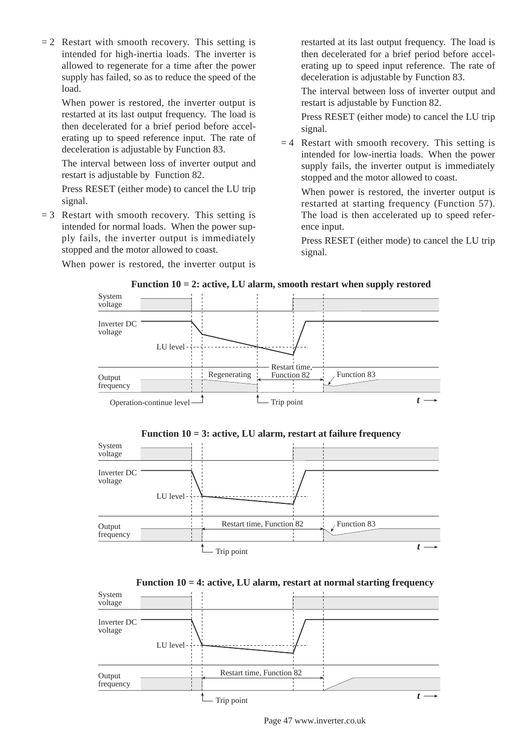$= 2$  Restart with smooth recovery. This setting is intended for high-inertia loads. The inverter is allowed to regenerate for a time after the power supply has failed, so as to reduce the speed of the load.

When power is restored, the inverter output is restarted at its last output frequency. The load is then decelerated for a brief period before accelerating up to speed reference input. The rate of deceleration is adjustable by Function 83.

The interval between loss of inverter output and restart is adjustable by Function 82.

Press RESET (either mode) to cancel the LU trip signal.

 $= 3$  Restart with smooth recovery. This setting is intended for normal loads. When the power supply fails, the inverter output is immediately stopped and the motor allowed to coast.

When power is restored, the inverter output is

restarted at its last output frequency. The load is then decelerated for a brief period before accelerating up to speed input reference. The rate of deceleration is adjustable by Function 83.

The interval between loss of inverter output and restart is adjustable by Function 82.

Press RESET (either mode) to cancel the LU trip signal.

 $= 4$  Restart with smooth recovery. This setting is intended for low-inertia loads. When the power supply fails, the inverter output is immediately stopped and the motor allowed to coast.

When power is restored, the inverter output is restarted at starting frequency (Function 57). The load is then accelerated up to speed reference input.

Press RESET (either mode) to cancel the LU trip signal.



**Function 10 = 2: active, LU alarm, smooth restart when supply restored**









Page 47 www.inverter.co.uk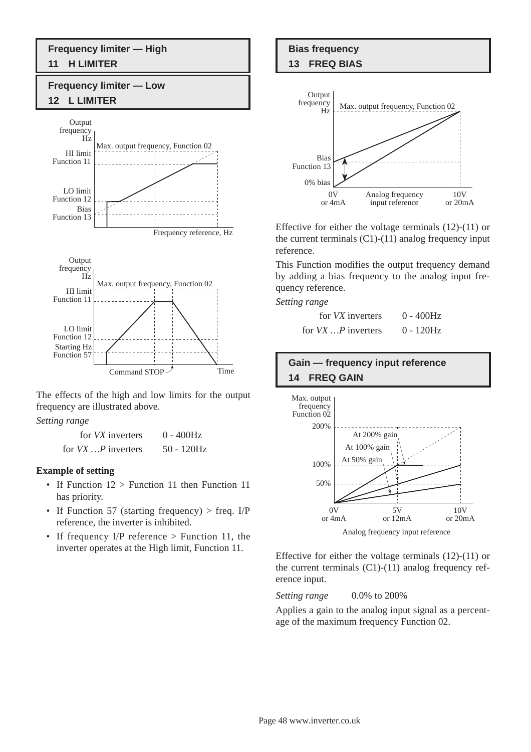# **Frequency limiter — High 11 H LIMITER**

# **Frequency limiter — Low 12 L LIMITER**



The effects of the high and low limits for the output frequency are illustrated above.

*Setting range* 

| for <i>VX</i> inverters    | $0 - 400$ Hz  |
|----------------------------|---------------|
| for $VX \dots P$ inverters | $50 - 120$ Hz |

#### **Example of setting**

- If Function  $12 >$  Function 11 then Function 11 has priority.
- If Function 57 (starting frequency) > freq. I/P reference, the inverter is inhibited.
- If frequency I/P reference > Function 11, the inverter operates at the High limit, Function 11.

# **Bias frequency 13 FREQ BIAS**

#### Output frequency Hz Analog frequency input reference 10V or 20mA  $0V$ or 4mA 0% bias Max. output frequency, Function 02 Bias Function 13

Effective for either the voltage terminals (12)-(11) or the current terminals  $(C1)-(11)$  analog frequency input reference.

This Function modifies the output frequency demand by adding a bias frequency to the analog input frequency reference.

*Setting range* 

| for <i>VX</i> inverters | $0 - 400$ Hz |
|-------------------------|--------------|
| for $VX$ P inverters    | $0 - 120$ Hz |

# **Gain — frequency input reference 14 FREQ GAIN**



Effective for either the voltage terminals (12)-(11) or the current terminals  $(C1)-(11)$  analog frequency reference input.

*Setting range* 0.0% to 200%

Applies a gain to the analog input signal as a percentage of the maximum frequency Function 02.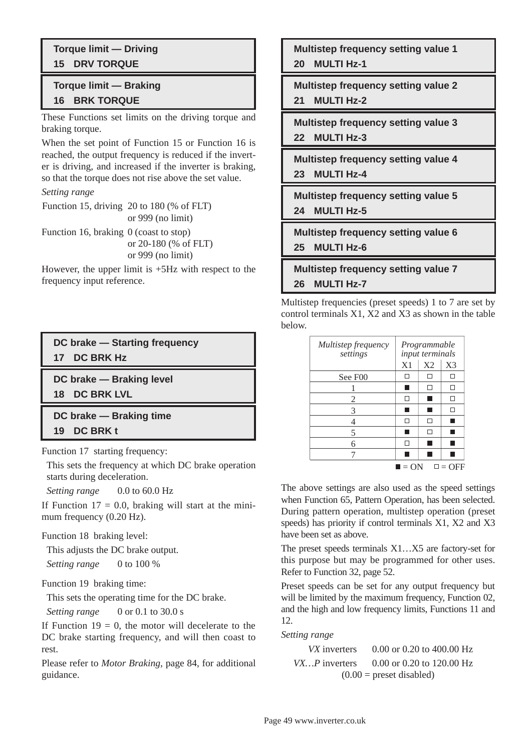# **Torque limit — Driving 15 DRV TORQUE**

# **Torque limit — Braking 16 BRK TORQUE**

These Functions set limits on the driving torque and braking torque.

When the set point of Function 15 or Function 16 is reached, the output frequency is reduced if the inverter is driving, and increased if the inverter is braking, so that the torque does not rise above the set value.

#### *Setting range*

Function 15, driving 20 to 180 (% of FLT) or 999 (no limit)

Function 16, braking 0 (coast to stop) or 20-180 (% of FLT) or 999 (no limit)

However, the upper limit is +5Hz with respect to the frequency input reference.

# **DC brake — Starting frequency 17 DC BRK Hz**

**DC brake — Braking level**

**18 DC BRK LVL**

**DC brake — Braking time**

**19 DC BRK t**

Function 17 starting frequency:

This sets the frequency at which DC brake operation starts during deceleration.

*Setting range* 0.0 to 60.0 Hz

If Function  $17 = 0.0$ , braking will start at the minimum frequency (0.20 Hz).

Function 18 braking level:

This adjusts the DC brake output. *Setting range* 0 to 100 %

Function 19 braking time:

This sets the operating time for the DC brake.

*Setting range* 0 or 0.1 to 30.0 s

If Function  $19 = 0$ , the motor will decelerate to the DC brake starting frequency, and will then coast to rest.

Please refer to *Motor Braking,* page 84, for additional guidance.

**Multistep frequency setting value 1 20 MULTI Hz-1**

**Multistep frequency setting value 2**

**21 MULTI Hz-2**

**Multistep frequency setting value 3 22 MULTI Hz-3**

**Multistep frequency setting value 4 23 MULTI Hz-4**

**Multistep frequency setting value 5 24 MULTI Hz-5**

**Multistep frequency setting value 6**

**25 MULTI Hz-6**

**Multistep frequency setting value 7 26 MULTI Hz-7**

Multistep frequencies (preset speeds) 1 to 7 are set by control terminals X1, X2 and X3 as shown in the table below.

| Multistep frequency<br>settings | Programmable<br>input terminals |                |                 |  |
|---------------------------------|---------------------------------|----------------|-----------------|--|
|                                 | X <sub>1</sub>                  | X <sub>2</sub> | X <sub>3</sub>  |  |
| See F00                         | П                               | П              | П               |  |
|                                 |                                 | П              | H               |  |
| 2                               | H                               |                | H               |  |
| 3                               |                                 |                | п               |  |
| 4                               | TТ                              | П              |                 |  |
| 5                               |                                 | П              |                 |  |
| 6                               | П                               |                |                 |  |
|                                 |                                 |                |                 |  |
|                                 | $\blacksquare = ON$             |                | $\square$ = OFF |  |

The above settings are also used as the speed settings when Function 65, Pattern Operation, has been selected. During pattern operation, multistep operation (preset speeds) has priority if control terminals X1, X2 and X3 have been set as above.

The preset speeds terminals X1…X5 are factory-set for this purpose but may be programmed for other uses. Refer to Function 32, page 52.

Preset speeds can be set for any output frequency but will be limited by the maximum frequency, Function 02, and the high and low frequency limits, Functions 11 and 12.

*Setting range*

*VX* inverters 0.00 or 0.20 to 400.00 Hz *VX*... *P* inverters 0.00 or 0.20 to 120.00 Hz  $(0.00)$  = preset disabled)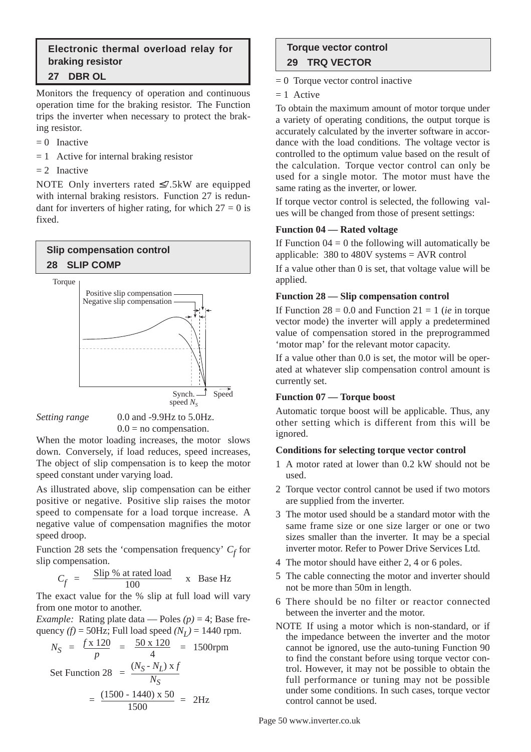### **Electronic thermal overload relay for braking resistor 27 DBR OL**

Monitors the frequency of operation and continuous operation time for the braking resistor. The Function trips the inverter when necessary to protect the braking resistor.

- $= 0$  Inactive
- $= 1$  Active for internal braking resistor
- $= 2$  Inactive

NOTE Only inverters rated ≤7.5kW are equipped with internal braking resistors. Function 27 is redundant for inverters of higher rating, for which  $27 = 0$  is fixed.

# **Slip compensation control 28 SLIP COMP** Torque





 $0.0$  = no compensation.

When the motor loading increases, the motor slows down. Conversely, if load reduces, speed increases, The object of slip compensation is to keep the motor speed constant under varying load.

As illustrated above, slip compensation can be either positive or negative. Positive slip raises the motor speed to compensate for a load torque increase. A negative value of compensation magnifies the motor speed droop.

Function 28 sets the 'compensation frequency'  $C_f$  for slip compensation.

 $C_f$  =  $\frac{\text{Slip } \% \text{ at rated load}}{100}$  x Base Hz

The exact value for the % slip at full load will vary from one motor to another.

*Example:* Rating plate data — Poles  $(p) = 4$ ; Base frequency *(f)* = 50Hz; Full load speed  $(N<sub>L</sub>)$  = 1440 rpm.

$$
N_S = \frac{f \times 120}{p} = \frac{50 \times 120}{4} = 1500 \text{rpm}
$$
  
Set Function 28 =  $\frac{(N_S - N_L) \times f}{N_S}$   
=  $\frac{(1500 - 1440) \times 50}{1500} = 2 \text{Hz}$ 

# **Torque vector control 29 TRQ VECTOR**

 $= 0$  Torque vector control inactive

 $= 1$  Active

To obtain the maximum amount of motor torque under a variety of operating conditions, the output torque is accurately calculated by the inverter software in accordance with the load conditions. The voltage vector is controlled to the optimum value based on the result of the calculation. Torque vector control can only be used for a single motor. The motor must have the same rating as the inverter, or lower.

If torque vector control is selected, the following values will be changed from those of present settings:

### **Function 04 — Rated voltage**

If Function  $04 = 0$  the following will automatically be applicable: 380 to 480V systems = AVR control

If a value other than 0 is set, that voltage value will be applied.

### **Function 28 — Slip compensation control**

If Function  $28 = 0.0$  and Function  $21 = 1$  (*ie* in torque vector mode) the inverter will apply a predetermined value of compensation stored in the preprogrammed 'motor map' for the relevant motor capacity.

If a value other than 0.0 is set, the motor will be operated at whatever slip compensation control amount is currently set.

### **Function 07 — Torque boost**

Automatic torque boost will be applicable. Thus, any other setting which is different from this will be ignored.

### **Conditions for selecting torque vector control**

- 1 A motor rated at lower than 0.2 kW should not be used.
- 2 Torque vector control cannot be used if two motors are supplied from the inverter.
- 3 The motor used should be a standard motor with the same frame size or one size larger or one or two sizes smaller than the inverter. It may be a special inverter motor. Refer to Power Drive Services Ltd.
- 4 The motor should have either 2, 4 or 6 poles.
- 5 The cable connecting the motor and inverter should not be more than 50m in length.
- 6 There should be no filter or reactor connected between the inverter and the motor.
- NOTE If using a motor which is non-standard, or if the impedance between the inverter and the motor cannot be ignored, use the auto-tuning Function 90 to find the constant before using torque vector control. However, it may not be possible to obtain the full performance or tuning may not be possible under some conditions. In such cases, torque vector control cannot be used.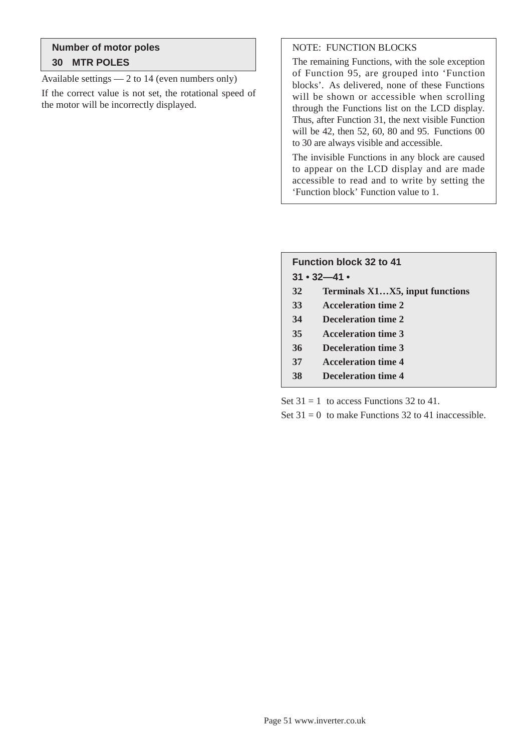# **Number of motor poles 30 MTR POLES**

Available settings — 2 to 14 (even numbers only)

If the correct value is not set, the rotational speed of the motor will be incorrectly displayed.

## NOTE: FUNCTION BLOCKS

The remaining Functions, with the sole exception of Function 95, are grouped into 'Function blocks'. As delivered, none of these Functions will be shown or accessible when scrolling through the Functions list on the LCD display. Thus, after Function 31, the next visible Function will be 42, then 52, 60, 80 and 95. Functions 00 to 30 are always visible and accessible.

The invisible Functions in any block are caused to appear on the LCD display and are made accessible to read and to write by setting the 'Function block' Function value to 1.

| <b>Function block 32 to 41</b> |                                 |  |  |  |  |
|--------------------------------|---------------------------------|--|--|--|--|
|                                | $31 \cdot 32 - 41 \cdot$        |  |  |  |  |
| 32                             | Terminals X1X5, input functions |  |  |  |  |
| 33                             | <b>Acceleration time 2</b>      |  |  |  |  |
| 34                             | <b>Deceleration time 2</b>      |  |  |  |  |
| 35                             | <b>Acceleration time 3</b>      |  |  |  |  |
| 36                             | <b>Deceleration time 3</b>      |  |  |  |  |
| 37                             | <b>Acceleration time 4</b>      |  |  |  |  |
| 38                             | Deceleration time 4             |  |  |  |  |

Set  $31 = 1$  to access Functions 32 to 41.

Set  $31 = 0$  to make Functions 32 to 41 inaccessible.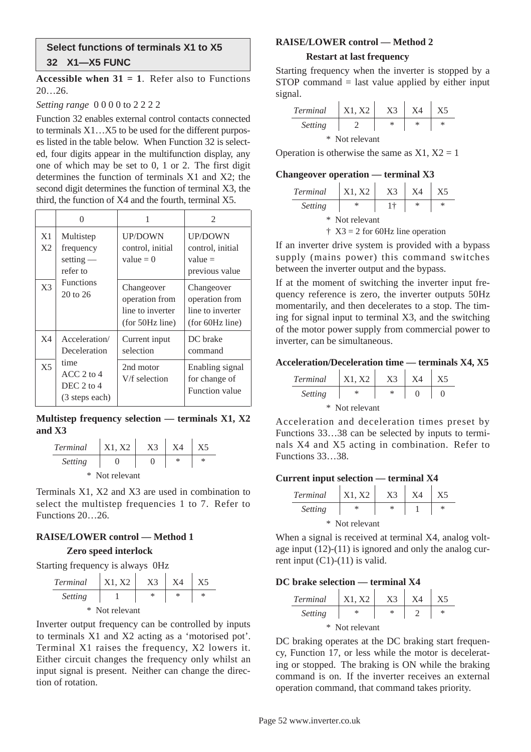### **Select functions of terminals X1 to X5 32 X1—X5 FUNC**

**Accessible when**  $31 = 1$ **. Refer also to Functions** 20…26.

*Setting range* 0 0 0 0 to 2 2 2 2

Function 32 enables external control contacts connected to terminals X1…X5 to be used for the different purposes listed in the table below. When Function 32 is selected, four digits appear in the multifunction display, any one of which may be set to 0, 1 or 2. The first digit determines the function of terminals X1 and X2; the second digit determines the function of terminal X3, the third, the function of X4 and the fourth, terminal X5.

|                | 0                                                       | 1                                                                   | $\mathfrak{D}$                                                      |
|----------------|---------------------------------------------------------|---------------------------------------------------------------------|---------------------------------------------------------------------|
| X1<br>X2       | Multistep<br>frequency<br>setting $-$<br>refer to       | <b>UP/DOWN</b><br>control, initial<br>value $= 0$                   | <b>UP/DOWN</b><br>control, initial<br>$value =$<br>previous value   |
| X <sup>3</sup> | <b>Functions</b><br>$20$ to $26$                        | Changeover<br>operation from<br>line to inverter<br>(for 50Hz line) | Changeover<br>operation from<br>line to inverter<br>(for 60Hz line) |
| X <sub>4</sub> | Acceleration/<br>Deceleration                           | Current input<br>selection                                          | DC brake<br>command                                                 |
| X <sub>5</sub> | time<br>$ACC2$ to 4<br>DEC $2$ to $4$<br>(3 steps each) | 2nd motor<br>V/f selection                                          | Enabling signal<br>for change of<br>Function value                  |

**Multistep frequency selection — terminals X1, X2 and X3**



Terminals X1, X2 and X3 are used in combination to select the multistep frequencies 1 to 7. Refer to Functions 20…26.

## **RAISE/LOWER control — Method 1 Zero speed interlock**

Starting frequency is always 0Hz



Inverter output frequency can be controlled by inputs to terminals X1 and X2 acting as a 'motorised pot'. Terminal X1 raises the frequency, X2 lowers it. Either circuit changes the frequency only whilst an input signal is present. Neither can change the direction of rotation.

# **RAISE/LOWER control — Method 2 Restart at last frequency**

Starting frequency when the inverter is stopped by a STOP command = last value applied by either input signal.  $\sim 10^{-1}$ **Contract Contract** 

| <i>Terminal</i> | X1, X2 |   |   |   |  |  |
|-----------------|--------|---|---|---|--|--|
| Setting         |        | ∗ | ∗ | ∗ |  |  |
| * Not relevant  |        |   |   |   |  |  |

Operation is otherwise the same as  $X1, X2 = 1$ 

#### **Changeover operation — terminal X3**

| Terminal                                  | X1. X2 | X <sup>3</sup> | X <sub>4</sub> | X <sub>5</sub> |  |
|-------------------------------------------|--------|----------------|----------------|----------------|--|
| Setting                                   | ∗      | 1†             |                |                |  |
| * Not relevant                            |        |                |                |                |  |
| $\uparrow$ X3 = 2 for 60Hz line operation |        |                |                |                |  |

If an inverter drive system is provided with a bypass supply (mains power) this command switches between the inverter output and the bypass.

If at the moment of switching the inverter input frequency reference is zero, the inverter outputs 50Hz momentarily, and then decelerates to a stop. The timing for signal input to terminal X3, and the switching of the motor power supply from commercial power to inverter, can be simultaneous.

#### **Acceleration/Deceleration time — terminals X4, X5**

| <i>Terminal</i> | X1, X2 | X3 |  |  |
|-----------------|--------|----|--|--|
| Setting         | ∗      | ∗  |  |  |
| * Not relevant  |        |    |  |  |

Acceleration and deceleration times preset by Functions 33…38 can be selected by inputs to terminals X4 and X5 acting in combination. Refer to Functions 33…38.

#### **Current input selection — terminal X4**

| Terminal | X1. X2         |        |        |
|----------|----------------|--------|--------|
| Setting  | ∗              | $\ast$ | $\ast$ |
|          | * Not relevant |        |        |

When a signal is received at terminal X4, analog voltage input (12)-(11) is ignored and only the analog current input  $(C1)$ - $(11)$  is valid.

### **DC brake selection — terminal X4**



DC braking operates at the DC braking start frequency, Function 17, or less while the motor is decelerating or stopped. The braking is ON while the braking command is on. If the inverter receives an external operation command, that command takes priority.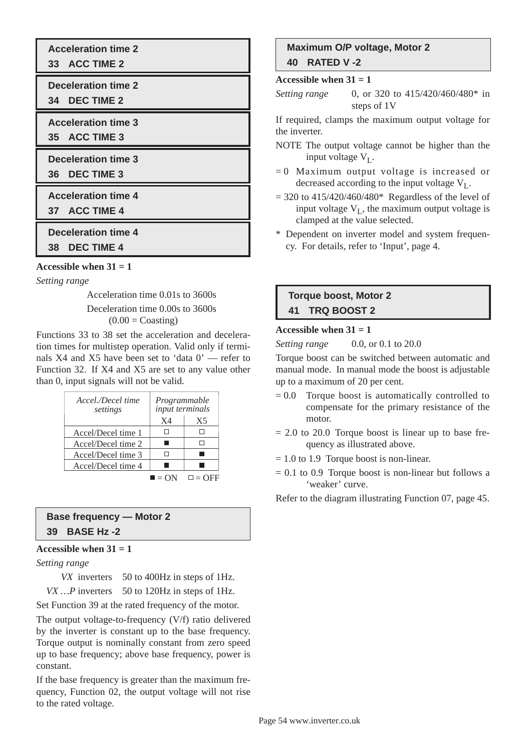**Acceleration time 2**

**33 ACC TIME 2**

**Deceleration time 2**

**34 DEC TIME 2**

**Acceleration time 3 35 ACC TIME 3**

**Deceleration time 3**

**36 DEC TIME 3**

**Acceleration time 4**

**37 ACC TIME 4**

**Deceleration time 4**

**38 DEC TIME 4**

**Accessible when 31 = 1**

*Setting range*

Acceleration time 0.01s to 3600s Deceleration time 0.00s to 3600s  $(0.00 = \text{Coasting})$ 

Functions 33 to 38 set the acceleration and deceleration times for multistep operation. Valid only if terminals X4 and X5 have been set to 'data 0' — refer to Function 32. If X4 and X5 are set to any value other than 0, input signals will not be valid.

| Accel./Decel time<br>settings | Programmable<br>input terminals |                |
|-------------------------------|---------------------------------|----------------|
|                               | $X_4$                           | X <sub>5</sub> |
| Accel/Decel time 1            |                                 |                |
| Accel/Decel time 2            |                                 | П              |
| Accel/Decel time 3            |                                 |                |
| Accel/Decel time 4            |                                 |                |
|                               |                                 |                |

# **Base frequency — Motor 2 39 BASE Hz -2**

### Accessible when  $31 = 1$

*Setting range* 

*VX* inverters 50 to 400Hz in steps of 1Hz.

*VX ...* P inverters 50 to 120Hz in steps of 1Hz.

Set Function 39 at the rated frequency of the motor.

The output voltage-to-frequency (V/f) ratio delivered by the inverter is constant up to the base frequency. Torque output is nominally constant from zero speed up to base frequency; above base frequency, power is constant.

If the base frequency is greater than the maximum frequency, Function 02, the output voltage will not rise to the rated voltage.

# **Maximum O/P voltage, Motor 2 40 RATED V -2**

#### **Accessible when 31 = 1**

*Setting range* 0, or 320 to 415/420/460/480\* in steps of 1V

If required, clamps the maximum output voltage for the inverter.

- NOTE The output voltage cannot be higher than the input voltage  $V_{I}$ .
- $= 0$  Maximum output voltage is increased or decreased according to the input voltage  $V<sub>L</sub>$ .
- $= 320$  to  $415/420/460/480*$  Regardless of the level of input voltage  $V_I$ , the maximum output voltage is clamped at the value selected.
- \* Dependent on inverter model and system frequency. For details, refer to 'Input', page 4.

# **Torque boost, Motor 2 41 TRQ BOOST 2**

#### Accessible when  $31 = 1$

*Setting range* 0.0, or 0.1 to 20.0

Torque boost can be switched between automatic and manual mode. In manual mode the boost is adjustable up to a maximum of 20 per cent.

- $= 0.0$  Torque boost is automatically controlled to compensate for the primary resistance of the motor.
- $= 2.0$  to 20.0 Torque boost is linear up to base frequency as illustrated above.
- $= 1.0$  to 1.9 Torque boost is non-linear.
- $= 0.1$  to 0.9 Torque boost is non-linear but follows a 'weaker' curve.

Refer to the diagram illustrating Function 07, page 45.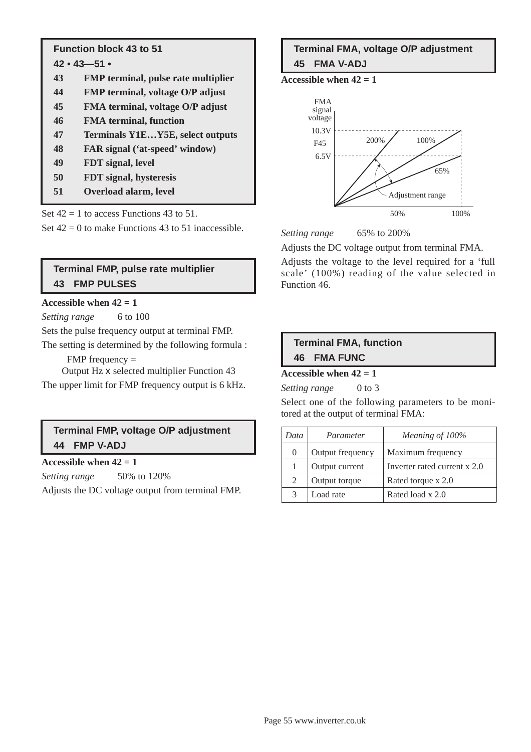# **Function block 43 to 51**

- **42 43—51 •**
- **43 FMP terminal, pulse rate multiplier**
- **44 FMP terminal, voltage O/P adjust**
- **45 FMA terminal, voltage O/P adjust**
- **46 FMA terminal, function**
- **47 Terminals Y1E…Y5E, select outputs**
- **48 FAR signal ('at-speed' window)**
- **49 FDT signal, level**
- **50 FDT signal, hysteresis**
- **51 Overload alarm, level**

Set  $42 = 1$  to access Functions 43 to 51. Set  $42 = 0$  to make Functions 43 to 51 inaccessible.

# **Terminal FMP, pulse rate multiplier 43 FMP PULSES**

### Accessible when  $42 = 1$

*Setting range* 6 to 100

Sets the pulse frequency output at terminal FMP.

The setting is determined by the following formula :

 $FMP$  frequency  $=$ 

Output Hz x selected multiplier Function 43

The upper limit for FMP frequency output is 6 kHz.

# **Terminal FMP, voltage O/P adjustment 44 FMP V-ADJ**

**Accessible when 42 = 1**

*Setting range* 50% to 120%

Adjusts the DC voltage output from terminal FMP.

# **Terminal FMA, voltage O/P adjustment 45 FMA V-ADJ**

**Accessible when 42 = 1**



*Setting range* 65% to 200%

Adjusts the DC voltage output from terminal FMA.

Adjusts the voltage to the level required for a 'full scale' (100%) reading of the value selected in Function 46.

# **Terminal FMA, function 46 FMA FUNC**

# **Accessible when 42 = 1**

*Setting range* 0 to 3

Select one of the following parameters to be monitored at the output of terminal FMA:

| Data | Parameter        | Meaning of 100%              |
|------|------------------|------------------------------|
| 0    | Output frequency | Maximum frequency            |
|      | Output current   | Inverter rated current x 2.0 |
| 2    | Output torque    | Rated torque x 2.0           |
| 3    | Load rate        | Rated load x 2.0             |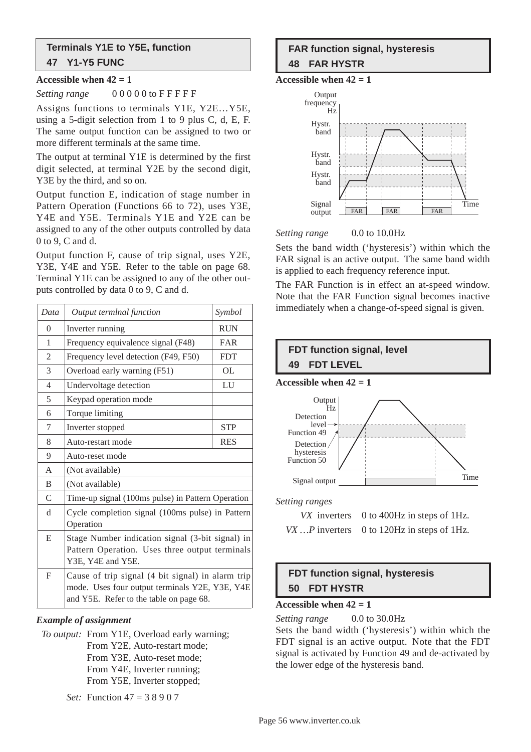## **Terminals Y1E to Y5E, function 47 Y1-Y5 FUNC**

#### **Accessible when 42 = 1**

*Setting range*  $000000$  to FFFFF

Assigns functions to terminals Y1E, Y2E…Y5E, using a 5-digit selection from 1 to 9 plus C, d, E, F. The same output function can be assigned to two or more different terminals at the same time.

The output at terminal Y1E is determined by the first digit selected, at terminal Y2E by the second digit, Y3E by the third, and so on.

Output function E, indication of stage number in Pattern Operation (Functions 66 to 72), uses Y3E, Y4E and Y5E. Terminals Y1E and Y2E can be assigned to any of the other outputs controlled by data 0 to 9, C and d.

Output function F, cause of trip signal, uses Y2E, Y3E, Y4E and Y5E. Refer to the table on page 68. Terminal Y1E can be assigned to any of the other outputs controlled by data 0 to 9, C and d.

| Data           | Output termlnal function                                                                                                                       | Symbol     |
|----------------|------------------------------------------------------------------------------------------------------------------------------------------------|------------|
| $\overline{0}$ | Inverter running                                                                                                                               | <b>RUN</b> |
| 1              | Frequency equivalence signal (F48)                                                                                                             | FAR        |
| $\overline{c}$ | Frequency level detection (F49, F50)                                                                                                           | <b>FDT</b> |
| 3              | Overload early warning (F51)                                                                                                                   | <b>OL</b>  |
| 4              | Undervoltage detection                                                                                                                         | LU         |
| 5              | Keypad operation mode                                                                                                                          |            |
| 6              | Torque limiting                                                                                                                                |            |
| 7              | Inverter stopped                                                                                                                               | <b>STP</b> |
| 8              | Auto-restart mode                                                                                                                              | <b>RES</b> |
| 9              | Auto-reset mode                                                                                                                                |            |
| A              | (Not available)                                                                                                                                |            |
| B              | (Not available)                                                                                                                                |            |
| $\mathsf{C}$   | Time-up signal (100ms pulse) in Pattern Operation                                                                                              |            |
| d              | Cycle completion signal (100ms pulse) in Pattern<br>Operation                                                                                  |            |
| E              | Stage Number indication signal (3-bit signal) in<br>Pattern Operation. Uses three output terminals<br>Y3E, Y4E and Y5E.                        |            |
| F              | Cause of trip signal (4 bit signal) in alarm trip<br>mode. Uses four output terminals Y2E, Y3E, Y4E<br>and Y5E. Refer to the table on page 68. |            |

### *Example of assignment*

*To output:* From Y1E, Overload early warning; From Y2E, Auto-restart mode; From Y3E, Auto-reset mode; From Y4E, Inverter running; From Y5E, Inverter stopped;

*Set:* Function 47 = 3 8 9 0 7

# **FAR function signal, hysteresis 48 FAR HYSTR**

Accessible when  $42 = 1$ 



#### *Setting range* 0.0 to 10.0Hz

Sets the band width ('hysteresis') within which the FAR signal is an active output. The same band width is applied to each frequency reference input.

The FAR Function is in effect an at-speed window. Note that the FAR Function signal becomes inactive immediately when a change-of-speed signal is given.



# **FDT function signal, hysteresis 50 FDT HYSTR**

#### Accessible when  $42 = 1$

*Setting range* 0.0 to 30.0Hz Sets the band width ('hysteresis') within which the FDT signal is an active output. Note that the FDT signal is activated by Function 49 and de-activated by the lower edge of the hysteresis band.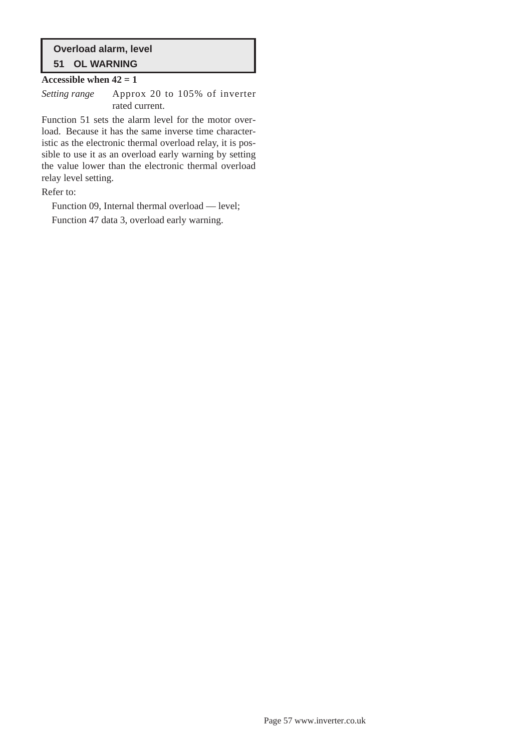# **Overload alarm, level 51 OL WARNING**

#### Accessible when  $42 = 1$

*Setting range* Approx 20 to 105% of inverter rated current.

Function 51 sets the alarm level for the motor overload. Because it has the same inverse time characteristic as the electronic thermal overload relay, it is possible to use it as an overload early warning by setting the value lower than the electronic thermal overload relay level setting.

Refer to:

Function 09, Internal thermal overload — level; Function 47 data 3, overload early warning.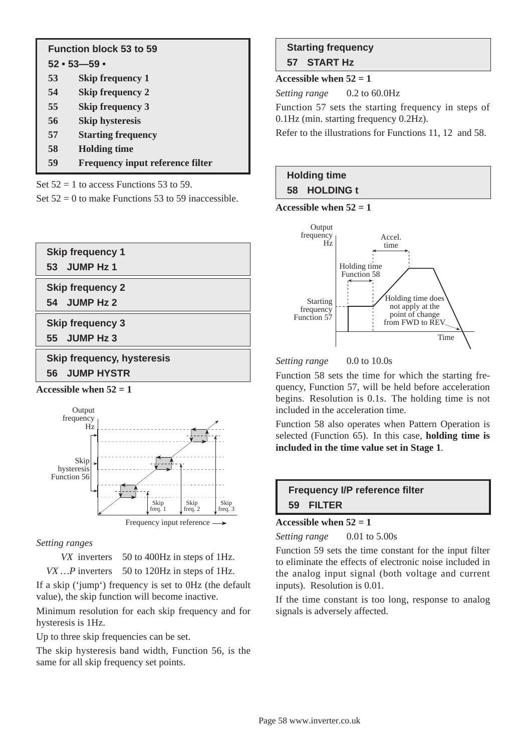|    | <b>Function block 53 to 59</b><br>$52 \cdot 53 - 59 \cdot$ |
|----|------------------------------------------------------------|
| 53 | <b>Skip frequency 1</b>                                    |
| 54 | <b>Skip frequency 2</b>                                    |
| 55 | <b>Skip frequency 3</b>                                    |
| 56 | <b>Skip hysteresis</b>                                     |
| 57 | <b>Starting frequency</b>                                  |
| 58 | <b>Holding time</b>                                        |
| 59 | <b>Frequency input reference filter</b>                    |

Set  $52 = 1$  to access Functions 53 to 59.

Set  $52 = 0$  to make Functions 53 to 59 inaccessible.



Accessible when  $52 = 1$ 



### *Setting ranges*

*VX* inverters 50 to 400Hz in steps of 1Hz.

*VX ...* P inverters 50 to 120Hz in steps of 1Hz.

If a skip ('jump') frequency is set to 0Hz (the default value), the skip function will become inactive.

Minimum resolution for each skip frequency and for hysteresis is 1Hz.

Up to three skip frequencies can be set.

The skip hysteresis band width, Function 56, is the same for all skip frequency set points.

# **Starting frequency 57 START Hz**

### Accessible when  $52 = 1$

*Setting range* 0.2 to 60.0Hz

Function 57 sets the starting frequency in steps of 0.1Hz (min. starting frequency 0.2Hz).

Refer to the illustrations for Functions 11, 12 and 58.

# **Holding time 58 HOLDING t**

Accessible when  $52 = 1$ 



*Setting range* 0.0 to 10.0s

Function 58 sets the time for which the starting frequency, Function 57, will be held before acceleration begins. Resolution is 0.1s. The holding time is not included in the acceleration time.

Function 58 also operates when Pattern Operation is selected (Function 65). In this case, **holding time is included in the time value set in Stage 1**.



### Accessible when  $52 = 1$

*Setting range* 0.01 to 5.00s

Function 59 sets the time constant for the input filter to eliminate the effects of electronic noise included in the analog input signal (both voltage and current inputs). Resolution is 0.01.

If the time constant is too long, response to analog signals is adversely affected.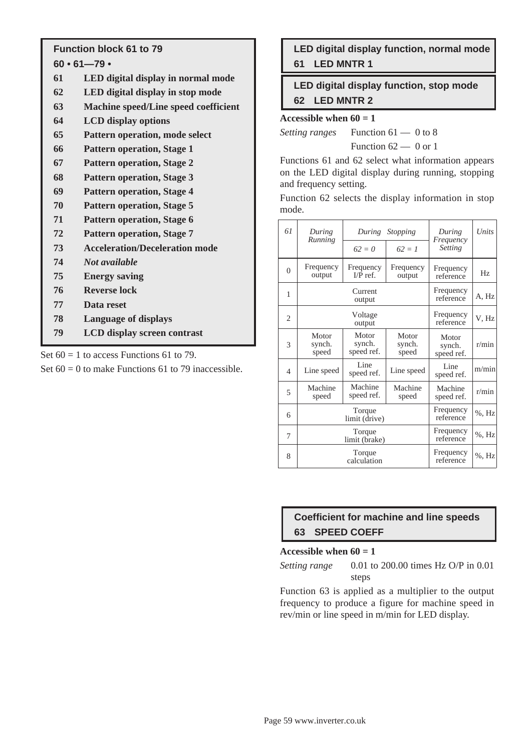# **Function block 61 to 79**

**60 • 61—79 •**

- **61 LED digital display in normal mode**
- **62 LED digital display in stop mode**
- **63 Machine speed/Line speed coefficient**
- **64 LCD display options**
- **65 Pattern operation, mode select**
- **66 Pattern operation, Stage 1**
- **67 Pattern operation, Stage 2**
- **68 Pattern operation, Stage 3**
- **69 Pattern operation, Stage 4**
- **70 Pattern operation, Stage 5**
- **71 Pattern operation, Stage 6**
- **72 Pattern operation, Stage 7**
- **73 Acceleration/Deceleration mode**
- **74** *Not available*
- **75 Energy saving**
- **76 Reverse lock**
- **77 Data reset**
- **78 Language of displays**
- **79 LCD display screen contrast**

Set  $60 = 1$  to access Functions 61 to 79.

Set  $60 = 0$  to make Functions 61 to 79 inaccessible.

**LED digital display function, normal mode 61 LED MNTR 1**

**LED digital display function, stop mode 62 LED MNTR 2**

#### Accessible when  $60 = 1$

*Setting ranges* Function 61 — 0 to 8 Function  $62 - 0$  or 1

Functions 61 and 62 select what information appears on the LED digital display during running, stopping and frequency setting.

Function 62 selects the display information in stop mode.

| 61             | During<br>Running        | During                        | Stopping                 | During<br>Frequency           | Units    |
|----------------|--------------------------|-------------------------------|--------------------------|-------------------------------|----------|
|                |                          | $62 = 0$                      | $62 = 1$                 | Setting                       |          |
| $\Omega$       | Frequency<br>output      | Frequency<br>$I/P$ ref.       | Frequency<br>output      | Frequency<br>reference        | Hz       |
| 1              | Current<br>output        |                               | Frequency<br>reference   | A, Hz                         |          |
| 2              | Voltage<br>output        |                               | Frequency<br>reference   | V, Hz                         |          |
| 3              | Motor<br>synch.<br>speed | Motor<br>synch.<br>speed ref. | Motor<br>synch.<br>speed | Motor<br>synch.<br>speed ref. | r/min    |
| $\overline{4}$ | Line speed               | Line<br>speed ref.            | Line speed               | Line<br>speed ref.            | m/min    |
| 5              | Machine<br>speed         | Machine<br>speed ref.         | Machine<br>speed         | Machine<br>speed ref.         | r/min    |
| 6              | Torque<br>limit (drive)  |                               | Frequency<br>reference   | $%$ , Hz                      |          |
| 7              | Torque<br>limit (brake)  |                               | Frequency<br>reference   | $%$ , Hz                      |          |
| 8              | Torque<br>calculation    |                               |                          | Frequency<br>reference        | $%$ , Hz |

# **Coefficient for machine and line speeds 63 SPEED COEFF**

#### Accessible when  $60 = 1$

*Setting range* 0.01 to 200.00 times Hz O/P in 0.01 steps

Function 63 is applied as a multiplier to the output frequency to produce a figure for machine speed in rev/min or line speed in m/min for LED display.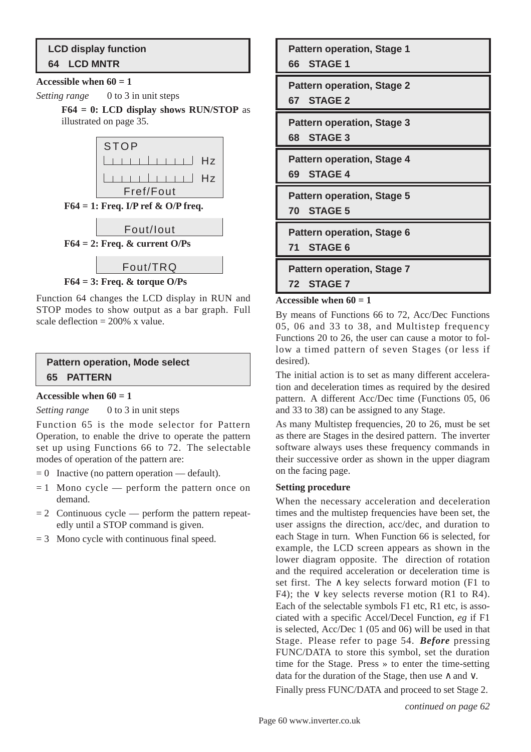# **LCD display function 64 LCD MNTR**

#### Accessible when  $60 = 1$

*Setting range* 0 to 3 in unit steps

**F64 = 0: LCD display shows RUN/STOP** as illustrated on page 35.



Function 64 changes the LCD display in RUN and STOP modes to show output as a bar graph. Full scale deflection =  $200\%$  x value.

# **Pattern operation, Mode select 65 PATTERN**

### Accessible when  $60 = 1$

*Setting range* 0 to 3 in unit steps

Function 65 is the mode selector for Pattern Operation, to enable the drive to operate the pattern set up using Functions 66 to 72. The selectable modes of operation of the pattern are:

- $= 0$  Inactive (no pattern operation default).
- $= 1$  Mono cycle perform the pattern once on demand.
- $= 2$  Continuous cycle perform the pattern repeatedly until a STOP command is given.
- $= 3$  Mono cycle with continuous final speed.

**Pattern operation, Stage 1 66 STAGE 1**

**Pattern operation, Stage 2 67 STAGE 2**

**Pattern operation, Stage 3 68 STAGE 3**

**Pattern operation, Stage 4 69 STAGE 4**

**Pattern operation, Stage 5 70 STAGE 5**

**Pattern operation, Stage 6**

**71 STAGE 6**

**Pattern operation, Stage 7 72 STAGE 7**

### Accessible when  $60 = 1$

By means of Functions 66 to 72, Acc/Dec Functions 05, 06 and 33 to 38, and Multistep frequency Functions 20 to 26, the user can cause a motor to follow a timed pattern of seven Stages (or less if desired).

The initial action is to set as many different acceleration and deceleration times as required by the desired pattern. A different Acc/Dec time (Functions 05, 06 and 33 to 38) can be assigned to any Stage.

As many Multistep frequencies, 20 to 26, must be set as there are Stages in the desired pattern. The inverter software always uses these frequency commands in their successive order as shown in the upper diagram on the facing page.

### **Setting procedure**

When the necessary acceleration and deceleration times and the multistep frequencies have been set, the user assigns the direction, acc/dec, and duration to each Stage in turn. When Function 66 is selected, for example, the LCD screen appears as shown in the lower diagram opposite. The direction of rotation and the required acceleration or deceleration time is set first. The  $\land$  key selects forward motion (F1 to F4); the  $\vee$  key selects reverse motion (R1 to R4). Each of the selectable symbols F1 etc, R1 etc, is associated with a specific Accel/Decel Function, *eg* if F1 is selected, Acc/Dec 1 (05 and 06) will be used in that Stage. Please refer to page 54. *Before* pressing FUNC/DATA to store this symbol, set the duration time for the Stage. Press » to enter the time-setting data for the duration of the Stage, then use ∧ and ∨.

Finally press FUNC/DATA and proceed to set Stage 2.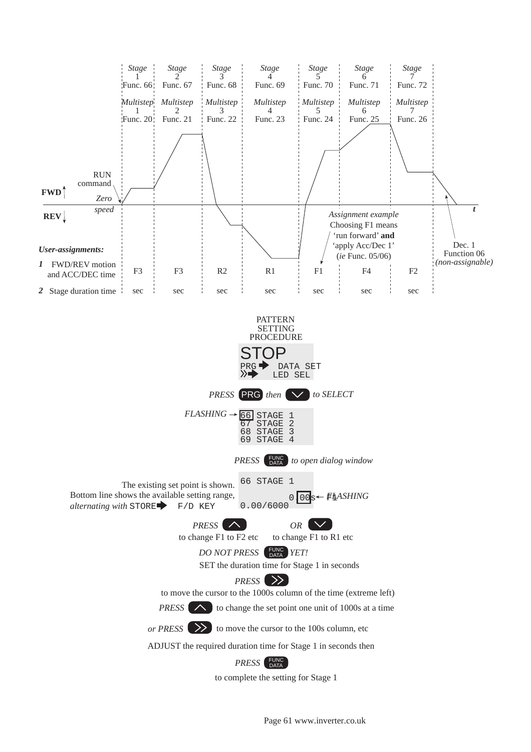

Page 61 www.inverter.co.uk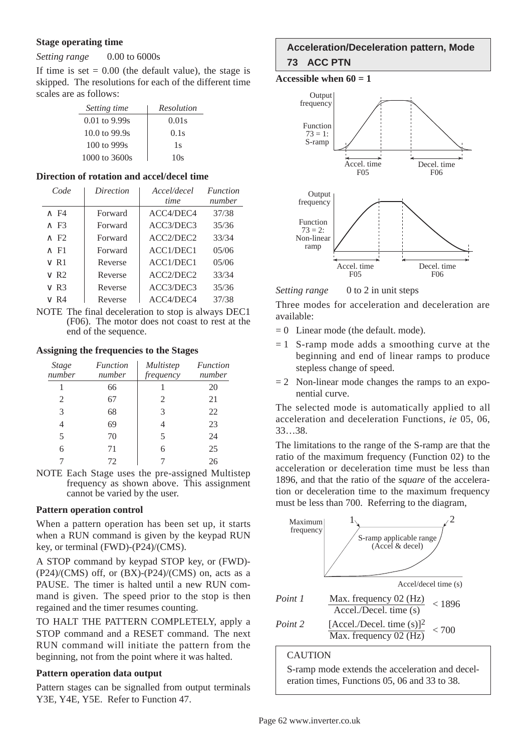#### **Stage operating time**

*Setting range* 0.00 to 6000s

If time is set  $= 0.00$  (the default value), the stage is skipped. The resolutions for each of the different time scales are as follows:

| Setting time                     | Resolution |
|----------------------------------|------------|
| $0.01$ to 9.99s                  | 0.01s      |
| $10.0 \text{ to } 99.9 \text{s}$ | 0.1s       |
| $100$ to 999s                    | 1s         |
| $1000$ to $3600s$                | 10s        |

#### **Direction of rotation and accel/decel time**

| Code                    | Direction | Accel/decel | <b>Function</b> |
|-------------------------|-----------|-------------|-----------------|
|                         |           | <i>time</i> | number          |
| $\wedge$ F4             | Forward   | ACC4/DEC4   | 37/38           |
| $\wedge$ F3             | Forward   | ACC3/DEC3   | 35/36           |
| $\wedge$ F <sub>2</sub> | Forward   | ACC2/DEC2   | 33/34           |
| $\wedge$ F1             | Forward   | ACC1/DEC1   | 05/06           |
| $\vee$ R1               | Reverse   | ACC1/DEC1   | 05/06           |
| $\vee$ R <sub>2</sub>   | Reverse   | ACC2/DEC2   | 33/34           |
| $\vee$ R3               | Reverse   | ACC3/DEC3   | 35/36           |
| v R4                    | Reverse   | ACC4/DEC4   | 37/38           |

NOTE The final deceleration to stop is always DEC1 (F06). The motor does not coast to rest at the end of the sequence.

#### **Assigning the frequencies to the Stages**

| <b>Stage</b><br>number | Function<br>number | <i>Multistep</i><br>frequency | <i>Function</i><br>number |
|------------------------|--------------------|-------------------------------|---------------------------|
|                        | 66                 |                               | 20                        |
| 2                      | 67                 | 2                             | 21                        |
| $\mathcal{R}$          | 68                 | 3                             | 22                        |
| 4                      | 69                 | 4                             | 23                        |
| 5                      | 70                 | 5                             | 24                        |
| 6                      | 71                 | 6                             | 25                        |
|                        | 72                 |                               | 26                        |

NOTE Each Stage uses the pre-assigned Multistep frequency as shown above. This assignment cannot be varied by the user.

### **Pattern operation control**

When a pattern operation has been set up, it starts when a RUN command is given by the keypad RUN key, or terminal (FWD)-(P24)/(CMS).

A STOP command by keypad STOP key, or (FWD)-  $(P24)/(CMS)$  off, or  $(BX)-(P24)/(CMS)$  on, acts as a PAUSE. The timer is halted until a new RUN command is given. The speed prior to the stop is then regained and the timer resumes counting.

TO HALT THE PATTERN COMPLETELY, apply a STOP command and a RESET command. The next RUN command will initiate the pattern from the beginning, not from the point where it was halted.

### **Pattern operation data output**

Pattern stages can be signalled from output terminals Y3E, Y4E, Y5E. Refer to Function 47.

# **Acceleration/Deceleration pattern, Mode 73 ACC PTN**

Accessible when  $60 = 1$ 



*Setting range* 0 to 2 in unit steps

Three modes for acceleration and deceleration are available:

- $= 0$  Linear mode (the default. mode).
- $= 1$  S-ramp mode adds a smoothing curve at the beginning and end of linear ramps to produce stepless change of speed.
- $= 2$  Non-linear mode changes the ramps to an exponential curve.

The selected mode is automatically applied to all acceleration and deceleration Functions, *ie* 05, 06, 33…38.

The limitations to the range of the S-ramp are that the ratio of the maximum frequency (Function 02) to the acceleration or deceleration time must be less than 1896, and that the ratio of the *square* of the acceleration or deceleration time to the maximum frequency must be less than 700. Referring to the diagram,



**CAUTION** 

S-ramp mode extends the acceleration and deceleration times, Functions 05, 06 and 33 to 38.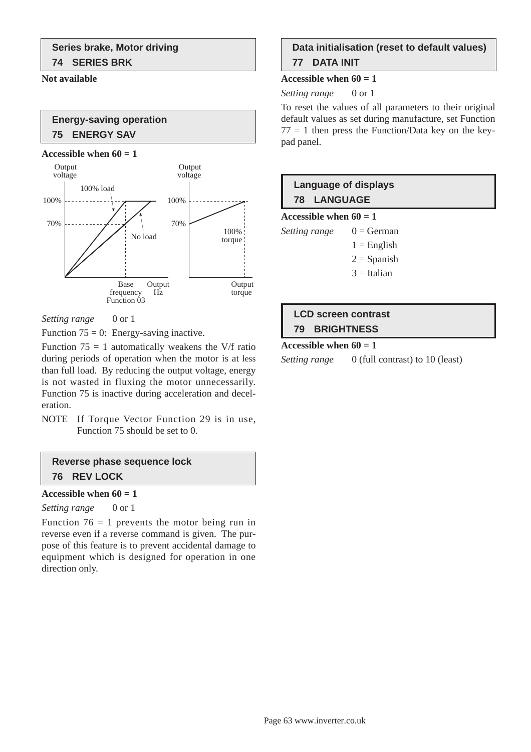#### **Not available**

# **Energy-saving operation 75 ENERGY SAV**

#### **Accessible when**  $60 = 1$



*Setting range* 0 or 1

Function  $75 = 0$ : Energy-saving inactive.

Function  $75 = 1$  automatically weakens the V/f ratio during periods of operation when the motor is at less than full load. By reducing the output voltage, energy is not wasted in fluxing the motor unnecessarily. Function 75 is inactive during acceleration and deceleration.

NOTE If Torque Vector Function 29 is in use, Function 75 should be set to 0.

# **Reverse phase sequence lock 76 REV LOCK**

#### Accessible when  $60 = 1$

*Setting range* 0 or 1

Function  $76 = 1$  prevents the motor being run in reverse even if a reverse command is given. The purpose of this feature is to prevent accidental damage to equipment which is designed for operation in one direction only.

# **Data initialisation (reset to default values) 77 DATA INIT**

#### Accessible when  $60 = 1$

*Setting range* 0 or 1

To reset the values of all parameters to their original default values as set during manufacture, set Function  $77 = 1$  then press the Function/Data key on the keypad panel.

# **Language of displays 78 LANGUAGE**

**Accessible when 60 = 1**

*Setting range*  $0 = \text{German}$ 

- $1 =$ English
- $2 =$ Spanish
- $3 =$ Italian

# **LCD screen contrast 79 BRIGHTNESS**

#### Accessible when  $60 = 1$

*Setting range* 0 (full contrast) to 10 (least)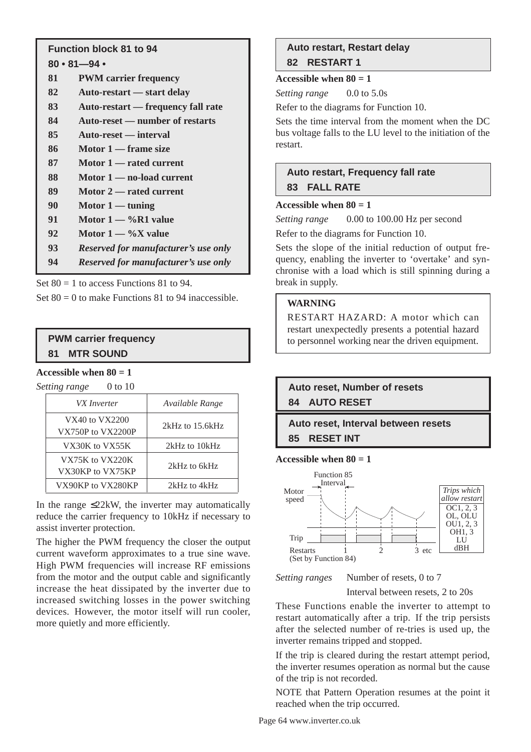# **Function block 81 to 94**

# **80 • 81—94 •**

- **81 PWM carrier frequency**
- **82 Auto-restart start delay**
- **83 Auto-restart frequency fall rate**
- **84 Auto-reset number of restarts**
- **85 Auto-reset interval**
- **86 Motor 1 frame size**
- **87 Motor 1 rated current**
- **88 Motor 1 no-load current**
- **89 Motor 2 rated current**
- **90 Motor 1 tuning**
- **91 Motor 1 %R1 value**
- **92 Motor 1 %X value**
- **93** *Reserved for manufacturer's use only*
- **94** *Reserved for manufacturer's use only*

Set  $80 = 1$  to access Functions 81 to 94.

Set  $80 = 0$  to make Functions 81 to 94 inaccessible.

# **PWM carrier frequency 81 MTR SOUND**

### **Accessible when 80 = 1**

*Setting range* 0 to 10

| VX Inverter                         | Available Range     |
|-------------------------------------|---------------------|
| VX40 to VX2200<br>VX750P to VX2200P | $2kHz$ to $15.6kHz$ |
| VX30K to VX55K                      | 2kHz to 10kHz       |
| VX75K to VX220K<br>VX30KP to VX75KP | 2kHz to 6kHz        |
| VX90KP to VX280KP                   | 2kHz to 4kHz        |

In the range  $\leq$ 22kW, the inverter may automatically reduce the carrier frequency to 10kHz if necessary to assist inverter protection.

The higher the PWM frequency the closer the output current waveform approximates to a true sine wave. High PWM frequencies will increase RF emissions from the motor and the output cable and significantly increase the heat dissipated by the inverter due to increased switching losses in the power switching devices. However, the motor itself will run cooler, more quietly and more efficiently.

# **Auto restart, Restart delay 82 RESTART 1**

### **Accessible when 80 = 1**

*Setting range* 0.0 to 5.0s

Refer to the diagrams for Function 10.

Sets the time interval from the moment when the DC bus voltage falls to the LU level to the initiation of the restart.

# **Auto restart, Frequency fall rate 83 FALL RATE**

### **Accessible when 80 = 1**

*Setting range* 0.00 to 100.00 Hz per second Refer to the diagrams for Function 10.

Sets the slope of the initial reduction of output frequency, enabling the inverter to 'overtake' and synchronise with a load which is still spinning during a break in supply.

### **WARNING**

RESTART HAZARD: A motor which can restart unexpectedly presents a potential hazard to personnel working near the driven equipment.

# **Auto reset, Number of resets 84 AUTO RESET**

**Auto reset, Interval between resets 85 RESET INT**

### **Accessible when 80 = 1**



*Setting ranges* Number of resets, 0 to 7

Interval between resets, 2 to 20s

These Functions enable the inverter to attempt to restart automatically after a trip. If the trip persists after the selected number of re-tries is used up, the inverter remains tripped and stopped.

If the trip is cleared during the restart attempt period, the inverter resumes operation as normal but the cause of the trip is not recorded.

NOTE that Pattern Operation resumes at the point it reached when the trip occurred.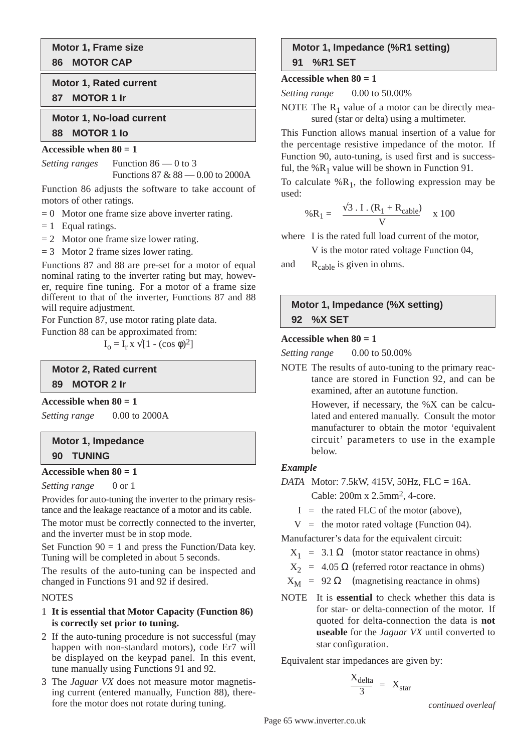**Motor 1, Frame size 86 MOTOR CAP**

**Motor 1, Rated current 87 MOTOR 1 Ir**

**Motor 1, No-load current 88 MOTOR 1 Io**

#### **Accessible when 80 = 1**

*Setting ranges* Function 86 — 0 to 3 Functions 87 & 88 — 0.00 to 2000A

Function 86 adjusts the software to take account of motors of other ratings.

- $= 0$  Motor one frame size above inverter rating.
- $= 1$  Equal ratings.
- $= 2$  Motor one frame size lower rating.

 $= 3$  Motor 2 frame sizes lower rating.

Functions 87 and 88 are pre-set for a motor of equal nominal rating to the inverter rating but may, however, require fine tuning. For a motor of a frame size different to that of the inverter, Functions 87 and 88 will require adjustment.

For Function 87, use motor rating plate data.

Function 88 can be approximated from:

$$
I_o = I_r \times \sqrt{[1 - (\cos \phi)^2]}
$$

**Motor 2, Rated current 89 MOTOR 2 Ir**

**Accessible when 80 = 1**

*Setting range* 0.00 to 2000A

# **Motor 1, Impedance 90 TUNING**

#### **Accessible when 80 = 1**

*Setting range* 0 or 1

Provides for auto-tuning the inverter to the primary resistance and the leakage reactance of a motor and its cable.

The motor must be correctly connected to the inverter, and the inverter must be in stop mode.

Set Function  $90 = 1$  and press the Function/Data key. Tuning will be completed in about 5 seconds.

The results of the auto-tuning can be inspected and changed in Functions 91 and 92 if desired.

#### **NOTES**

#### 1 **It is essential that Motor Capacity (Function 86) is correctly set prior to tuning.**

- 2 If the auto-tuning procedure is not successful (may happen with non-standard motors), code Er7 will be displayed on the keypad panel. In this event, tune manually using Functions 91 and 92.
- 3 The *Jaguar VX* does not measure motor magnetising current (entered manually, Function 88), therefore the motor does not rotate during tuning.

# **Motor 1, Impedance (%R1 setting) 91 %R1 SET**

#### **Accessible when 80 = 1**

| Setting range | $0.00$ to 50.00% |
|---------------|------------------|
|---------------|------------------|

NOTE The  $R_1$  value of a motor can be directly measured (star or delta) using a multimeter.

This Function allows manual insertion of a value for the percentage resistive impedance of the motor. If Function 90, auto-tuning, is used first and is successful, the  $%R_1$  value will be shown in Function 91.

To calculate  $%R_1$ , the following expression may be used:

$$
\% \mathbf{R}_1 = \frac{\sqrt{3} \cdot \mathbf{I} \cdot (\mathbf{R}_1 + \mathbf{R}_{\text{cable}})}{\mathbf{V}} \quad \text{x} \quad 100
$$

where I is the rated full load current of the motor,

V is the motor rated voltage Function 04,

and  $R_{\text{cable}}$  is given in ohms.

# **Motor 1, Impedance (%X setting) 92 %X SET**

#### Accessible when  $80 = 1$

*Setting range* 0.00 to 50.00%

NOTE The results of auto-tuning to the primary reactance are stored in Function 92, and can be examined, after an autotune function.

> However, if necessary, the %X can be calculated and entered manually. Consult the motor manufacturer to obtain the motor 'equivalent circuit' parameters to use in the example below.

#### *Example*

*DATA* Motor: 7.5kW, 415V, 50Hz, FLC = 16A.

Cable: 200m x 2.5mm2, 4-core.

- $I =$  the rated FLC of the motor (above),
- $V =$  the motor rated voltage (Function 04).

Manufacturer's data for the equivalent circuit:

- $X_1 = 3.1 \Omega$  (motor stator reactance in ohms)
- $X_2$  = 4.05  $\Omega$  (referred rotor reactance in ohms)
- $X_M$  = 92  $\Omega$  (magnetising reactance in ohms)
- NOTE It is **essential** to check whether this data is for star- or delta-connection of the motor. If quoted for delta-connection the data is **not useable** for the *Jaguar VX* until converted to star configuration.

Equivalent star impedances are given by:

$$
\frac{X_{delta}}{3} = X_{star}
$$

*continued overleaf*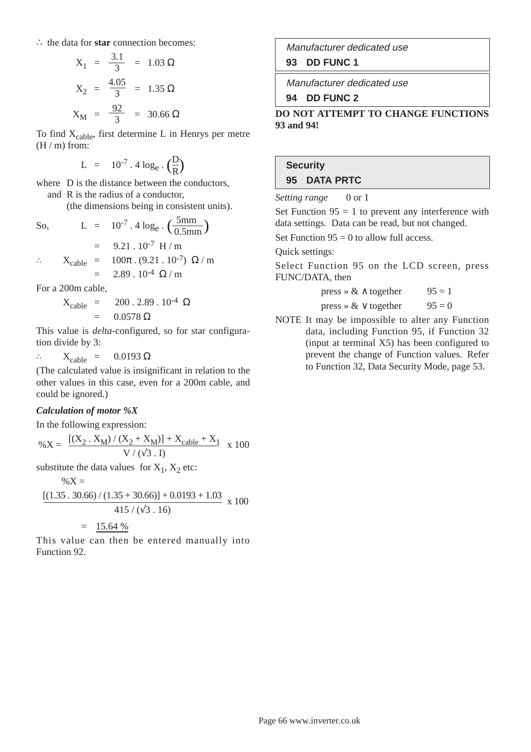∴ the data for **star** connection becomes:

$$
X_1 = \frac{3.1}{3} = 1.03 \,\Omega
$$
  

$$
X_2 = \frac{4.05}{3} = 1.35 \,\Omega
$$
  

$$
X_M = \frac{92}{3} = 30.66 \,\Omega
$$

To find  $X_{\text{cable}}$ , first determine L in Henrys per metre  $(H/m)$  from:

$$
L = 10^{-7} \cdot 4 \log_e \cdot \left(\frac{D}{R}\right)
$$

where D is the distance between the conductors, and R is the radius of a conductor,

(the dimensions being in consistent units).

So, 
$$
L = 10^{-7} \cdot 4 \log_e \cdot \left(\frac{5 \text{mm}}{0.5 \text{mm}}\right)
$$

$$
= 9.21 \cdot 10^{-7} \text{ H/m}
$$

$$
\therefore X_{\text{cable}} = 100\pi \cdot (9.21 \cdot 10^{-7}) \Omega/m
$$

$$
= 2.89 \cdot 10^{-4} \Omega/m
$$

For a 200m cable,

$$
X_{\text{cable}} = 200.2.89.10^{4} \Omega
$$
  
= 0.0578 \Omega

This value is *delta*-configured, so for star configuration divide by 3:

∴  $X_{\text{cable}} = 0.0193 \Omega$ 

(The calculated value is insignificant in relation to the other values in this case, even for a 200m cable, and could be ignored.)

#### *Calculation of motor %X*

In the following expression:

$$
\% X = \frac{[(X_2 \cdot X_M) / (X_2 + X_M)] + X_{cable} + X_1}{V / (\sqrt{3} \cdot I)} \times 100
$$

substitute the data values for  $X_1$ ,  $X_2$  etc:

$$
\%X =
$$
\n
$$
[(1.35 \cdot 30.66) / (1.35 + 30.66)] + 0.0193 + 1.03 \times 100
$$
\n
$$
= 15.64\%
$$

This value can then be entered manually into Function 92.

Manufacturer dedicated use **93 DD FUNC 1**

Manufacturer dedicated use

**94 DD FUNC 2**

**DO NOT ATTEMPT TO CHANGE FUNCTIONS 93 and 94!**

# **Security 95 DATA PRTC**

*Setting range* 0 or 1

Set Function  $95 = 1$  to prevent any interference with data settings. Data can be read, but not changed.

Set Function  $95 = 0$  to allow full access.

Quick settings:

Select Function 95 on the LCD screen, press FUNC/DATA, then

| press » $\<$ $\wedge$ together | $95 = 1$ |
|--------------------------------|----------|
| press » $\& \vee$ together     | $95 = 0$ |

NOTE It may be impossible to alter any Function data, including Function 95, if Function 32 (input at terminal X5) has been configured to prevent the change of Function values. Refer to Function 32, Data Security Mode, page 53.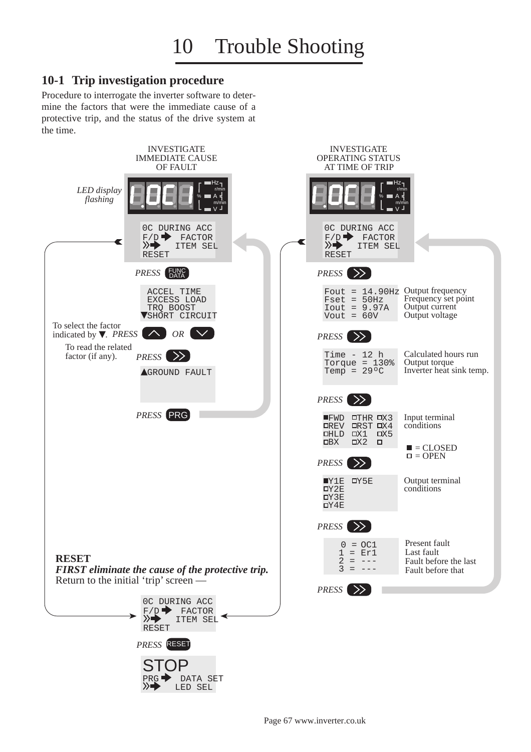# **10-1 Trip investigation procedure**

Procedure to interrogate the inverter software to determine the factors that were the immediate cause of a protective trip, and the status of the drive system at the time.

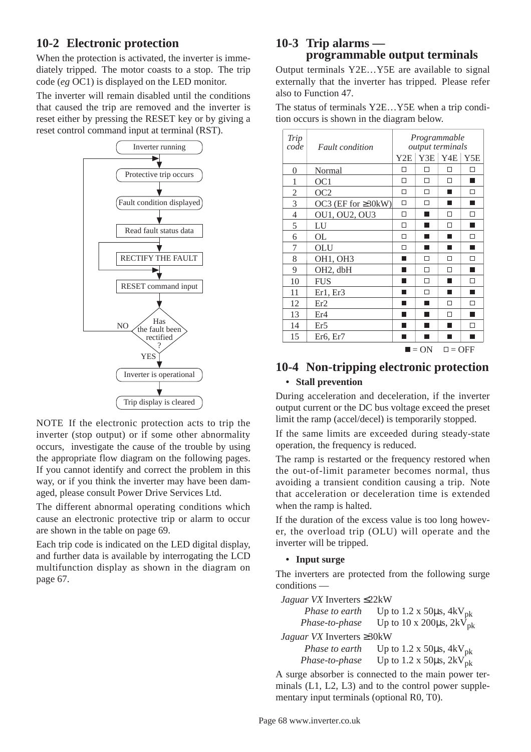# **10-2 Electronic protection**

When the protection is activated, the inverter is immediately tripped. The motor coasts to a stop. The trip code (*eg* OC1) is displayed on the LED monitor.

The inverter will remain disabled until the conditions that caused the trip are removed and the inverter is reset either by pressing the RESET key or by giving a reset control command input at terminal (RST).



NOTE If the electronic protection acts to trip the inverter (stop output) or if some other abnormality occurs, investigate the cause of the trouble by using the appropriate flow diagram on the following pages. If you cannot identify and correct the problem in this way, or if you think the inverter may have been damaged, please consult Power Drive Services Ltd.

The different abnormal operating conditions which cause an electronic protective trip or alarm to occur are shown in the table on page 69.

Each trip code is indicated on the LED digital display, and further data is available by interrogating the LCD multifunction display as shown in the diagram on page 67.

# **10-3 Trip alarms programmable output terminals**

Output terminals Y2E…Y5E are available to signal externally that the inverter has tripped. Please refer also to Function 47.

The status of terminals Y2E…Y5E when a trip condition occurs is shown in the diagram below.

| Trip<br>code   | <i>Fault condition</i>            | Programmable<br>output terminals |                     |                   |        |
|----------------|-----------------------------------|----------------------------------|---------------------|-------------------|--------|
|                |                                   | YZE                              |                     | $YZE$ $YZE$ $YZE$ |        |
| 0              | Normal                            | П                                | П                   | П                 | □      |
| 1              | OC <sub>1</sub>                   | п                                | $\Box$              | П                 | ш      |
| $\mathfrak{2}$ | OC <sub>2</sub>                   | П                                | П                   |                   | П      |
| 3              | OC3 (EF for $\geq 30$ kW)         | П                                | П                   |                   |        |
| 4              | OU1, OU2, OU3                     | п                                |                     | П                 | П      |
| 5              | LU                                | П                                |                     | $\Box$            |        |
| 6              | OL                                | П                                |                     | ٠                 | П      |
| 7              | OLU                               | □                                |                     | ٠                 | ▅      |
| 8              | OH1, OH3                          | ٠                                | П                   | П                 | Π      |
| 9              | OH <sub>2</sub> , dbH             |                                  | П                   | П                 |        |
| 10             | <b>FUS</b>                        |                                  | П                   |                   | □      |
| 11             | Er1, Er3                          |                                  | П                   |                   |        |
| 12             | Er2                               |                                  |                     | П                 | П      |
| 13             | Er4                               |                                  |                     | П                 |        |
| 14             | Er <sub>5</sub>                   |                                  |                     | ٠                 | $\Box$ |
| 15             | Er <sub>6</sub> , Er <sub>7</sub> |                                  |                     |                   | ٠      |
|                |                                   |                                  | $\blacksquare = ON$ | $\Box$ = OFF      |        |

# **10-4 Non-tripping electronic protection • Stall prevention**

During acceleration and deceleration, if the inverter output current or the DC bus voltage exceed the preset limit the ramp (accel/decel) is temporarily stopped.

If the same limits are exceeded during steady-state operation, the frequency is reduced.

The ramp is restarted or the frequency restored when the out-of-limit parameter becomes normal, thus avoiding a transient condition causing a trip. Note that acceleration or deceleration time is extended when the ramp is halted.

If the duration of the excess value is too long however, the overload trip (OLU) will operate and the inverter will be tripped.

#### **• Input surge**

The inverters are protected from the following surge conditions —

*Jaguar VX* Inverters ≤22kW

| Phase to earth                   |                                                                                        |
|----------------------------------|----------------------------------------------------------------------------------------|
| Phase-to-phase                   | Up to 1.2 x 50 $\mu$ s, 4kV <sub>pk</sub><br>Up to 10 x 200 $\mu$ s, 2kV <sub>pk</sub> |
| Jaguar VX Inverters $\geq 30$ kW |                                                                                        |
| Phase to earth                   |                                                                                        |
| Phase-to-phase                   | Up to 1.2 x 50 $\mu$ s, 4kV <sub>pk</sub><br>Up to 1.2 x 50 $\mu$ s, 2kV <sub>pk</sub> |

A surge absorber is connected to the main power terminals (L1, L2, L3) and to the control power supplementary input terminals (optional R0, T0).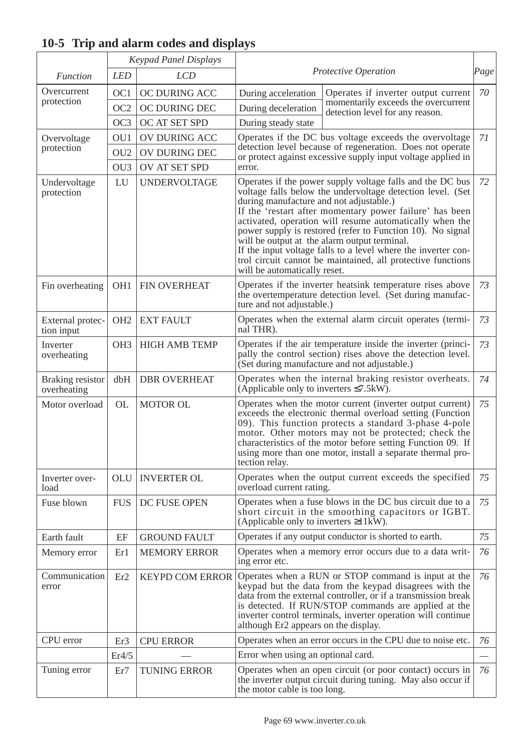|                                 |                 | <b>Keypad Panel Displays</b> |                                                                                                                                                                                                                                                                                                                                                                                                                                                                                                                                                                              |                                                                        |      |
|---------------------------------|-----------------|------------------------------|------------------------------------------------------------------------------------------------------------------------------------------------------------------------------------------------------------------------------------------------------------------------------------------------------------------------------------------------------------------------------------------------------------------------------------------------------------------------------------------------------------------------------------------------------------------------------|------------------------------------------------------------------------|------|
| <b>Function</b>                 | <b>LED</b>      | <b>LCD</b>                   | Protective Operation                                                                                                                                                                                                                                                                                                                                                                                                                                                                                                                                                         |                                                                        | Page |
| Overcurrent                     | OC1             | OC DURING ACC                | During acceleration                                                                                                                                                                                                                                                                                                                                                                                                                                                                                                                                                          | Operates if inverter output current                                    | 70   |
| protection                      | OC2             | OC DURING DEC                | During deceleration                                                                                                                                                                                                                                                                                                                                                                                                                                                                                                                                                          | momentarily exceeds the overcurrent<br>detection level for any reason. |      |
|                                 | OC <sub>3</sub> | OC AT SET SPD                | During steady state                                                                                                                                                                                                                                                                                                                                                                                                                                                                                                                                                          |                                                                        |      |
| Overvoltage                     | OU1             | OV DURING ACC                |                                                                                                                                                                                                                                                                                                                                                                                                                                                                                                                                                                              | Operates if the DC bus voltage exceeds the overvoltage                 | 71   |
| protection                      | OU <sub>2</sub> | OV DURING DEC                | detection level because of regeneration. Does not operate<br>or protect against excessive supply input voltage applied in<br>error.                                                                                                                                                                                                                                                                                                                                                                                                                                          |                                                                        |      |
|                                 | OU <sub>3</sub> | OV AT SET SPD                |                                                                                                                                                                                                                                                                                                                                                                                                                                                                                                                                                                              |                                                                        |      |
| Undervoltage<br>protection      | LU              | <b>UNDERVOLTAGE</b>          | Operates if the power supply voltage falls and the DC bus<br>72<br>voltage falls below the undervoltage detection level. (Set<br>during manufacture and not adjustable.)<br>If the 'restart after momentary power failure' has been<br>activated, operation will resume automatically when the<br>power supply is restored (refer to Function 10). No signal<br>will be output at the alarm output terminal.<br>If the input voltage falls to a level where the inverter con-<br>trol circuit cannot be maintained, all protective functions<br>will be automatically reset. |                                                                        |      |
| Fin overheating                 | OH <sub>1</sub> | FIN OVERHEAT                 | Operates if the inverter heatsink temperature rises above<br>the overtemperature detection level. (Set during manufac-<br>ture and not adjustable.)                                                                                                                                                                                                                                                                                                                                                                                                                          |                                                                        | 73   |
| External protec-<br>tion input  | OH <sub>2</sub> | <b>EXT FAULT</b>             | Operates when the external alarm circuit operates (termi-<br>nal THR).                                                                                                                                                                                                                                                                                                                                                                                                                                                                                                       |                                                                        | 73   |
| Inverter<br>overheating         | OH <sub>3</sub> | <b>HIGH AMB TEMP</b>         | Operates if the air temperature inside the inverter (princi-<br>pally the control section) rises above the detection level.<br>(Set during manufacture and not adjustable.)                                                                                                                                                                                                                                                                                                                                                                                                  |                                                                        | 73   |
| Braking resistor<br>overheating | dbH             | <b>DBR OVERHEAT</b>          | Operates when the internal braking resistor overheats.<br>(Applicable only to inverters $\leq 7.5$ kW).                                                                                                                                                                                                                                                                                                                                                                                                                                                                      |                                                                        | 74   |
| Motor overload                  | <b>OL</b>       | <b>MOTOR OL</b>              | Operates when the motor current (inverter output current)<br>exceeds the electronic thermal overload setting (Function<br>09). This function protects a standard 3-phase 4-pole<br>motor. Other motors may not be protected; check the<br>characteristics of the motor before setting Function 09. If<br>using more than one motor, install a separate thermal pro-<br>tection relay.                                                                                                                                                                                        |                                                                        | 75   |
| Inverter over-<br>load          | OLU             | <b>INVERTER OL</b>           | Operates when the output current exceeds the specified<br>overload current rating.                                                                                                                                                                                                                                                                                                                                                                                                                                                                                           |                                                                        | 75   |
| Fuse blown                      | <b>FUS</b>      | DC FUSE OPEN                 | Operates when a fuse blows in the DC bus circuit due to a<br>short circuit in the smoothing capacitors or IGBT.<br>(Applicable only to inverters $\geq 11$ kW).                                                                                                                                                                                                                                                                                                                                                                                                              |                                                                        | 75   |
| Earth fault                     | EF              | <b>GROUND FAULT</b>          | Operates if any output conductor is shorted to earth.                                                                                                                                                                                                                                                                                                                                                                                                                                                                                                                        |                                                                        | 75   |
| Memory error                    | Er1             | <b>MEMORY ERROR</b>          | Operates when a memory error occurs due to a data writ-<br>ing error etc.                                                                                                                                                                                                                                                                                                                                                                                                                                                                                                    |                                                                        | 76   |
| Communication<br>error          | Er <sub>2</sub> | <b>KEYPD COM ERROR</b>       | Operates when a RUN or STOP command is input at the<br>keypad but the data from the keypad disagrees with the<br>data from the external controller, or if a transmission break<br>is detected. If RUN/STOP commands are applied at the<br>inverter control terminals, inverter operation will continue<br>although Er2 appears on the display.                                                                                                                                                                                                                               |                                                                        | 76   |
| CPU error                       | Er3             | <b>CPU ERROR</b>             | Operates when an error occurs in the CPU due to noise etc.                                                                                                                                                                                                                                                                                                                                                                                                                                                                                                                   |                                                                        | 76   |
|                                 | Er4/5           |                              | Error when using an optional card.                                                                                                                                                                                                                                                                                                                                                                                                                                                                                                                                           |                                                                        |      |
| Tuning error                    | Er7             | <b>TUNING ERROR</b>          | Operates when an open circuit (or poor contact) occurs in<br>the inverter output circuit during tuning. May also occur if<br>the motor cable is too long.                                                                                                                                                                                                                                                                                                                                                                                                                    |                                                                        | 76   |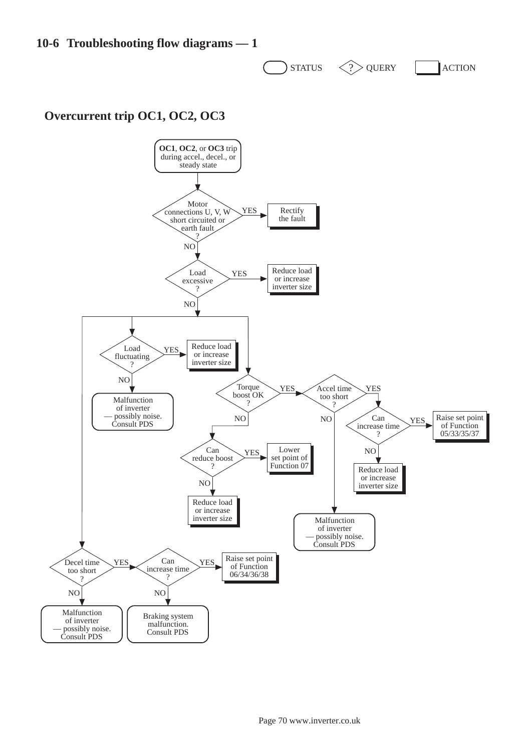**10-6 Troubleshooting flow diagrams — 1**

 $STATUS$   $\langle ? \rangle$  QUERY  $\vert$  ACTION

# **Overcurrent trip OC1, OC2, OC3**

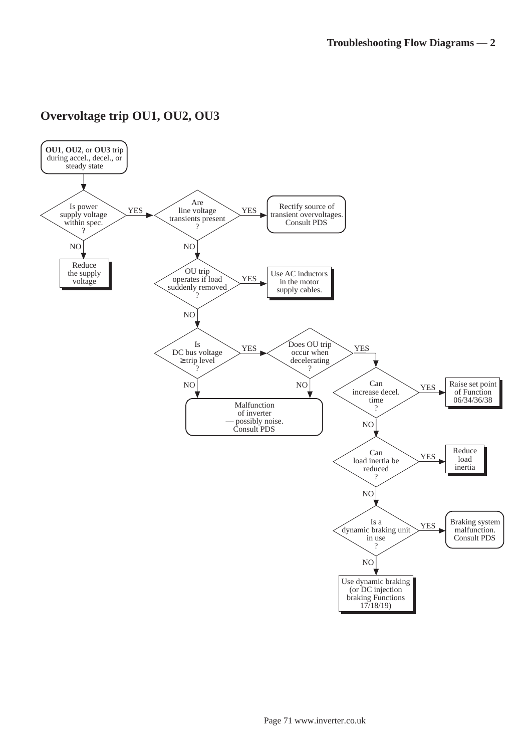

# **Overvoltage trip OU1, OU2, OU3**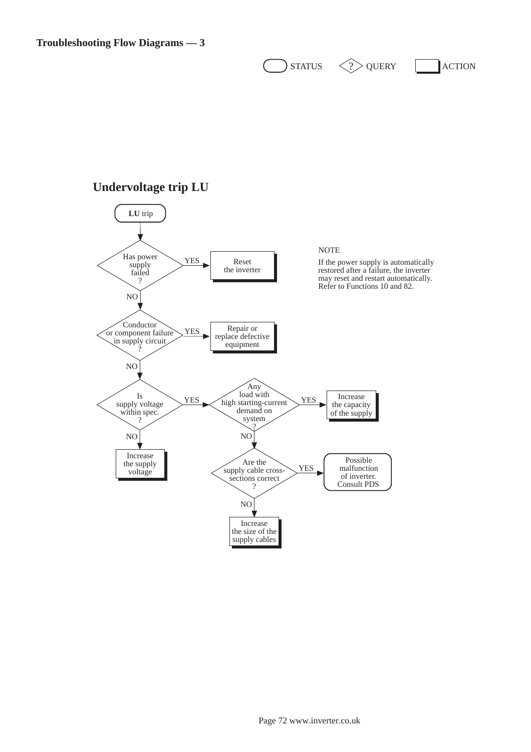$\sum$ STATUS  $\langle \rangle$ QUERY  $\sum$ ACTION

## **Undervoltage trip LU**

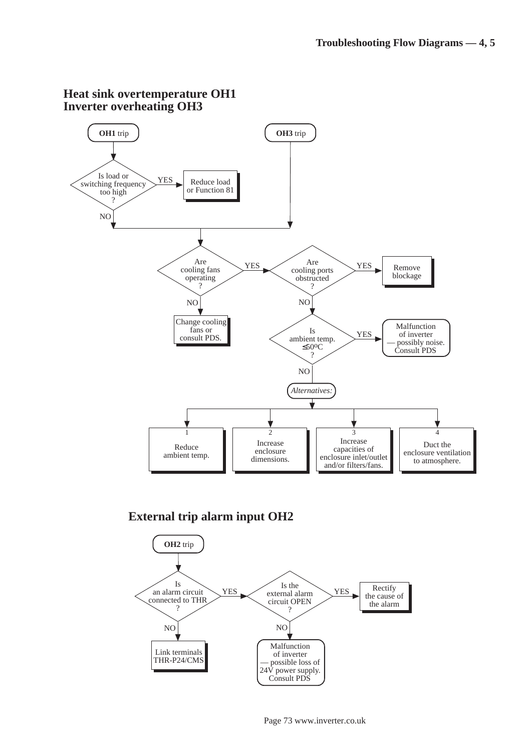

## **External trip alarm input OH2**

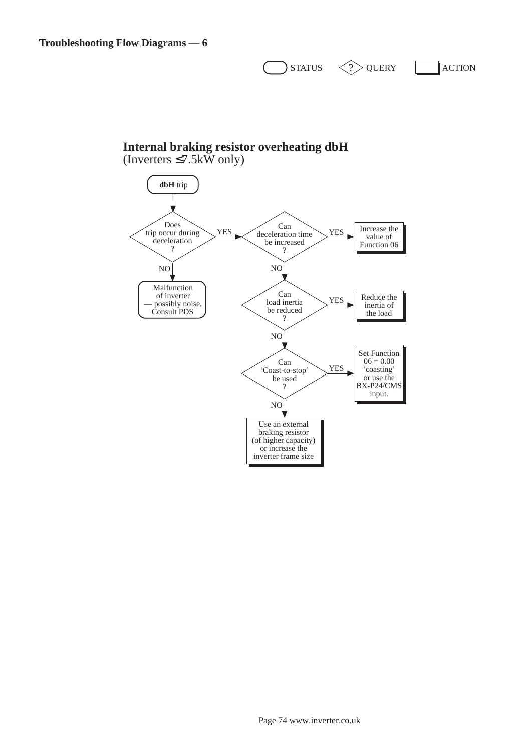$\sum$ STATUS  $\langle \rangle$ QUERY  $\sum$ ACTION

## **Internal braking resistor overheating dbH** (Inverters  $\leq 7.5k\bar{W}$  only)

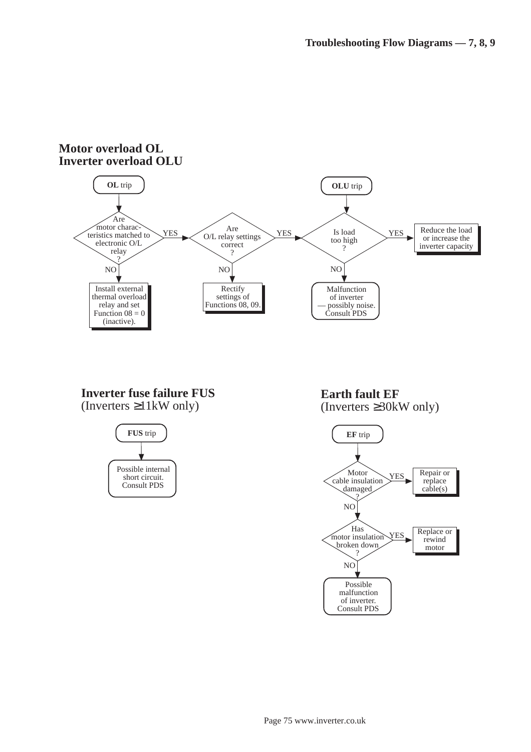#### **Motor overload OL Inverter overload OLU OL** trip NO Malfunction of inverter possibly noise. Consult PDS Are motor characteristics matched to electronic O/L relay ? YES Install external thermal overload relay and set Function  $08 = 0$ (inactive). Is load too high ? YES NO Reduce the load or increase the inverter capacity NO Are O/L relay settings correct ? YES Rectify settings of Functions 08, 09. **OLU** trip

## **Inverter fuse failure FUS** (Inverters ≥11kW only)



**Earth fault EF** (Inverters ≥30kW only)

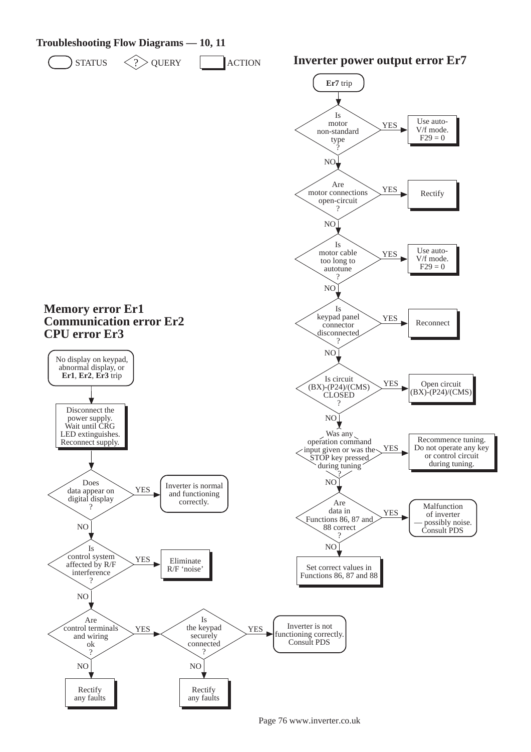

Page 76 www.inverter.co.uk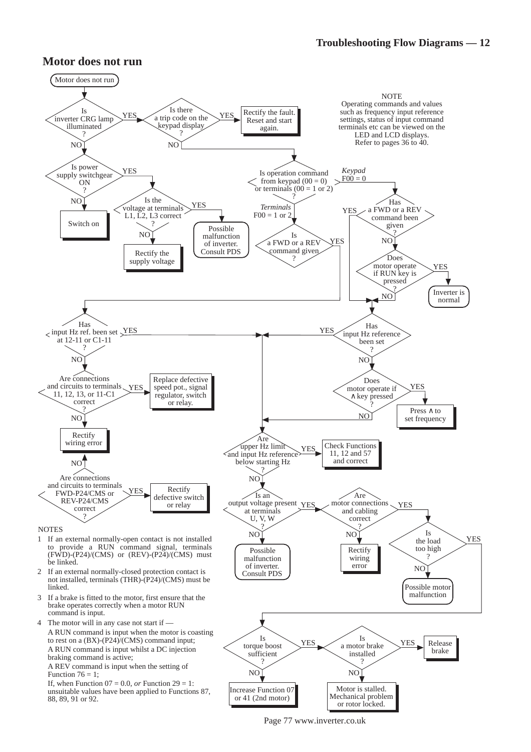### **Motor does not run**



Page 77 www.inverter.co.uk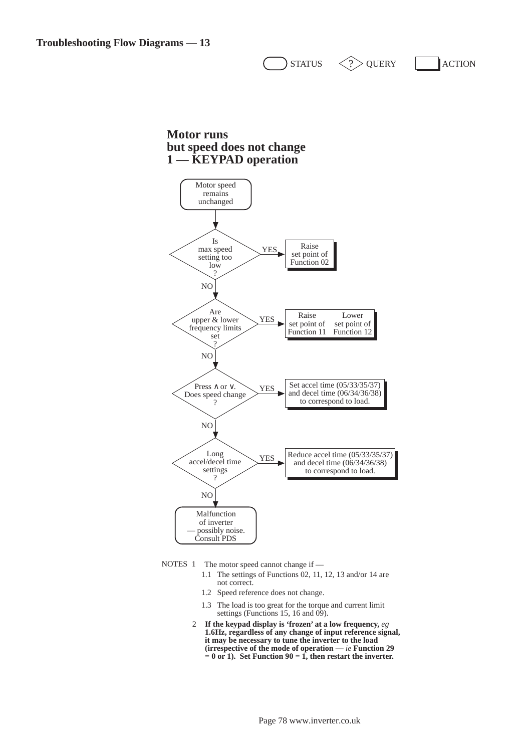**Motor runs but speed does not change 1 — KEYPAD operation**



 $\text{STratus} \quad \text{QV} \geq 2$  (See Action

NOTES  $1$  The motor speed cannot change if —

- 1.1 The settings of Functions 02, 11, 12, 13 and/or 14 are not correct.
	- 1.2 Speed reference does not change.
	- 1.3 The load is too great for the torque and current limit settings (Functions 15, 16 and  $\dot{09}$ ).
- 2 **If the keypad display is 'frozen' at a low frequency,** *eg* **1.6Hz, regardless of any change of input reference signal, it may be necessary to tune the inverter to the load (irrespective of the mode of operation —** *ie* **Function 29**   $= 0$  or 1). Set Function  $90 = 1$ , then restart the inverter.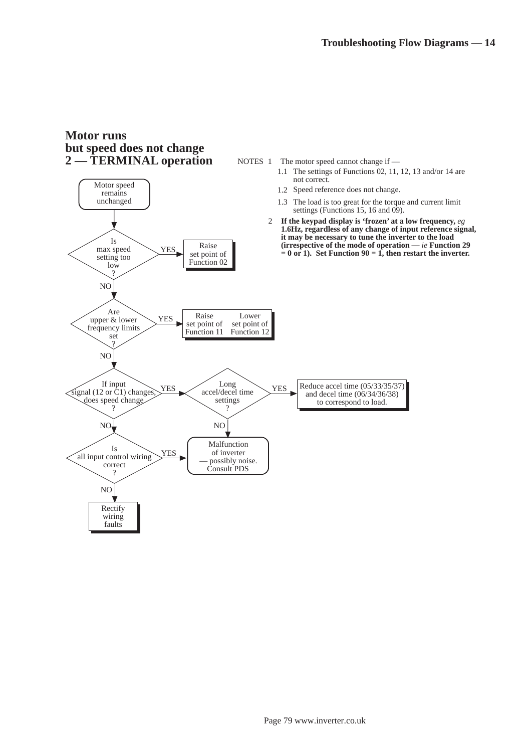## **Motor runs but speed does not change 2 — TERMINAL operation**

YES

Raise

Is max speed

Motor speed remains unchanged

NOTES  $1$  The motor speed cannot change if  $-$ 

- 1.1 The settings of Functions 02, 11, 12, 13 and/or 14 are not correct.
- 1.2 Speed reference does not change.
- 1.3 The load is too great for the torque and current limit settings (Functions 15, 16 and  $09$ ).
- 2 **If the keypad display is 'frozen' at a low frequency,** *eg* **1.6Hz, regardless of any change of input reference signal, it may be necessary to tune the inverter to the load (irrespective of the mode of operation —** *ie* **Function 29**   $\mathbf{r} = 0$  or 1). Set Function  $90 = 1$ , then restart the inverter.

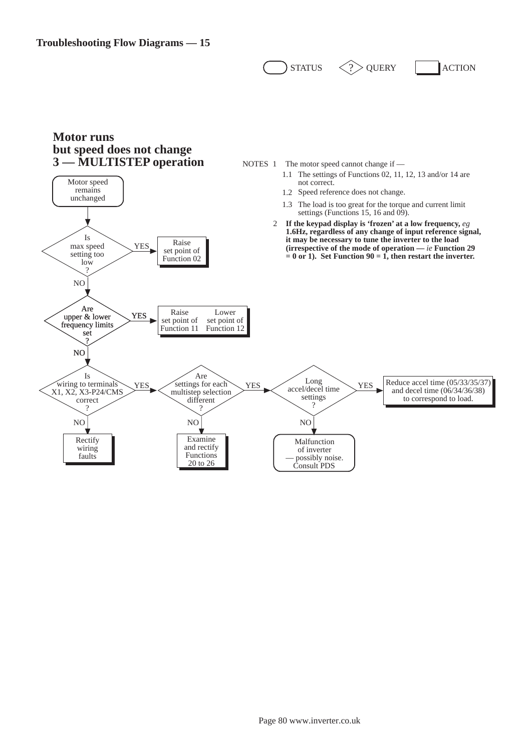$\text{STratus} \quad \text{O}$  ouery action

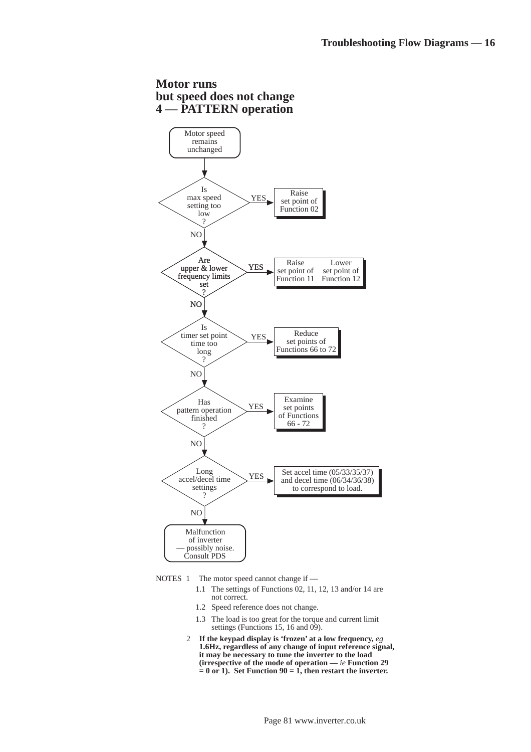#### **but speed does not change 4 — PATTERN operation** NO Is max speed setting too low ? YES NO Are upper & lower frequency limits set ? YES Motor speed remains unchanged NO Is timer set point time too long ? YES NO Has pattern operation finished ? YES NO Long accel/decel time settings  $\gamma$ YES Malfunction of inverter possibly noise. Consult PDS Examine set points of Functions 66 - 72 Reduce set points of Functions 66 to 72 Set accel time (05/33/35/37) and decel time (06/34/36/38) to correspond to load. Raise set point of Function 02 Raise set point of Function 11 Lower set point of Function 12

**Motor runs** 

NOTES  $1$  The motor speed cannot change if —

- 1.1 The settings of Functions 02, 11, 12, 13 and/or 14 are not correct.
- 1.2 Speed reference does not change.
- 1.3 The load is too great for the torque and current limit settings (Functions 15, 16 and  $09$ ).
- 2 **If the keypad display is 'frozen' at a low frequency,** *eg* **1.6Hz, regardless of any change of input reference signal, it may be necessary to tune the inverter to the load (irrespective of the mode of operation —** *ie* **Function 29**   $= 0$  or 1). Set Function  $90 = 1$ , then restart the inverter.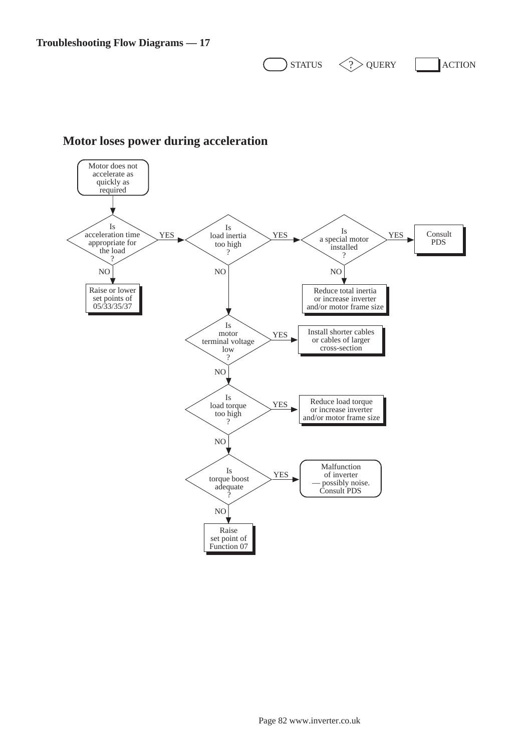$\sum$ STATUS  $\langle \cdot \rangle$  QUERY  $\prod$ ACTION



## **Motor loses power during acceleration**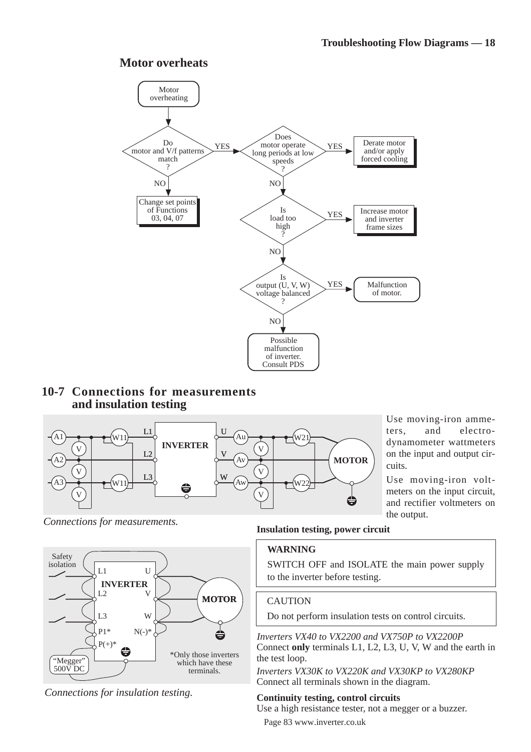## **Motor overheats**



## **10-7 Connections for measurements and insulation testing**



Use moving-iron ammeters, and electrodynamometer wattmeters on the input and output circuits.

Use moving-iron voltmeters on the input circuit, and rectifier voltmeters on the output.

*Connections for measurements.*



*Connections for insulation testing.*

## **Insulation testing, power circuit**

### **WARNING**

SWITCH OFF and ISOLATE the main power supply to the inverter before testing.

## **CAUTION**

Do not perform insulation tests on control circuits.

*Inverters VX40 to VX2200 and VX750P to VX2200P* Connect **only** terminals L1, L2, L3, U, V, W and the earth in the test loop.

*Inverters VX30K to VX220K and VX30KP to VX280KP* Connect all terminals shown in the diagram.

## **Continuity testing, control circuits**

Use a high resistance tester, not a megger or a buzzer.

Page 83 www.inverter.co.uk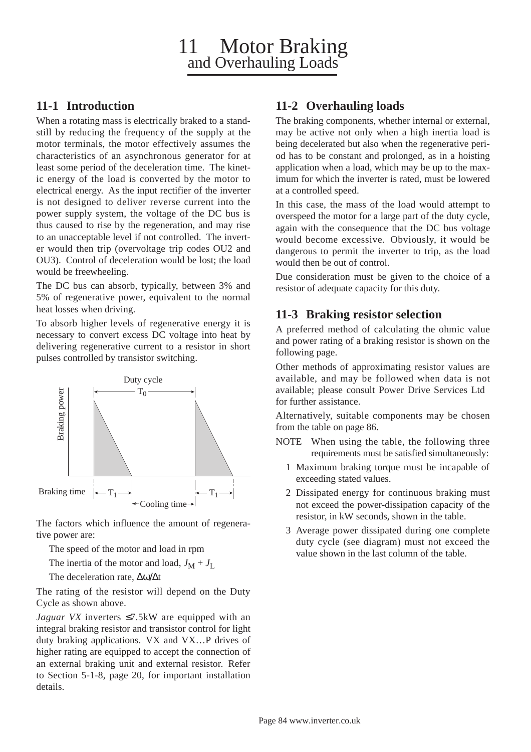## **11-1 Introduction**

When a rotating mass is electrically braked to a standstill by reducing the frequency of the supply at the motor terminals, the motor effectively assumes the characteristics of an asynchronous generator for at least some period of the deceleration time. The kinetic energy of the load is converted by the motor to electrical energy. As the input rectifier of the inverter is not designed to deliver reverse current into the power supply system, the voltage of the DC bus is thus caused to rise by the regeneration, and may rise to an unacceptable level if not controlled. The inverter would then trip (overvoltage trip codes OU2 and OU3). Control of deceleration would be lost; the load would be freewheeling.

The DC bus can absorb, typically, between 3% and 5% of regenerative power, equivalent to the normal heat losses when driving.

To absorb higher levels of regenerative energy it is necessary to convert excess DC voltage into heat by delivering regenerative current to a resistor in short pulses controlled by transistor switching.



The factors which influence the amount of regenerative power are:

The speed of the motor and load in rpm

The inertia of the motor and load,  $J_M + J_L$ 

The deceleration rate, ∆ω/∆t

The rating of the resistor will depend on the Duty Cycle as shown above.

*Jaguar VX* inverters ≤7.5kW are equipped with an integral braking resistor and transistor control for light duty braking applications. VX and VX…P drives of higher rating are equipped to accept the connection of an external braking unit and external resistor. Refer to Section 5-1-8, page 20, for important installation details.

## **11-2 Overhauling loads**

The braking components, whether internal or external, may be active not only when a high inertia load is being decelerated but also when the regenerative period has to be constant and prolonged, as in a hoisting application when a load, which may be up to the maximum for which the inverter is rated, must be lowered at a controlled speed.

In this case, the mass of the load would attempt to overspeed the motor for a large part of the duty cycle, again with the consequence that the DC bus voltage would become excessive. Obviously, it would be dangerous to permit the inverter to trip, as the load would then be out of control.

Due consideration must be given to the choice of a resistor of adequate capacity for this duty.

## **11-3 Braking resistor selection**

A preferred method of calculating the ohmic value and power rating of a braking resistor is shown on the following page.

Other methods of approximating resistor values are available, and may be followed when data is not available; please consult Power Drive Services Ltd for further assistance.

Alternatively, suitable components may be chosen from the table on page 86.

- NOTE When using the table, the following three requirements must be satisfied simultaneously:
	- 1 Maximum braking torque must be incapable of exceeding stated values.
	- 2 Dissipated energy for continuous braking must not exceed the power-dissipation capacity of the resistor, in kW seconds, shown in the table.
	- 3 Average power dissipated during one complete duty cycle (see diagram) must not exceed the value shown in the last column of the table.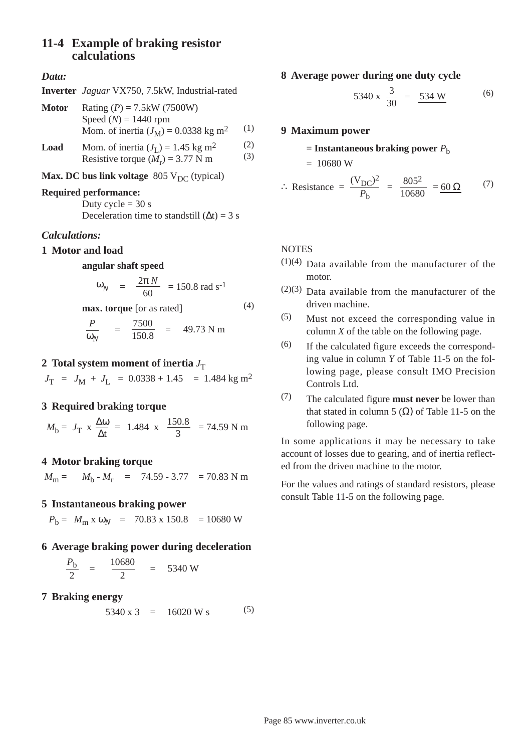## **11-4 Example of braking resistor calculations**

#### *Data:*

| Rating $(P) = 7.5$ kW (7500W)                      |     |
|----------------------------------------------------|-----|
| Speed $(N) = 1440$ rpm                             |     |
| Mom. of inertia $(J_M) = 0.0338$ kg m <sup>2</sup> | (1) |
|                                                    |     |

**Load** Mom. of inertia  $(J_L) = 1.45$  kg m<sup>2</sup> (2)<br>Resistive forms  $(M_1) = 3.77$  N m (3) Resistive torque  $(M_r)$  = 3.77 N m

#### **Max. DC bus link voltage** 805  $V_{DC}$  (typical)

#### **Required performance:**

Duty cycle  $= 30$  s Deceleration time to standstill  $(\Delta t) = 3$  s

#### *Calculations:*

#### **1 Motor and load**

#### **angular shaft speed**

$$
\omega_N
$$
 =  $\frac{2\pi N}{60}$  = 150.8 rad s<sup>-1</sup>

$$
\begin{array}{ll}\n\textbf{max. torque [or as rated]}\\
P & 7500 \\
\end{array} \tag{4}
$$

$$
\frac{P}{\omega_N} = \frac{7500}{150.8} = 49.73 \text{ N m}
$$

#### **2 Total system moment of inertia**  $J_T$

 $J_T$  =  $J_M$  +  $J_I$  = 0.0338 + 1.45 = 1.484 kg m<sup>2</sup>

#### **3 Required braking torque**

 $M_b = J_T$  x  $\frac{\Delta \omega}{\Delta t}$  = 1.484 x  $\frac{150.8}{3}$  = 74.59 N m

#### **4 Motor braking torque**

 $M_{\text{m}} = M_{\text{b}} - M_{\text{r}} = 74.59 - 3.77 = 70.83 \text{ N m}$ 

#### **5 Instantaneous braking power**

 $P_h = M_m x \omega_N = 70.83 x 150.8 = 10680 W$ 

#### **6 Average braking power during deceleration**

$$
\frac{P_{\rm b}}{2} = \frac{10680}{2} = 5340 \text{ W}
$$

#### **7 Braking energy**

$$
5340 \times 3 = 16020 W s \tag{5}
$$

#### **8 Average power during one duty cycle**

$$
5340 \times \frac{3}{30} = \frac{534 \text{ W}}{}
$$
 (6)

#### **9 Maximum power**

#### $=$  **Instantaneous braking power**  $P<sub>b</sub>$

$$
= 10680 \,\mathrm{W}
$$

:. Resistance = 
$$
\frac{(V_{DC})^2}{P_b}
$$
 =  $\frac{805^2}{10680}$  =  $\frac{60 \Omega}{}$  (7)

## **NOTES**

- $(1)(4)$  Data available from the manufacturer of the motor.
- $(2)(3)$  Data available from the manufacturer of the driven machine.
- (5) Must not exceed the corresponding value in column *X* of the table on the following page.
- (6) If the calculated figure exceeds the corresponding value in column *Y* of Table 11-5 on the following page, please consult IMO Precision Controls Ltd.
- (7) The calculated figure **must never** be lower than that stated in column 5  $(\Omega)$  of Table 11-5 on the following page.

In some applications it may be necessary to take account of losses due to gearing, and of inertia reflected from the driven machine to the motor.

For the values and ratings of standard resistors, please consult Table 11-5 on the following page.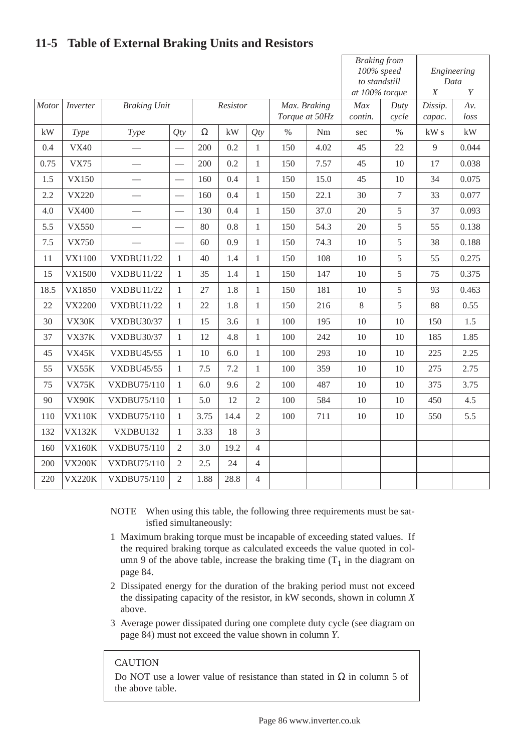|       |               |                     |                          |          |      |                                | <b>Braking from</b><br>100% speed<br>to standstill<br>at 100% torque |                | Engineering<br>Data<br>$\overline{X}$<br>Y |                   |             |       |
|-------|---------------|---------------------|--------------------------|----------|------|--------------------------------|----------------------------------------------------------------------|----------------|--------------------------------------------|-------------------|-------------|-------|
| Motor | Inverter      | <b>Braking Unit</b> |                          | Resistor |      | Max. Braking<br>Torque at 50Hz |                                                                      | Max<br>contin. | Duty<br>cycle                              | Dissip.<br>capac. | Av.<br>loss |       |
| kW    | Type          | Type                | Qty                      | $\Omega$ | kW   | Qty                            | $\%$                                                                 | Nm             | sec                                        | $\%$              | kWs         | kW    |
| 0.4   | <b>VX40</b>   |                     |                          | 200      | 0.2  | $\mathbf{1}$                   | 150                                                                  | 4.02           | 45                                         | 22                | 9           | 0.044 |
| 0.75  | <b>VX75</b>   |                     |                          | 200      | 0.2  | $\mathbf{1}$                   | 150                                                                  | 7.57           | 45                                         | 10                | 17          | 0.038 |
| 1.5   | <b>VX150</b>  |                     | $\frac{1}{1}$            | 160      | 0.4  | $\mathbf{1}$                   | 150                                                                  | 15.0           | 45                                         | 10                | 34          | 0.075 |
| 2.2   | <b>VX220</b>  |                     | $\overline{\phantom{0}}$ | 160      | 0.4  | $\mathbf{1}$                   | 150                                                                  | 22.1           | 30                                         | $\tau$            | 33          | 0.077 |
| 4.0   | <b>VX400</b>  |                     |                          | 130      | 0.4  | $\mathbf{1}$                   | 150                                                                  | 37.0           | 20                                         | 5                 | 37          | 0.093 |
| 5.5   | <b>VX550</b>  |                     |                          | 80       | 0.8  | $\mathbf{1}$                   | 150                                                                  | 54.3           | 20                                         | 5                 | 55          | 0.138 |
| 7.5   | <b>VX750</b>  |                     | $\overline{\phantom{0}}$ | 60       | 0.9  | $\mathbf{1}$                   | 150                                                                  | 74.3           | 10                                         | 5                 | 38          | 0.188 |
| 11    | VX1100        | <b>VXDBU11/22</b>   | $\mathbf{1}$             | 40       | 1.4  | $\mathbf{1}$                   | 150                                                                  | 108            | 10                                         | 5                 | 55          | 0.275 |
| 15    | VX1500        | <b>VXDBU11/22</b>   | $\mathbf{1}$             | 35       | 1.4  | $\mathbf{1}$                   | 150                                                                  | 147            | 10                                         | 5                 | 75          | 0.375 |
| 18.5  | VX1850        | <b>VXDBU11/22</b>   | $\mathbf{1}$             | 27       | 1.8  | $\mathbf{1}$                   | 150                                                                  | 181            | 10                                         | 5                 | 93          | 0.463 |
| 22    | <b>VX2200</b> | <b>VXDBU11/22</b>   | $\mathbf{1}$             | 22       | 1.8  | $\mathbf{1}$                   | 150                                                                  | 216            | 8                                          | 5                 | 88          | 0.55  |
| 30    | VX30K         | <b>VXDBU30/37</b>   | $\mathbf{1}$             | 15       | 3.6  | $\mathbf{1}$                   | 100                                                                  | 195            | 10                                         | 10                | 150         | 1.5   |
| 37    | VX37K         | VXDBU30/37          | $\mathbf{1}$             | 12       | 4.8  | $\mathbf{1}$                   | 100                                                                  | 242            | 10                                         | 10                | 185         | 1.85  |
| 45    | VX45K         | <b>VXDBU45/55</b>   | $\mathbf{1}$             | 10       | 6.0  | $\mathbf{1}$                   | 100                                                                  | 293            | 10                                         | 10                | 225         | 2.25  |
| 55    | VX55K         | <b>VXDBU45/55</b>   | $\mathbf{1}$             | 7.5      | 7.2  | $\mathbf{1}$                   | 100                                                                  | 359            | 10                                         | 10                | 275         | 2.75  |
| 75    | <b>VX75K</b>  | <b>VXDBU75/110</b>  | $\mathbf{1}$             | 6.0      | 9.6  | $\overline{2}$                 | 100                                                                  | 487            | 10                                         | 10                | 375         | 3.75  |
| 90    | VX90K         | <b>VXDBU75/110</b>  | $\mathbf{1}$             | 5.0      | 12   | $\overline{2}$                 | 100                                                                  | 584            | 10                                         | 10                | 450         | 4.5   |
| 110   | <b>VX110K</b> | <b>VXDBU75/110</b>  | $\mathbf{1}$             | 3.75     | 14.4 | $\overline{2}$                 | 100                                                                  | 711            | $10\,$                                     | 10                | 550         | 5.5   |
| 132   | <b>VX132K</b> | VXDBU132            | $\mathbf{1}$             | 3.33     | 18   | $\overline{3}$                 |                                                                      |                |                                            |                   |             |       |
| 160   | <b>VX160K</b> | <b>VXDBU75/110</b>  | $\overline{2}$           | 3.0      | 19.2 | $\overline{4}$                 |                                                                      |                |                                            |                   |             |       |
| 200   | <b>VX200K</b> | <b>VXDBU75/110</b>  | $\overline{2}$           | 2.5      | 24   | 4                              |                                                                      |                |                                            |                   |             |       |
| 220   | <b>VX220K</b> | <b>VXDBU75/110</b>  | $\overline{2}$           | 1.88     | 28.8 | $\overline{4}$                 |                                                                      |                |                                            |                   |             |       |

# **11-5 Table of External Braking Units and Resistors**

- NOTE When using this table, the following three requirements must be satisfied simultaneously:
- 1 Maximum braking torque must be incapable of exceeding stated values. If the required braking torque as calculated exceeds the value quoted in column 9 of the above table, increase the braking time  $(T_1$  in the diagram on page 84.
- 2 Dissipated energy for the duration of the braking period must not exceed the dissipating capacity of the resistor, in kW seconds, shown in column *X* above.
- 3 Average power dissipated during one complete duty cycle (see diagram on page 84) must not exceed the value shown in column *Y*.

### **CAUTION**

Do NOT use a lower value of resistance than stated in  $\Omega$  in column 5 of the above table.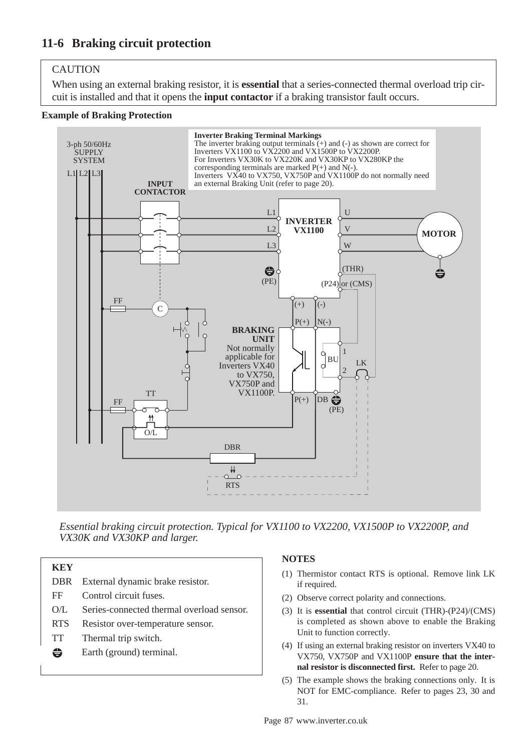## CAUTION

When using an external braking resistor, it is **essential** that a series-connected thermal overload trip circuit is installed and that it opens the **input contactor** if a braking transistor fault occurs.

#### **Example of Braking Protection**



*Essential braking circuit protection. Typical for VX1100 to VX2200, VX1500P to VX2200P, and VX30K and VX30KP and larger.*

| KEY        |                                           |
|------------|-------------------------------------------|
| <b>DBR</b> | External dynamic brake resistor.          |
| FF         | Control circuit fuses.                    |
| O/L        | Series-connected thermal overload sensor. |
| <b>RTS</b> | Resistor over-temperature sensor.         |
| <b>TT</b>  | Thermal trip switch.                      |
| ⊖          | Earth (ground) terminal.                  |
|            |                                           |

#### **NOTES**

- (1) Thermistor contact RTS is optional. Remove link LK if required.
- (2) Observe correct polarity and connections.
- (3) It is **essential** that control circuit (THR)-(P24)/(CMS) is completed as shown above to enable the Braking Unit to function correctly.
- (4) If using an external braking resistor on inverters VX40 to VX750, VX750P and VX1100P **ensure that the internal resistor is disconnected first.** Refer to page 20.
- (5) The example shows the braking connections only. It is NOT for EMC-compliance. Refer to pages 23, 30 and 31.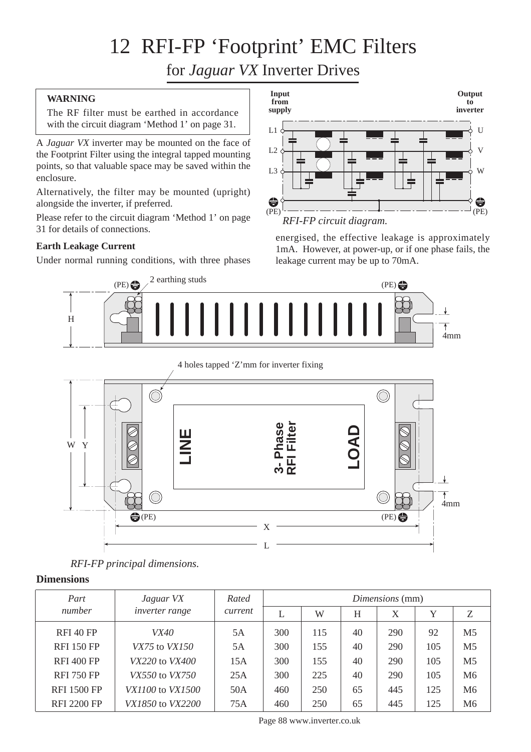# 12 RFI-FP 'Footprint' EMC Filters

for *Jaguar VX* Inverter Drives

## **WARNING**

The RF filter must be earthed in accordance with the circuit diagram 'Method 1' on page 31.

A *Jaguar VX* inverter may be mounted on the face of the Footprint Filter using the integral tapped mounting points, so that valuable space may be saved within the enclosure.

Alternatively, the filter may be mounted (upright) alongside the inverter, if preferred.

Please refer to the circuit diagram 'Method 1' on page 31 for details of connections.

## **Earth Leakage Current**

Under normal running conditions, with three phases



energised, the effective leakage is approximately 1mA. However, at power-up, or if one phase fails, the leakage current may be up to 70mA.



4 holes tapped 'Z'mm for inverter fixing



### **Dimensions**

| Part               | Jaguar VX                      | Rated<br>current | Dimensions (mm) |     |    |     |     |                |  |
|--------------------|--------------------------------|------------------|-----------------|-----|----|-----|-----|----------------|--|
| number             | inverter range                 |                  |                 | W   | H  | X   | Y   | Ζ              |  |
| <b>RFI 40 FP</b>   | <i>VX40</i>                    | 5A               | 300             | 115 | 40 | 290 | 92  | M <sub>5</sub> |  |
| <b>RFI 150 FP</b>  | $VX75$ to $VX150$              | 5A               | 300             | 155 | 40 | 290 | 105 | M <sub>5</sub> |  |
| <b>RFI 400 FP</b>  | VX220 to VX400                 | 15A              | 300             | 155 | 40 | 290 | 105 | M <sub>5</sub> |  |
| <b>RFI 750 FP</b>  | <i>VX550</i> to <i>VX750</i>   | 25A              | 300             | 225 | 40 | 290 | 105 | M6             |  |
| <b>RFI 1500 FP</b> | <i>VX1100</i> to <i>VX1500</i> | 50A              | 460             | 250 | 65 | 445 | 125 | M <sub>6</sub> |  |
| <b>RFI 2200 FP</b> | VX1850 to VX2200               | 75A              | 460             | 250 | 65 | 445 | 125 | M6             |  |

Page 88 www.inverter.co.uk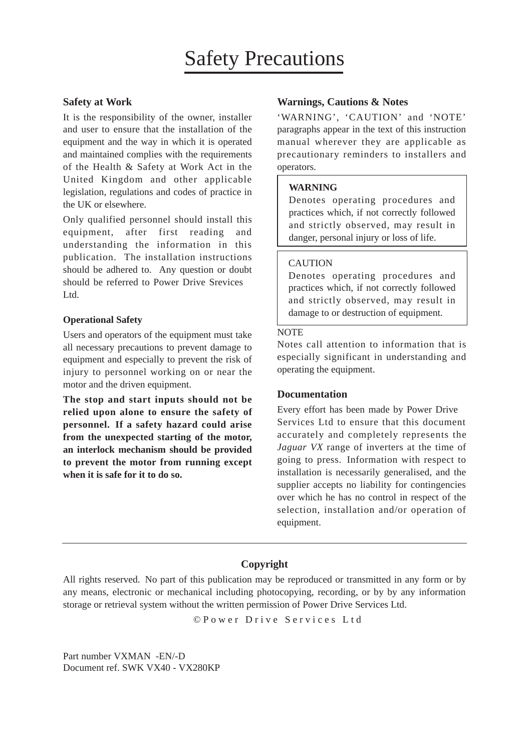### **Safety at Work**

It is the responsibility of the owner, installer and user to ensure that the installation of the equipment and the way in which it is operated and maintained complies with the requirements of the Health & Safety at Work Act in the United Kingdom and other applicable legislation, regulations and codes of practice in the UK or elsewhere.

Only qualified personnel should install this equipment, after first reading and understanding the information in this publication. The installation instructions should be adhered to. Any question or doubt should be referred to Power Drive Srevices Ltd.

#### **Operational Safety**

Users and operators of the equipment must take all necessary precautions to prevent damage to equipment and especially to prevent the risk of injury to personnel working on or near the motor and the driven equipment.

**The stop and start inputs should not be relied upon alone to ensure the safety of personnel. If a safety hazard could arise from the unexpected starting of the motor, an interlock mechanism should be provided to prevent the motor from running except when it is safe for it to do so.**

#### **Warnings, Cautions & Notes**

'WARNING', 'CAUTION' and 'NOTE' paragraphs appear in the text of this instruction manual wherever they are applicable as precautionary reminders to installers and operators.

#### **WARNING**

Denotes operating procedures and practices which, if not correctly followed and strictly observed, may result in danger, personal injury or loss of life.

#### **CAUTION**

Denotes operating procedures and practices which, if not correctly followed and strictly observed, may result in damage to or destruction of equipment.

#### **NOTE**

Notes call attention to information that is especially significant in understanding and operating the equipment.

#### **Documentation**

Every effort has been made by Power Drive Services Ltd to ensure that this document accurately and completely represents the *Jaguar VX* range of inverters at the time of going to press. Information with respect to installation is necessarily generalised, and the supplier accepts no liability for contingencies over which he has no control in respect of the selection, installation and/or operation of equipment.

## **Copyright**

All rights reserved. No part of this publication may be reproduced or transmitted in any form or by any means, electronic or mechanical including photocopying, recording, or by by any information storage or retrieval system without the written permission of Power Drive Services Ltd.

© Power Drive Services Ltd

Part number VXMAN -EN/-D Document ref. SWK VX40 - VX280KP